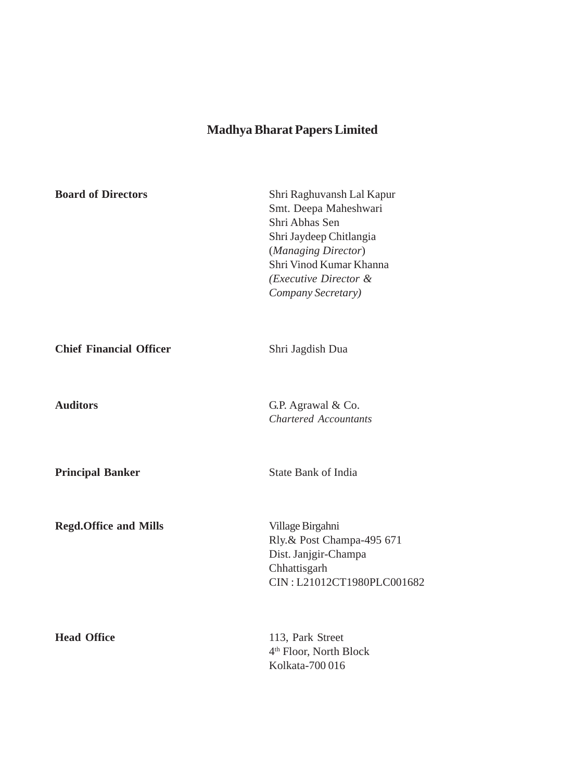| <b>Board of Directors</b>      | Shri Raghuvansh Lal Kapur<br>Smt. Deepa Maheshwari<br>Shri Abhas Sen<br>Shri Jaydeep Chitlangia<br>(Managing Director)<br>Shri Vinod Kumar Khanna<br>(Executive Director &<br>Company Secretary) |
|--------------------------------|--------------------------------------------------------------------------------------------------------------------------------------------------------------------------------------------------|
| <b>Chief Financial Officer</b> | Shri Jagdish Dua                                                                                                                                                                                 |
| <b>Auditors</b>                | G.P. Agrawal & Co.<br><b>Chartered Accountants</b>                                                                                                                                               |
| <b>Principal Banker</b>        | <b>State Bank of India</b>                                                                                                                                                                       |
| <b>Regd.Office and Mills</b>   | Village Birgahni<br>Rly.& Post Champa-495 671<br>Dist. Janjgir-Champa<br>Chhattisgarh<br>CIN: L21012CT1980PLC001682                                                                              |
| <b>Head Office</b>             | 113, Park Street<br>4 <sup>th</sup> Floor, North Block<br>Kolkata-700016                                                                                                                         |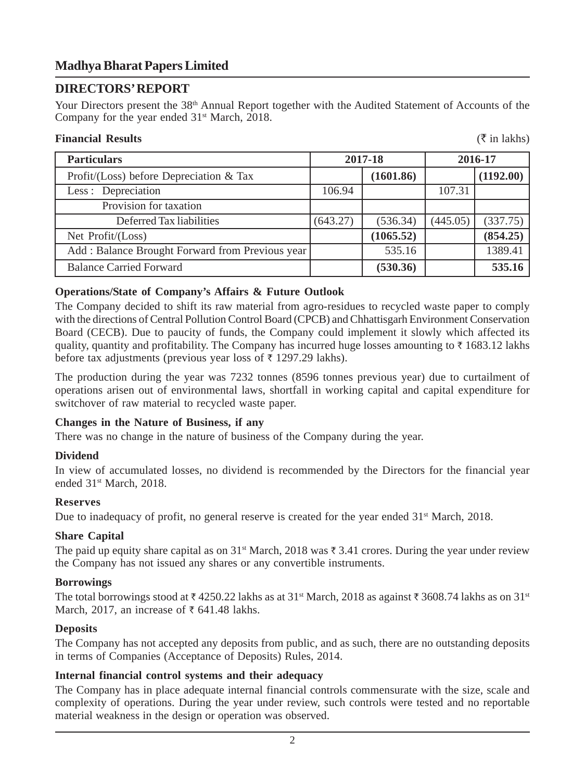# **DIRECTORS' REPORT**

Your Directors present the 38<sup>th</sup> Annual Report together with the Audited Statement of Accounts of the Company for the year ended  $31<sup>st</sup> March, 2018$ .

# **Financial Results** (` in lakhs)

| <b>Particulars</b>                              | 2017-18  |           |          | 2016-17   |
|-------------------------------------------------|----------|-----------|----------|-----------|
| Profit/(Loss) before Depreciation $\&$ Tax      |          | (1601.86) |          | (1192.00) |
| Less: Depreciation                              | 106.94   |           | 107.31   |           |
| Provision for taxation                          |          |           |          |           |
| Deferred Tax liabilities                        | (643.27) | (536.34)  | (445.05) | (337.75)  |
| Net $Profit / (Loss)$                           |          | (1065.52) |          | (854.25)  |
| Add: Balance Brought Forward from Previous year |          | 535.16    |          | 1389.41   |
| <b>Balance Carried Forward</b>                  |          | (530.36)  |          | 535.16    |

# **Operations/State of Company's Affairs & Future Outlook**

The Company decided to shift its raw material from agro-residues to recycled waste paper to comply with the directions of Central Pollution Control Board (CPCB) and Chhattisgarh Environment Conservation Board (CECB). Due to paucity of funds, the Company could implement it slowly which affected its quality, quantity and profitability. The Company has incurred huge losses amounting to  $\bar{\tau}$  1683.12 lakhs before tax adjustments (previous year loss of  $\bar{\tau}$  1297.29 lakhs).

The production during the year was 7232 tonnes (8596 tonnes previous year) due to curtailment of operations arisen out of environmental laws, shortfall in working capital and capital expenditure for switchover of raw material to recycled waste paper.

# **Changes in the Nature of Business, if any**

There was no change in the nature of business of the Company during the year.

# **Dividend**

In view of accumulated losses, no dividend is recommended by the Directors for the financial year ended 31st March, 2018.

# **Reserves**

Due to inadequacy of profit, no general reserve is created for the year ended  $31<sup>st</sup>$  March, 2018.

# **Share Capital**

The paid up equity share capital as on  $31<sup>st</sup>$  March, 2018 was  $\bar{\tau}$  3.41 crores. During the year under review the Company has not issued any shares or any convertible instruments.

# **Borrowings**

The total borrowings stood at  $\bar{\tau}$  4250.22 lakhs as at 31<sup>st</sup> March, 2018 as against  $\bar{\tau}$  3608.74 lakhs as on 31<sup>st</sup> March, 2017, an increase of  $\bar{\tau}$  641.48 lakhs.

# **Deposits**

The Company has not accepted any deposits from public, and as such, there are no outstanding deposits in terms of Companies (Acceptance of Deposits) Rules, 2014.

# **Internal financial control systems and their adequacy**

The Company has in place adequate internal financial controls commensurate with the size, scale and complexity of operations. During the year under review, such controls were tested and no reportable material weakness in the design or operation was observed.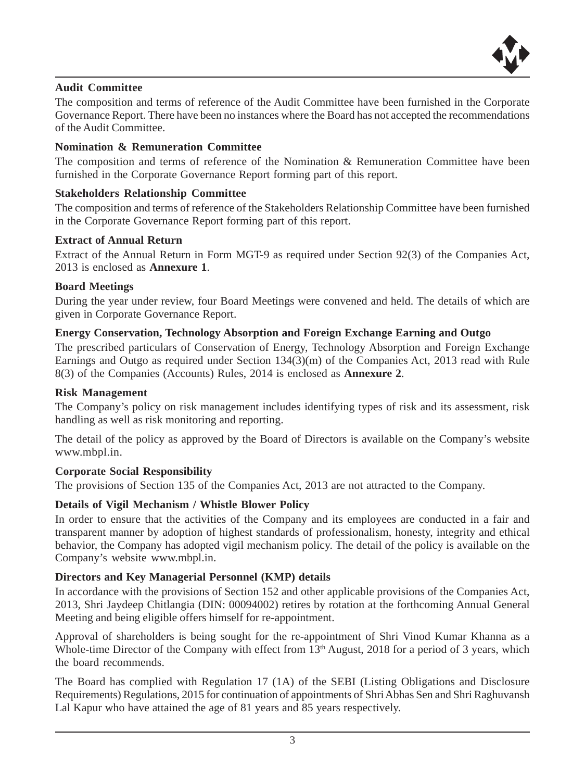

# **Audit Committee**

The composition and terms of reference of the Audit Committee have been furnished in the Corporate Governance Report. There have been no instances where the Board has not accepted the recommendations of the Audit Committee.

# **Nomination & Remuneration Committee**

The composition and terms of reference of the Nomination & Remuneration Committee have been furnished in the Corporate Governance Report forming part of this report.

# **Stakeholders Relationship Committee**

The composition and terms of reference of the Stakeholders Relationship Committee have been furnished in the Corporate Governance Report forming part of this report.

# **Extract of Annual Return**

Extract of the Annual Return in Form MGT-9 as required under Section 92(3) of the Companies Act, 2013 is enclosed as **Annexure 1**.

# **Board Meetings**

During the year under review, four Board Meetings were convened and held. The details of which are given in Corporate Governance Report.

# **Energy Conservation, Technology Absorption and Foreign Exchange Earning and Outgo**

The prescribed particulars of Conservation of Energy, Technology Absorption and Foreign Exchange Earnings and Outgo as required under Section 134(3)(m) of the Companies Act, 2013 read with Rule 8(3) of the Companies (Accounts) Rules, 2014 is enclosed as **Annexure 2**.

# **Risk Management**

The Company's policy on risk management includes identifying types of risk and its assessment, risk handling as well as risk monitoring and reporting.

The detail of the policy as approved by the Board of Directors is available on the Company's website www.mbpl.in.

# **Corporate Social Responsibility**

The provisions of Section 135 of the Companies Act, 2013 are not attracted to the Company.

# **Details of Vigil Mechanism / Whistle Blower Policy**

In order to ensure that the activities of the Company and its employees are conducted in a fair and transparent manner by adoption of highest standards of professionalism, honesty, integrity and ethical behavior, the Company has adopted vigil mechanism policy. The detail of the policy is available on the Company's website www.mbpl.in.

# **Directors and Key Managerial Personnel (KMP) details**

In accordance with the provisions of Section 152 and other applicable provisions of the Companies Act, 2013, Shri Jaydeep Chitlangia (DIN: 00094002) retires by rotation at the forthcoming Annual General Meeting and being eligible offers himself for re-appointment.

Approval of shareholders is being sought for the re-appointment of Shri Vinod Kumar Khanna as a Whole-time Director of the Company with effect from 13<sup>th</sup> August, 2018 for a period of 3 years, which the board recommends.

The Board has complied with Regulation 17 (1A) of the SEBI (Listing Obligations and Disclosure Requirements) Regulations, 2015 for continuation of appointments of Shri Abhas Sen and Shri Raghuvansh Lal Kapur who have attained the age of 81 years and 85 years respectively.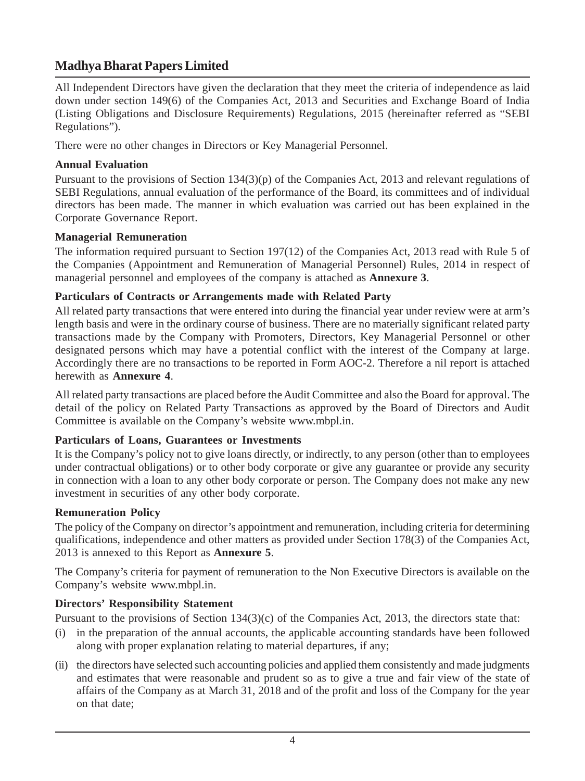All Independent Directors have given the declaration that they meet the criteria of independence as laid down under section 149(6) of the Companies Act, 2013 and Securities and Exchange Board of India (Listing Obligations and Disclosure Requirements) Regulations, 2015 (hereinafter referred as "SEBI Regulations").

There were no other changes in Directors or Key Managerial Personnel.

# **Annual Evaluation**

Pursuant to the provisions of Section 134(3)(p) of the Companies Act, 2013 and relevant regulations of SEBI Regulations, annual evaluation of the performance of the Board, its committees and of individual directors has been made. The manner in which evaluation was carried out has been explained in the Corporate Governance Report.

# **Managerial Remuneration**

The information required pursuant to Section 197(12) of the Companies Act, 2013 read with Rule 5 of the Companies (Appointment and Remuneration of Managerial Personnel) Rules, 2014 in respect of managerial personnel and employees of the company is attached as **Annexure 3**.

# **Particulars of Contracts or Arrangements made with Related Party**

All related party transactions that were entered into during the financial year under review were at arm's length basis and were in the ordinary course of business. There are no materially significant related party transactions made by the Company with Promoters, Directors, Key Managerial Personnel or other designated persons which may have a potential conflict with the interest of the Company at large. Accordingly there are no transactions to be reported in Form AOC-2. Therefore a nil report is attached herewith as **Annexure 4**.

All related party transactions are placed before the Audit Committee and also the Board for approval. The detail of the policy on Related Party Transactions as approved by the Board of Directors and Audit Committee is available on the Company's website www.mbpl.in.

# **Particulars of Loans, Guarantees or Investments**

It is the Company's policy not to give loans directly, or indirectly, to any person (other than to employees under contractual obligations) or to other body corporate or give any guarantee or provide any security in connection with a loan to any other body corporate or person. The Company does not make any new investment in securities of any other body corporate.

# **Remuneration Policy**

The policy of the Company on director's appointment and remuneration, including criteria for determining qualifications, independence and other matters as provided under Section 178(3) of the Companies Act, 2013 is annexed to this Report as **Annexure 5**.

The Company's criteria for payment of remuneration to the Non Executive Directors is available on the Company's website www.mbpl.in.

# **Directors' Responsibility Statement**

Pursuant to the provisions of Section 134(3)(c) of the Companies Act, 2013, the directors state that:

- (i) in the preparation of the annual accounts, the applicable accounting standards have been followed along with proper explanation relating to material departures, if any;
- (ii) the directors have selected such accounting policies and applied them consistently and made judgments and estimates that were reasonable and prudent so as to give a true and fair view of the state of affairs of the Company as at March 31, 2018 and of the profit and loss of the Company for the year on that date;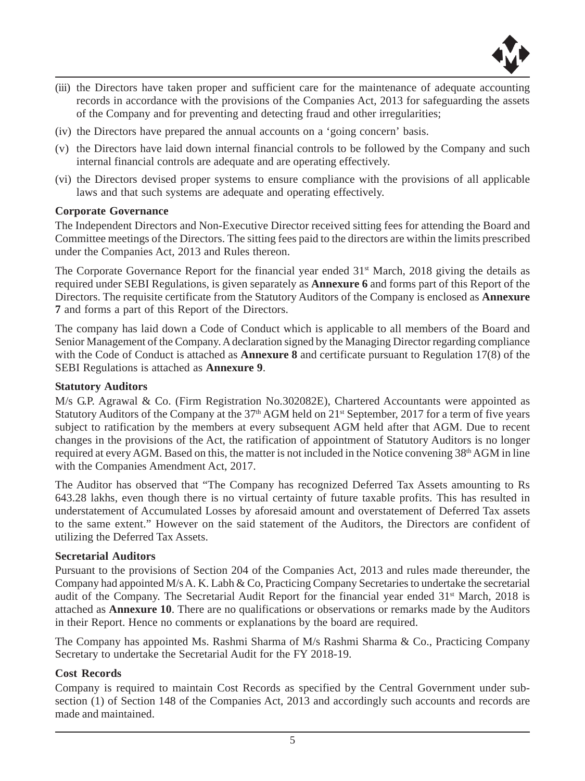

- (iii) the Directors have taken proper and sufficient care for the maintenance of adequate accounting records in accordance with the provisions of the Companies Act, 2013 for safeguarding the assets of the Company and for preventing and detecting fraud and other irregularities;
- (iv) the Directors have prepared the annual accounts on a 'going concern' basis.
- (v) the Directors have laid down internal financial controls to be followed by the Company and such internal financial controls are adequate and are operating effectively.
- (vi) the Directors devised proper systems to ensure compliance with the provisions of all applicable laws and that such systems are adequate and operating effectively.

## **Corporate Governance**

The Independent Directors and Non-Executive Director received sitting fees for attending the Board and Committee meetings of the Directors. The sitting fees paid to the directors are within the limits prescribed under the Companies Act, 2013 and Rules thereon.

The Corporate Governance Report for the financial year ended  $31<sup>st</sup>$  March, 2018 giving the details as required under SEBI Regulations, is given separately as **Annexure 6** and forms part of this Report of the Directors. The requisite certificate from the Statutory Auditors of the Company is enclosed as **Annexure 7** and forms a part of this Report of the Directors.

The company has laid down a Code of Conduct which is applicable to all members of the Board and Senior Management of the Company. A declaration signed by the Managing Director regarding compliance with the Code of Conduct is attached as **Annexure 8** and certificate pursuant to Regulation 17(8) of the SEBI Regulations is attached as **Annexure 9**.

## **Statutory Auditors**

M/s G.P. Agrawal & Co. (Firm Registration No.302082E), Chartered Accountants were appointed as Statutory Auditors of the Company at the  $37<sup>th</sup>$  AGM held on  $21<sup>st</sup>$  September, 2017 for a term of five years subject to ratification by the members at every subsequent AGM held after that AGM. Due to recent changes in the provisions of the Act, the ratification of appointment of Statutory Auditors is no longer required at every AGM. Based on this, the matter is not included in the Notice convening 38th AGM in line with the Companies Amendment Act, 2017.

The Auditor has observed that "The Company has recognized Deferred Tax Assets amounting to Rs 643.28 lakhs, even though there is no virtual certainty of future taxable profits. This has resulted in understatement of Accumulated Losses by aforesaid amount and overstatement of Deferred Tax assets to the same extent." However on the said statement of the Auditors, the Directors are confident of utilizing the Deferred Tax Assets.

## **Secretarial Auditors**

Pursuant to the provisions of Section 204 of the Companies Act, 2013 and rules made thereunder, the Company had appointed M/s A. K. Labh & Co, Practicing Company Secretaries to undertake the secretarial audit of the Company. The Secretarial Audit Report for the financial year ended 31<sup>st</sup> March, 2018 is attached as **Annexure 10**. There are no qualifications or observations or remarks made by the Auditors in their Report. Hence no comments or explanations by the board are required.

The Company has appointed Ms. Rashmi Sharma of M/s Rashmi Sharma & Co., Practicing Company Secretary to undertake the Secretarial Audit for the FY 2018-19.

# **Cost Records**

Company is required to maintain Cost Records as specified by the Central Government under subsection (1) of Section 148 of the Companies Act, 2013 and accordingly such accounts and records are made and maintained.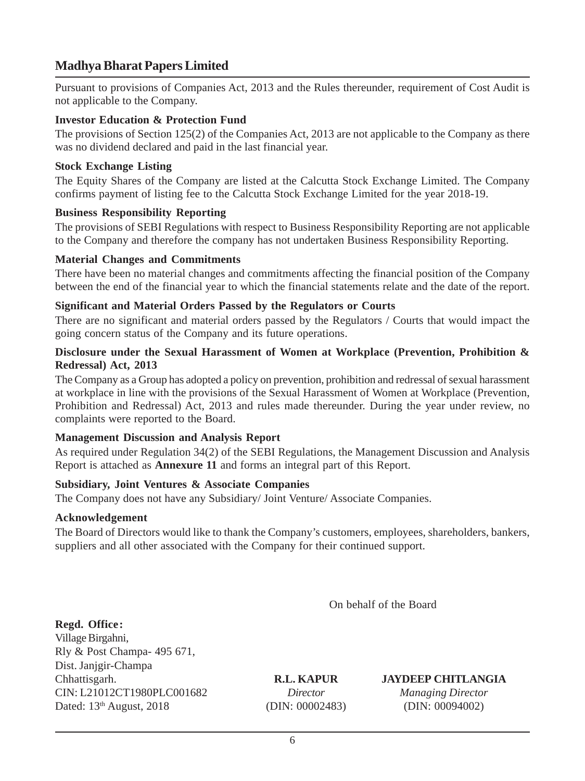Pursuant to provisions of Companies Act, 2013 and the Rules thereunder, requirement of Cost Audit is not applicable to the Company.

# **Investor Education & Protection Fund**

The provisions of Section 125(2) of the Companies Act, 2013 are not applicable to the Company as there was no dividend declared and paid in the last financial year.

## **Stock Exchange Listing**

The Equity Shares of the Company are listed at the Calcutta Stock Exchange Limited. The Company confirms payment of listing fee to the Calcutta Stock Exchange Limited for the year 2018-19.

## **Business Responsibility Reporting**

The provisions of SEBI Regulations with respect to Business Responsibility Reporting are not applicable to the Company and therefore the company has not undertaken Business Responsibility Reporting.

## **Material Changes and Commitments**

There have been no material changes and commitments affecting the financial position of the Company between the end of the financial year to which the financial statements relate and the date of the report.

## **Significant and Material Orders Passed by the Regulators or Courts**

There are no significant and material orders passed by the Regulators / Courts that would impact the going concern status of the Company and its future operations.

## **Disclosure under the Sexual Harassment of Women at Workplace (Prevention, Prohibition & Redressal) Act, 2013**

The Company as a Group has adopted a policy on prevention, prohibition and redressal of sexual harassment at workplace in line with the provisions of the Sexual Harassment of Women at Workplace (Prevention, Prohibition and Redressal) Act, 2013 and rules made thereunder. During the year under review, no complaints were reported to the Board.

# **Management Discussion and Analysis Report**

As required under Regulation 34(2) of the SEBI Regulations, the Management Discussion and Analysis Report is attached as **Annexure 11** and forms an integral part of this Report.

# **Subsidiary, Joint Ventures & Associate Companies**

The Company does not have any Subsidiary/ Joint Venture/ Associate Companies.

# **Acknowledgement**

The Board of Directors would like to thank the Company's customers, employees, shareholders, bankers, suppliers and all other associated with the Company for their continued support.

On behalf of the Board

**Regd. Office:** Village Birgahni, Rly & Post Champa- 495 671, Dist. Janjgir-Champa Chhattisgarh. **R.L. KAPUR JAYDEEP CHITLANGIA** CIN: L21012CT1980PLC001682 *Director Managing Director* Dated: 13<sup>th</sup> August, 2018 (DIN: 00002483) (DIN: 00094002)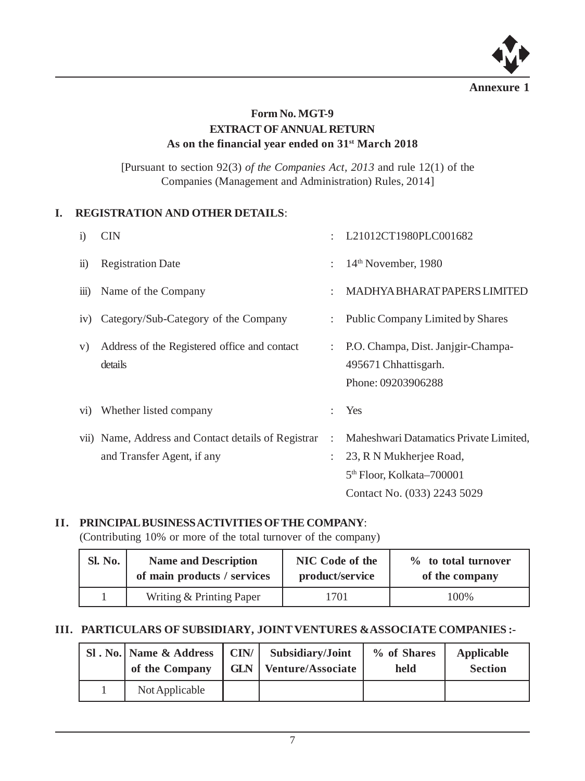

# **Form No. MGT-9 EXTRACT OF ANNUAL RETURN As on the financial year ended on 31st March 2018**

[Pursuant to section 92(3) *of the Companies Act, 2013* and rule 12(1) of the Companies (Management and Administration) Rules, 2014]

# **I. REGISTRATION AND OTHER DETAILS**:

| $\mathbf{i}$       | <b>CIN</b>                                                                        |   | L21012CT1980PLC001682                                                                                                                     |
|--------------------|-----------------------------------------------------------------------------------|---|-------------------------------------------------------------------------------------------------------------------------------------------|
| $\overline{11}$    | <b>Registration Date</b>                                                          | ÷ | $14th$ November, 1980                                                                                                                     |
| $\overline{111}$ ) | Name of the Company                                                               |   | <b>MADHYA BHARAT PAPERS LIMITED</b>                                                                                                       |
| iv)                | Category/Sub-Category of the Company                                              |   | <b>Public Company Limited by Shares</b>                                                                                                   |
| V)                 | Address of the Registered office and contact<br>details                           | ÷ | P.O. Champa, Dist. Janjgir-Champa-<br>495671 Chhattisgarh.<br>Phone: 09203906288                                                          |
| $\rm{vi})$         | Whether listed company                                                            |   | Yes                                                                                                                                       |
|                    | vii) Name, Address and Contact details of Registrar<br>and Transfer Agent, if any | ÷ | Maheshwari Datamatics Private Limited,<br>23, R N Mukherjee Road,<br>5 <sup>th</sup> Floor, Kolkata–700001<br>Contact No. (033) 2243 5029 |

# **II. PRINCIPAL BUSINESS ACTIVITIES OF THE COMPANY**:

(Contributing 10% or more of the total turnover of the company)

| Sl. No. | <b>Name and Description</b> | NIC Code of the | % to total turnover |  |
|---------|-----------------------------|-----------------|---------------------|--|
|         | of main products / services | product/service | of the company      |  |
|         | Writing & Printing Paper    | '701            | 100%                |  |

# **III. PARTICULARS OF SUBSIDIARY, JOINT VENTURES &ASSOCIATE COMPANIES :-**

| SI. No.   Name & Address<br>of the Company | $ $ CIN/ $ $ Subsidiary/Joint<br><b>GLN</b>   Venture/Associate | % of Shares<br>held | Applicable<br><b>Section</b> |
|--------------------------------------------|-----------------------------------------------------------------|---------------------|------------------------------|
| Not Applicable                             |                                                                 |                     |                              |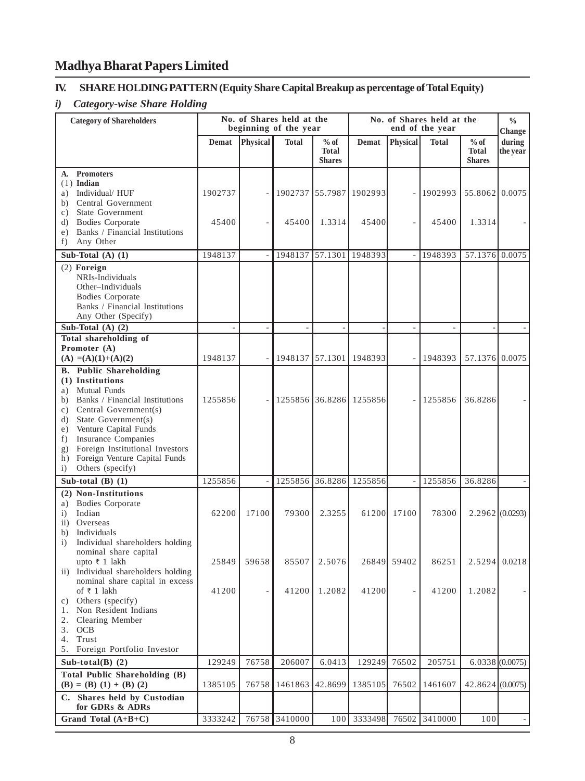# **IV. SHARE HOLDING PATTERN (Equity Share Capital Breakup as percentage of Total Equity)**

# *i) Category-wise Share Holding*

| <b>Category of Shareholders</b>                                                                                                                                                                                                                                                                                                              |         | No. of Shares held at the<br>beginning of the year |               | No. of Shares held at the<br>end of the year |                         |                 |              | $\frac{0}{0}$<br>Change                 |                    |
|----------------------------------------------------------------------------------------------------------------------------------------------------------------------------------------------------------------------------------------------------------------------------------------------------------------------------------------------|---------|----------------------------------------------------|---------------|----------------------------------------------|-------------------------|-----------------|--------------|-----------------------------------------|--------------------|
|                                                                                                                                                                                                                                                                                                                                              | Demat   | Physical                                           | <b>Total</b>  | $%$ of<br><b>Total</b><br><b>Shares</b>      | Demat                   | <b>Physical</b> | <b>Total</b> | $%$ of<br><b>Total</b><br><b>Shares</b> | during<br>the year |
| A. Promoters<br>$(1)$ Indian<br>a) Individual/HUF<br>Central Government<br>b)                                                                                                                                                                                                                                                                | 1902737 |                                                    |               |                                              | 1902737 55.7987 1902993 |                 | 1902993      | 55.8062 0.0075                          |                    |
| State Government<br>c)<br><b>Bodies Corporate</b><br>d)<br>Banks / Financial Institutions<br>e)<br>Any Other<br>f)                                                                                                                                                                                                                           | 45400   |                                                    | 45400         | 1.3314                                       | 45400                   |                 | 45400        | 1.3314                                  |                    |
| Sub-Total $(A)$ $(1)$                                                                                                                                                                                                                                                                                                                        | 1948137 | L                                                  | 1948137       | 57.1301                                      | 1948393                 | $\overline{a}$  | 1948393      | 57.1376 0.0075                          |                    |
| $(2)$ Foreign<br>NRIs-Individuals<br>Other-Individuals<br><b>Bodies Corporate</b><br>Banks / Financial Institutions<br>Any Other (Specify)                                                                                                                                                                                                   |         |                                                    |               |                                              |                         |                 |              |                                         |                    |
| Sub-Total $(A)$ $(2)$                                                                                                                                                                                                                                                                                                                        |         | ÷,                                                 |               | L.                                           |                         | $\sim$          | ÷            |                                         |                    |
| <b>Total shareholding of</b><br>Promoter (A)                                                                                                                                                                                                                                                                                                 |         |                                                    |               |                                              |                         |                 |              |                                         |                    |
| $(A) = (A)(1)+(A)(2)$                                                                                                                                                                                                                                                                                                                        | 1948137 |                                                    | 1948137       | 57.1301                                      | 1948393                 |                 | 1948393      | 57.1376 0.0075                          |                    |
| <b>B.</b> Public Shareholding<br>(1) Institutions<br><b>Mutual Funds</b><br>a)<br>b) Banks / Financial Institutions<br>Central Government(s)<br>c)<br>d) State Government(s)<br>Venture Capital Funds<br>e)<br>f) Insurance Companies<br>Foreign Institutional Investors<br>g)<br>h) Foreign Venture Capital Funds<br>Others (specify)<br>i) | 1255856 |                                                    |               |                                              | 1255856 36.8286 1255856 |                 | 1255856      | 36.8286                                 |                    |
| Sub-total $(B)$ $(1)$                                                                                                                                                                                                                                                                                                                        | 1255856 |                                                    | 1255856       | 36.8286                                      | 1255856                 |                 | 1255856      | 36.8286                                 |                    |
| (2) Non-Institutions<br><b>Bodies Corporate</b><br>a)<br>Indian<br>i)<br>ii) Overseas<br>b) Individuals                                                                                                                                                                                                                                      | 62200   | 17100                                              | 79300         | 2.3255                                       | 61200                   | 17100           | 78300        |                                         | 2.2962(0.0293)     |
| Individual shareholders holding<br>i)<br>nominal share capital<br>upto ₹ 1 lakh<br>Individual shareholders holding<br>$\mathbf{ii}$ )                                                                                                                                                                                                        | 25849   | 59658                                              | 85507         | 2.5076                                       | 26849                   | 59402           | 86251        | 2.5294                                  | 0.0218             |
| nominal share capital in excess<br>of ₹ 1 lakh<br>c) Others (specify)<br>1. Non Resident Indians<br>2. Clearing Member                                                                                                                                                                                                                       | 41200   | ÷,                                                 |               | 41200 1.2082                                 | 41200                   |                 | 41200        | 1.2082                                  |                    |
| 3. OCB<br>4. Trust<br>Foreign Portfolio Investor<br>5.                                                                                                                                                                                                                                                                                       |         |                                                    |               |                                              |                         |                 |              |                                         |                    |
| Sub-total(B) $(2)$<br>Total Public Shareholding (B)                                                                                                                                                                                                                                                                                          | 129249  | 76758                                              | 206007        | 6.0413                                       | 129249                  | 76502           | 205751       |                                         | 6.0338(0.0075)     |
| $(B) = (B) (1) + (B) (2)$                                                                                                                                                                                                                                                                                                                    | 1385105 | 76758                                              | 1461863       | 42.8699                                      | 1385105                 | 76502           | 1461607      | 42.8624(0.0075)                         |                    |
| C. Shares held by Custodian<br>for GDRs & ADRs                                                                                                                                                                                                                                                                                               |         |                                                    |               |                                              |                         |                 |              |                                         |                    |
| Grand Total (A+B+C)                                                                                                                                                                                                                                                                                                                          | 3333242 |                                                    | 76758 3410000 | 100                                          | 3333498                 | 76502           | 3410000      | 100                                     |                    |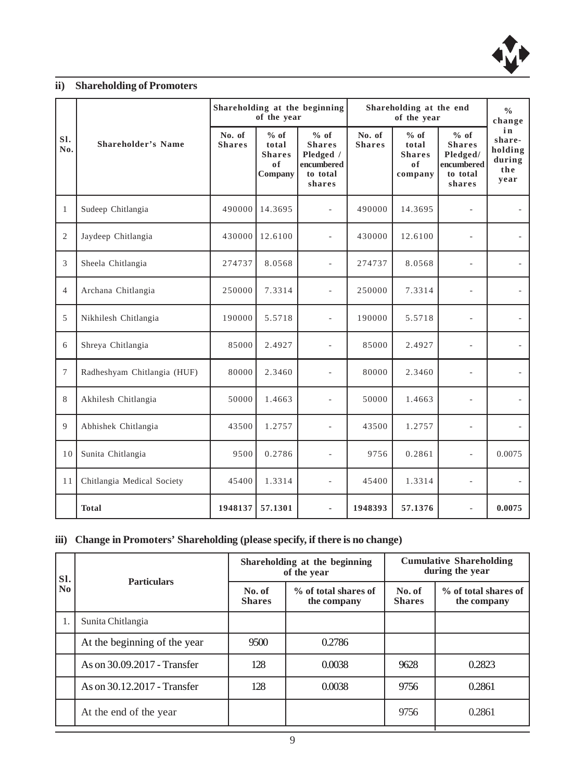

# **ii) Shareholding of Promoters**

|                |                             | Shareholding at the beginning<br>of the year |                                                   |                                                                        | Shareholding at the end | $\frac{0}{0}$<br>change                           |                                                                       |                                                  |
|----------------|-----------------------------|----------------------------------------------|---------------------------------------------------|------------------------------------------------------------------------|-------------------------|---------------------------------------------------|-----------------------------------------------------------------------|--------------------------------------------------|
| SI.<br>No.     | <b>Shareholder's Name</b>   | No. of<br><b>Shares</b>                      | $%$ of<br>total<br><b>Shares</b><br>0f<br>Company | % of<br><b>Shares</b><br>Pledged /<br>encumbered<br>to total<br>shares | No. of<br><b>Shares</b> | $%$ of<br>total<br><b>Shares</b><br>0f<br>company | % of<br><b>Shares</b><br>Pledged/<br>encumbered<br>to total<br>shares | in<br>share-<br>holding<br>during<br>the<br>year |
| $\mathbf{1}$   | Sudeep Chitlangia           | 490000                                       | 14.3695                                           | $\overline{a}$                                                         | 490000                  | 14.3695                                           |                                                                       |                                                  |
| $\overline{2}$ | Jaydeep Chitlangia          | 430000                                       | 12.6100                                           | L.                                                                     | 430000                  | 12.6100                                           |                                                                       |                                                  |
| 3              | Sheela Chitlangia           | 274737                                       | 8.0568                                            | L,                                                                     | 274737                  | 8.0568                                            | $\overline{a}$                                                        |                                                  |
| $\overline{4}$ | Archana Chitlangia          | 250000                                       | 7.3314                                            |                                                                        | 250000                  | 7.3314                                            | ٠                                                                     |                                                  |
| 5              | Nikhilesh Chitlangia        | 190000                                       | 5.5718                                            |                                                                        | 190000                  | 5.5718                                            |                                                                       |                                                  |
| 6              | Shreya Chitlangia           | 85000                                        | 2.4927                                            | L.                                                                     | 85000                   | 2.4927                                            |                                                                       | $\overline{\phantom{a}}$                         |
| $\tau$         | Radheshyam Chitlangia (HUF) | 80000                                        | 2.3460                                            |                                                                        | 80000                   | 2.3460                                            |                                                                       |                                                  |
| 8              | Akhilesh Chitlangia         | 50000                                        | 1.4663                                            | ÷.                                                                     | 50000                   | 1.4663                                            |                                                                       |                                                  |
| 9              | Abhishek Chitlangia         | 43500                                        | 1.2757                                            | L,                                                                     | 43500                   | 1.2757                                            | ÷.                                                                    | ٠                                                |
| 10             | Sunita Chitlangia           | 9500                                         | 0.2786                                            |                                                                        | 9756                    | 0.2861                                            | L                                                                     | 0.0075                                           |
| 11             | Chitlangia Medical Society  | 45400                                        | 1.3314                                            |                                                                        | 45400                   | 1.3314                                            |                                                                       | $\overline{\phantom{a}}$                         |
|                | <b>Total</b>                | 1948137                                      | 57.1301                                           |                                                                        | 1948393                 | 57.1376                                           | ÷                                                                     | 0.0075                                           |

# **iii) Change in Promoters' Shareholding (please specify, if there is no change)**

| SI.<br>N <sub>0</sub> | <b>Particulars</b>           |                         | Shareholding at the beginning<br>of the year | <b>Cumulative Shareholding</b><br>during the year |                                     |  |
|-----------------------|------------------------------|-------------------------|----------------------------------------------|---------------------------------------------------|-------------------------------------|--|
|                       |                              | No. of<br><b>Shares</b> | % of total shares of<br>the company          | No. of<br><b>Shares</b>                           | % of total shares of<br>the company |  |
|                       | Sunita Chitlangia            |                         |                                              |                                                   |                                     |  |
|                       | At the beginning of the year | 9500                    | 0.2786                                       |                                                   |                                     |  |
|                       | As on 30.09.2017 - Transfer  | 128                     | 0.0038                                       | 9628                                              | 0.2823                              |  |
|                       | As on 30.12.2017 - Transfer  | 128                     | 0.0038                                       | 9756                                              | 0.2861                              |  |
|                       | At the end of the year       |                         |                                              | 9756                                              | 0.2861                              |  |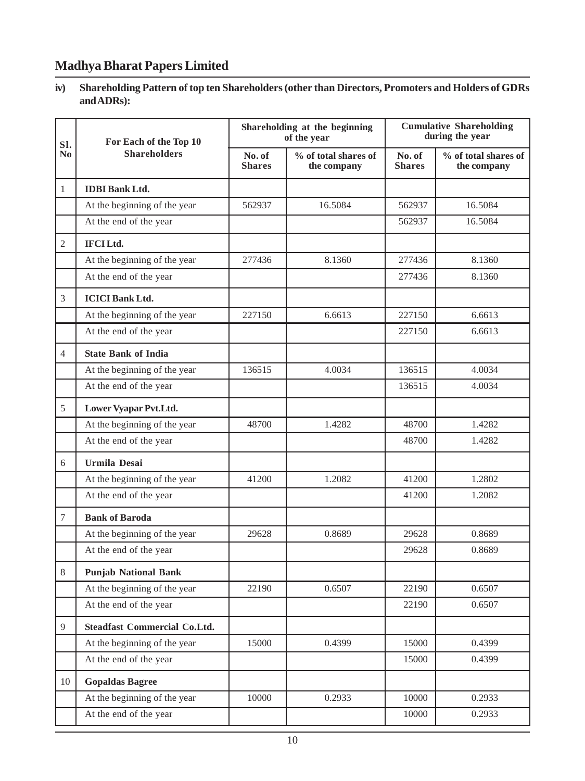## **iv) Shareholding Pattern of top ten Shareholders (other than Directors, Promoters and Holders of GDRs and ADRs):**

| SI.            | For Each of the Top 10              |                         | Shareholding at the beginning<br>of the year | <b>Cumulative Shareholding</b><br>during the year |                                     |
|----------------|-------------------------------------|-------------------------|----------------------------------------------|---------------------------------------------------|-------------------------------------|
| N <sub>0</sub> | <b>Shareholders</b>                 | No. of<br><b>Shares</b> | % of total shares of<br>the company          | No. of<br><b>Shares</b>                           | % of total shares of<br>the company |
| 1              | <b>IDBI</b> Bank Ltd.               |                         |                                              |                                                   |                                     |
|                | At the beginning of the year        | 562937                  | 16.5084                                      | 562937                                            | 16.5084                             |
|                | At the end of the year              |                         |                                              | 562937                                            | 16.5084                             |
| $\overline{2}$ | <b>IFCILtd.</b>                     |                         |                                              |                                                   |                                     |
|                | At the beginning of the year        | 277436                  | 8.1360                                       | 277436                                            | 8.1360                              |
|                | At the end of the year              |                         |                                              | 277436                                            | 8.1360                              |
| 3              | <b>ICICI Bank Ltd.</b>              |                         |                                              |                                                   |                                     |
|                | At the beginning of the year        | 227150                  | 6.6613                                       | 227150                                            | 6.6613                              |
|                | At the end of the year              |                         |                                              | 227150                                            | 6.6613                              |
| $\overline{4}$ | <b>State Bank of India</b>          |                         |                                              |                                                   |                                     |
|                | At the beginning of the year        | 136515                  | 4.0034                                       | 136515                                            | 4.0034                              |
|                | At the end of the year              |                         |                                              | 136515                                            | 4.0034                              |
| 5              | Lower Vyapar Pvt.Ltd.               |                         |                                              |                                                   |                                     |
|                | At the beginning of the year        | 48700                   | 1.4282                                       | 48700                                             | 1.4282                              |
|                | At the end of the year              |                         |                                              | 48700                                             | 1.4282                              |
| 6              | <b>Urmila Desai</b>                 |                         |                                              |                                                   |                                     |
|                | At the beginning of the year        | 41200                   | 1.2082                                       | 41200                                             | 1.2802                              |
|                | At the end of the year              |                         |                                              | 41200                                             | 1.2082                              |
| $\tau$         | <b>Bank of Baroda</b>               |                         |                                              |                                                   |                                     |
|                | At the beginning of the year        | 29628                   | 0.8689                                       | 29628                                             | 0.8689                              |
|                | At the end of the year              |                         |                                              | 29628                                             | 0.8689                              |
| 8              | <b>Punjab National Bank</b>         |                         |                                              |                                                   |                                     |
|                | At the beginning of the year        | 22190                   | 0.6507                                       | 22190                                             | 0.6507                              |
|                | At the end of the year              |                         |                                              | 22190                                             | 0.6507                              |
| 9              | <b>Steadfast Commercial Co.Ltd.</b> |                         |                                              |                                                   |                                     |
|                | At the beginning of the year        | 15000                   | 0.4399                                       | 15000                                             | 0.4399                              |
|                | At the end of the year              |                         |                                              | 15000                                             | 0.4399                              |
| 10             | <b>Gopaldas Bagree</b>              |                         |                                              |                                                   |                                     |
|                | At the beginning of the year        | 10000                   | 0.2933                                       | 10000                                             | 0.2933                              |
|                | At the end of the year              |                         |                                              | 10000                                             | 0.2933                              |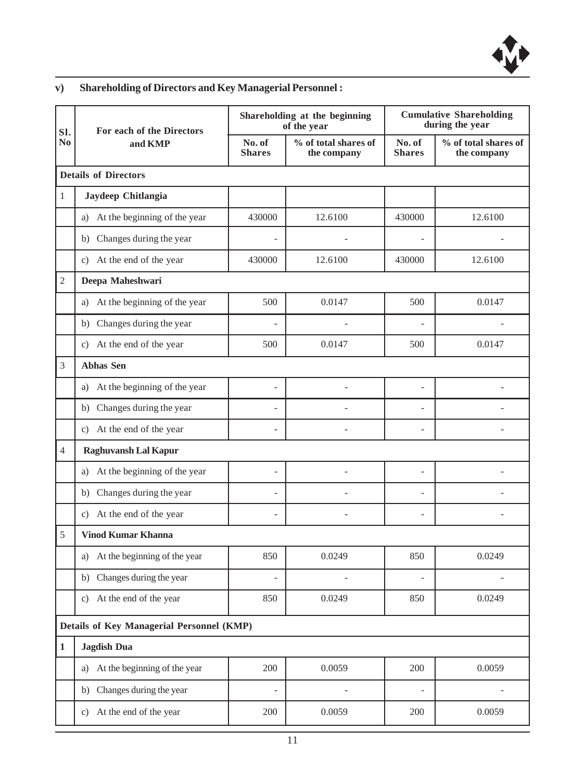

# **v) Shareholding of Directors and Key Managerial Personnel :**

| SI.            | For each of the Directors<br>and KMP      |                         | Shareholding at the beginning<br>of the year | <b>Cumulative Shareholding</b><br>during the year |                                     |
|----------------|-------------------------------------------|-------------------------|----------------------------------------------|---------------------------------------------------|-------------------------------------|
| No             |                                           | No. of<br><b>Shares</b> | % of total shares of<br>the company          | No. of<br><b>Shares</b>                           | % of total shares of<br>the company |
|                | <b>Details of Directors</b>               |                         |                                              |                                                   |                                     |
| $\mathbf{1}$   | Jaydeep Chitlangia                        |                         |                                              |                                                   |                                     |
|                | At the beginning of the year<br>a)        | 430000                  | 12.6100                                      | 430000                                            | 12.6100                             |
|                | Changes during the year<br>b)             |                         |                                              |                                                   |                                     |
|                | c) At the end of the year                 | 430000                  | 12.6100                                      | 430000                                            | 12.6100                             |
| $\mathfrak{2}$ | Deepa Maheshwari                          |                         |                                              |                                                   |                                     |
|                | At the beginning of the year<br>a)        | 500                     | 0.0147                                       | 500                                               | 0.0147                              |
|                | b) Changes during the year                |                         |                                              |                                                   |                                     |
|                | c) At the end of the year                 | 500                     | 0.0147                                       | 500                                               | 0.0147                              |
| 3              | <b>Abhas Sen</b>                          |                         |                                              |                                                   |                                     |
|                | At the beginning of the year<br>a)        |                         |                                              |                                                   |                                     |
|                | b) Changes during the year                | $\overline{a}$          |                                              | $\overline{a}$                                    |                                     |
|                | c) At the end of the year                 |                         |                                              |                                                   |                                     |
| $\overline{4}$ | <b>Raghuvansh Lal Kapur</b>               |                         |                                              |                                                   |                                     |
|                | At the beginning of the year<br>a)        | $\overline{a}$          |                                              | $\overline{a}$                                    |                                     |
|                | b) Changes during the year                | $\overline{a}$          |                                              | $\overline{a}$                                    |                                     |
|                | c) At the end of the year                 |                         |                                              | $\overline{a}$                                    |                                     |
| 5              | <b>Vinod Kumar Khanna</b>                 |                         |                                              |                                                   |                                     |
|                | a) At the beginning of the year           | 850                     | 0.0249                                       | 850                                               | 0.0249                              |
|                | b) Changes during the year                |                         |                                              |                                                   |                                     |
|                | c) At the end of the year                 | 850                     | 0.0249                                       | 850                                               | 0.0249                              |
|                | Details of Key Managerial Personnel (KMP) |                         |                                              |                                                   |                                     |
| $\mathbf 1$    | <b>Jagdish Dua</b>                        |                         |                                              |                                                   |                                     |
|                | a) At the beginning of the year           | 200                     | 0.0059                                       | 200                                               | 0.0059                              |
|                | b) Changes during the year                |                         |                                              |                                                   |                                     |
|                | c) At the end of the year                 | 200                     | 0.0059                                       | 200                                               | 0.0059                              |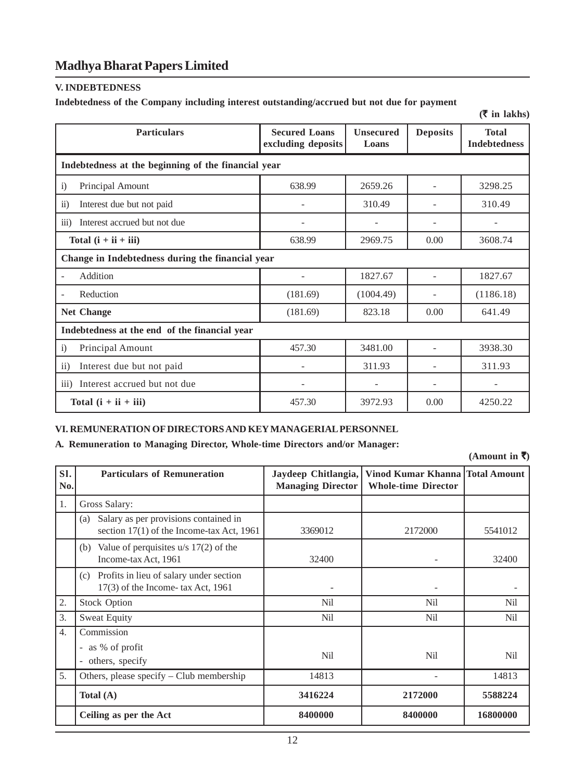#### **V. INDEBTEDNESS**

#### **Indebtedness of the Company including interest outstanding/accrued but not due for payment**

|                                                     |                                            |                           |                 | (111111)                            |  |  |  |  |
|-----------------------------------------------------|--------------------------------------------|---------------------------|-----------------|-------------------------------------|--|--|--|--|
| <b>Particulars</b>                                  | <b>Secured Loans</b><br>excluding deposits | <b>Unsecured</b><br>Loans | <b>Deposits</b> | <b>Total</b><br><b>Indebtedness</b> |  |  |  |  |
| Indebtedness at the beginning of the financial year |                                            |                           |                 |                                     |  |  |  |  |
| Principal Amount<br>$\ddot{1}$                      | 638.99                                     | 2659.26                   |                 | 3298.25                             |  |  |  |  |
| Interest due but not paid<br>$\ddot{11}$            |                                            | 310.49                    |                 | 310.49                              |  |  |  |  |
| iii)<br>Interest accrued but not due                |                                            |                           |                 |                                     |  |  |  |  |
| Total $(i + ii + iii)$                              | 638.99                                     | 2969.75                   | 0.00            | 3608.74                             |  |  |  |  |
| Change in Indebtedness during the financial year    |                                            |                           |                 |                                     |  |  |  |  |
| Addition                                            |                                            | 1827.67                   |                 | 1827.67                             |  |  |  |  |
| Reduction                                           | (181.69)                                   | (1004.49)                 |                 | (1186.18)                           |  |  |  |  |
| <b>Net Change</b>                                   | (181.69)                                   | 823.18                    | 0.00            | 641.49                              |  |  |  |  |
| Indebtedness at the end of the financial year       |                                            |                           |                 |                                     |  |  |  |  |
| Principal Amount<br>$\ddot{1}$                      | 457.30                                     | 3481.00                   |                 | 3938.30                             |  |  |  |  |
| $\rm ii)$<br>Interest due but not paid              |                                            | 311.93                    |                 | 311.93                              |  |  |  |  |
| iii)<br>Interest accrued but not due                | $\overline{\phantom{a}}$                   | $\overline{\phantom{a}}$  |                 |                                     |  |  |  |  |
| Total $(i + ii + iii)$                              | 457.30                                     | 3972.93                   | 0.00            | 4250.22                             |  |  |  |  |

## **VI. REMUNERATION OF DIRECTORS AND KEY MANAGERIAL PERSONNEL**

#### **A. Remuneration to Managing Director, Whole-time Directors and/or Manager:**

**(Amount in** `**)**

 $(\bar{z}$  in lakhs)

| SI.<br>No.       | <b>Particulars of Remuneration</b>                                                        | Jaydeep Chitlangia,<br><b>Managing Director</b> | Vinod Kumar Khanna Total Amount<br><b>Whole-time Director</b> |          |
|------------------|-------------------------------------------------------------------------------------------|-------------------------------------------------|---------------------------------------------------------------|----------|
| 1.               | Gross Salary:                                                                             |                                                 |                                                               |          |
|                  | Salary as per provisions contained in<br>(a)<br>section 17(1) of the Income-tax Act, 1961 | 3369012                                         | 2172000                                                       | 5541012  |
|                  | Value of perquisites $u/s$ 17(2) of the<br>(b)<br>Income-tax Act, 1961                    | 32400                                           |                                                               | 32400    |
|                  | Profits in lieu of salary under section<br>(c)<br>$17(3)$ of the Income- tax Act, 1961    |                                                 |                                                               |          |
| 2.               | <b>Stock Option</b>                                                                       | Nil                                             | Nil                                                           | Nil      |
| 3.               | <b>Sweat Equity</b>                                                                       | Nil                                             | Nil                                                           | Nil      |
| $\overline{4}$ . | Commission                                                                                |                                                 |                                                               |          |
|                  | - as % of profit<br>others, specify                                                       | Nil                                             | Nil                                                           | Nil      |
| 5.               | Others, please specify $-$ Club membership                                                | 14813                                           |                                                               | 14813    |
|                  | Total $(A)$                                                                               | 3416224                                         | 2172000                                                       | 5588224  |
|                  | Ceiling as per the Act                                                                    | 8400000                                         | 8400000                                                       | 16800000 |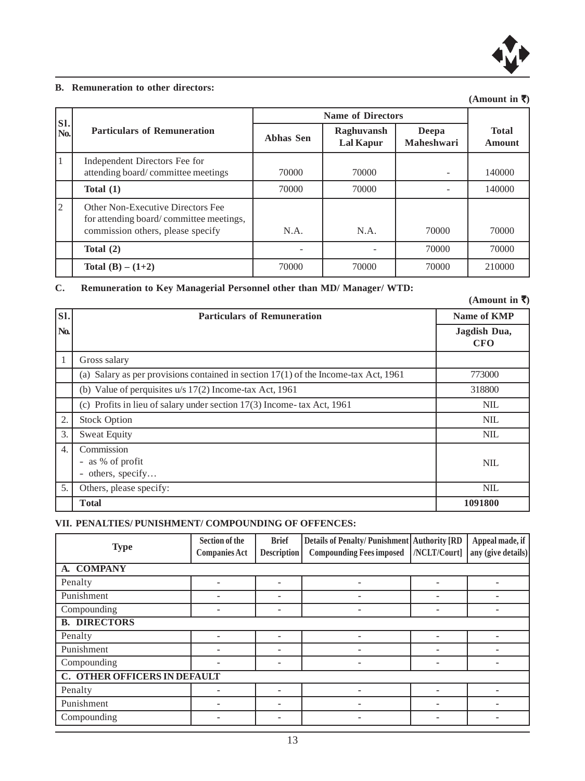

#### **B. Remuneration to other directors:**

## **(Amount in** `**)**

|             | <b>Name of Directors</b>                                                                                          |           |                         |                     |                        |
|-------------|-------------------------------------------------------------------------------------------------------------------|-----------|-------------------------|---------------------|------------------------|
| SI.<br>No.  | <b>Particulars of Remuneration</b>                                                                                | Abhas Sen | Raghuvansh<br>Lal Kapur | Deepa<br>Maheshwari | <b>Total</b><br>Amount |
| 1           | Independent Directors Fee for<br>attending board/committee meetings                                               | 70000     | 70000                   |                     | 140000                 |
|             | Total $(1)$                                                                                                       | 70000     | 70000                   |                     | 140000                 |
| $ 2\rangle$ | Other Non-Executive Directors Fee<br>for attending board/committee meetings,<br>commission others, please specify | N.A.      | N.A.                    | 70000               | 70000                  |
|             | Total $(2)$                                                                                                       |           |                         | 70000               | 70000                  |
|             | Total $(B) - (1+2)$                                                                                               | 70000     | 70000                   | 70000               | 210000                 |

## **C. Remuneration to Key Managerial Personnel other than MD/ Manager/ WTD:**

**(Amount in** `**)**

| SI.              | <b>Particulars of Remuneration</b>                                                    | Name of KMP                |
|------------------|---------------------------------------------------------------------------------------|----------------------------|
| No.              |                                                                                       | Jagdish Dua,<br><b>CFO</b> |
| $\mathbf{1}$     | Gross salary                                                                          |                            |
|                  | (a) Salary as per provisions contained in section $17(1)$ of the Income-tax Act, 1961 | 773000                     |
|                  | (b) Value of perquisites $u/s$ 17(2) Income-tax Act, 1961                             | 318800                     |
|                  | (c) Profits in lieu of salary under section $17(3)$ Income-tax Act, 1961              | NIL.                       |
| 2.               | <b>Stock Option</b>                                                                   | <b>NIL</b>                 |
| 3.               | <b>Sweat Equity</b>                                                                   | <b>NIL</b>                 |
| $\overline{4}$ . | Commission<br>- as % of profit<br>- others, specify                                   | NIL                        |
| 5.               | Others, please specify:                                                               | <b>NIL</b>                 |
|                  | <b>Total</b>                                                                          | 1091800                    |

# **VII. PENALTIES/ PUNISHMENT/ COMPOUNDING OF OFFENCES:**

| <b>Type</b>                  | Section of the<br><b>Companies Act</b> | <b>Brief</b><br><b>Description</b> | Details of Penalty/Punishment   Authority [RD<br><b>Compounding Fees imposed</b> | /NCLT/Court] | Appeal made, if<br>any (give details) |
|------------------------------|----------------------------------------|------------------------------------|----------------------------------------------------------------------------------|--------------|---------------------------------------|
| A. COMPANY                   |                                        |                                    |                                                                                  |              |                                       |
| Penalty                      |                                        | ۰                                  |                                                                                  |              |                                       |
| Punishment                   | ۰                                      | ۰                                  | ۰                                                                                | ۰            | ۰                                     |
| Compounding                  |                                        | ۰                                  |                                                                                  | ۰            |                                       |
| <b>B. DIRECTORS</b>          |                                        |                                    |                                                                                  |              |                                       |
| Penalty                      |                                        |                                    |                                                                                  | ٠            |                                       |
| Punishment                   |                                        | ۰                                  |                                                                                  |              |                                       |
| Compounding                  |                                        | ۰                                  |                                                                                  | ۰            |                                       |
| C. OTHER OFFICERS IN DEFAULT |                                        |                                    |                                                                                  |              |                                       |
| Penalty                      |                                        | -                                  |                                                                                  |              |                                       |
| Punishment                   |                                        | ۰                                  |                                                                                  | ۰            |                                       |
| Compounding                  |                                        |                                    |                                                                                  |              |                                       |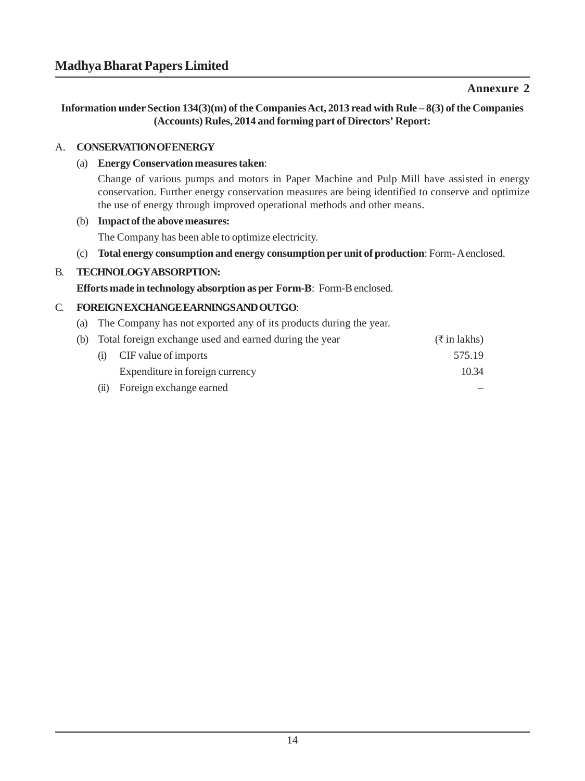# **Annexure 2**

**Information under Section 134(3)(m) of the Companies Act, 2013 read with Rule – 8(3) of the Companies (Accounts) Rules, 2014 and forming part of Directors' Report:**

## A. **CONSERVATION OF ENERGY**

## (a) **Energy Conservation measures taken**:

Change of various pumps and motors in Paper Machine and Pulp Mill have assisted in energy conservation. Further energy conservation measures are being identified to conserve and optimize the use of energy through improved operational methods and other means.

## (b) **Impact of the above measures:**

The Company has been able to optimize electricity.

(c) **Total energy consumption and energy consumption per unit of production**: Form- A enclosed.

# B. **TECHNOLOGY ABSORPTION:**

**Efforts made in technology absorption as per Form-B**: Form-B enclosed.

# C. **FOREIGN EXCHANGE EARNINGS AND OUTGO**:

(a) The Company has not exported any of its products during the year.

|     | (b) Total foreign exchange used and earned during the year | $(\xi$ in lakhs) |
|-----|------------------------------------------------------------|------------------|
| (i) | CIF value of imports                                       | 575.19           |
|     | Expenditure in foreign currency                            | 10.34            |
| (i) | Foreign exchange earned                                    |                  |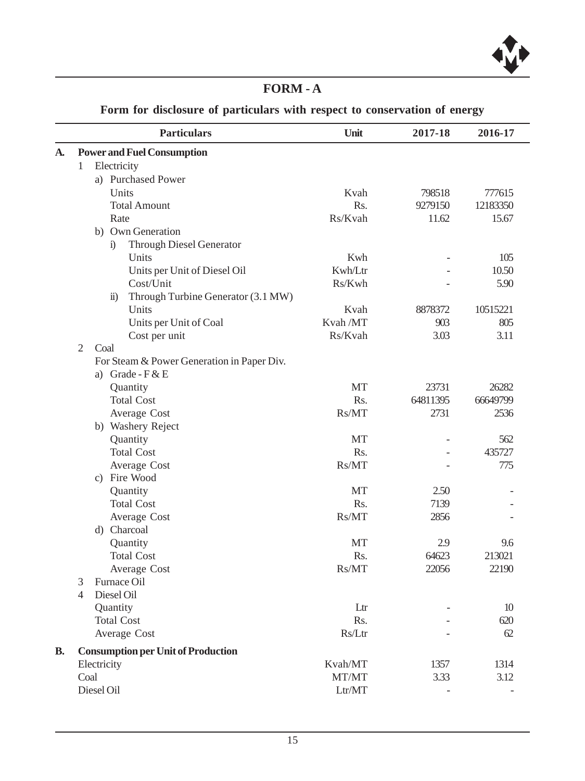# **FORM - A**

**Form for disclosure of particulars with respect to conservation of energy**

|           |                | <b>Particulars</b>                                 | Unit      | 2017-18  | 2016-17  |
|-----------|----------------|----------------------------------------------------|-----------|----------|----------|
| A.        |                | <b>Power and Fuel Consumption</b>                  |           |          |          |
|           | 1              | Electricity                                        |           |          |          |
|           |                | a) Purchased Power                                 |           |          |          |
|           |                | Units                                              | Kvah      | 798518   | 777615   |
|           |                | <b>Total Amount</b>                                | Rs.       | 9279150  | 12183350 |
|           |                | Rate                                               | Rs/Kvah   | 11.62    | 15.67    |
|           |                | b) Own Generation                                  |           |          |          |
|           |                | <b>Through Diesel Generator</b><br>i)              |           |          |          |
|           |                | Units                                              | Kwh       |          | 105      |
|           |                | Units per Unit of Diesel Oil                       | Kwh/Ltr   |          | 10.50    |
|           |                | Cost/Unit                                          | Rs/Kwh    |          | 5.90     |
|           |                | Through Turbine Generator (3.1 MW)<br>$\ddot{u}$ ) |           |          |          |
|           |                | Units                                              | Kvah      | 8878372  | 10515221 |
|           |                | Units per Unit of Coal                             | Kvah /MT  | 903      | 805      |
|           |                | Cost per unit                                      | Rs/Kvah   | 3.03     | 3.11     |
|           | $\overline{2}$ | Coal                                               |           |          |          |
|           |                | For Steam & Power Generation in Paper Div.         |           |          |          |
|           |                | a) Grade - $F & E$                                 |           |          |          |
|           |                | Quantity                                           | <b>MT</b> | 23731    | 26282    |
|           |                | <b>Total Cost</b>                                  | Rs.       | 64811395 | 66649799 |
|           |                | Average Cost                                       | Rs/MT     | 2731     | 2536     |
|           |                | b) Washery Reject                                  |           |          |          |
|           |                | Quantity                                           | MT        |          | 562      |
|           |                | <b>Total Cost</b>                                  | Rs.       |          | 435727   |
|           |                | Average Cost                                       | Rs/MT     |          | 775      |
|           |                | c) Fire Wood                                       |           |          |          |
|           |                | Quantity                                           | MT        | 2.50     |          |
|           |                | <b>Total Cost</b>                                  | Rs.       | 7139     |          |
|           |                | Average Cost                                       | Rs/MT     | 2856     |          |
|           |                | d) Charcoal                                        |           |          |          |
|           |                | Quantity                                           | MT        | 2.9      | 9.6      |
|           |                | <b>Total Cost</b>                                  | Rs.       | 64623    | 213021   |
|           |                | Average Cost                                       | Rs/MT     | 22056    | 22190    |
|           | 3              | Furnace Oil                                        |           |          |          |
|           | 4              | Diesel Oil                                         |           |          |          |
|           |                | Quantity                                           | Ltr       |          | $10$     |
|           |                | <b>Total Cost</b>                                  | Rs.       |          | 620      |
|           |                | Average Cost                                       | Rs/Ltr    |          | 62       |
| <b>B.</b> |                | <b>Consumption per Unit of Production</b>          |           |          |          |
|           |                | Electricity                                        | Kvah/MT   | 1357     | 1314     |
|           |                | Coal                                               | MT/MT     | 3.33     | 3.12     |
|           |                | Diesel Oil                                         | Ltr/MT    |          |          |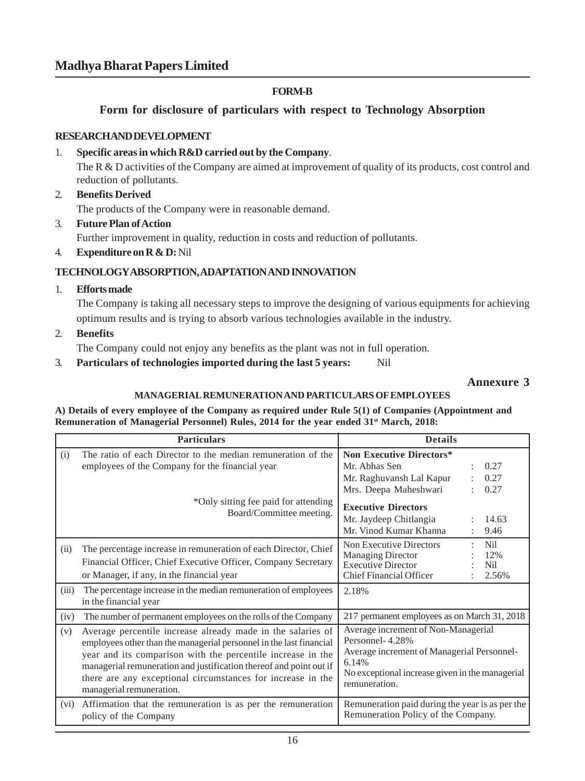## **FORM-B**

**Form for disclosure of particulars with respect to Technology Absorption**

#### **RESEARCH AND DEVELOPMENT**

#### 1. **Specific areas in which R&D carried out by the Company**.

The  $R \& D$  activities of the Company are aimed at improvement of quality of its products, cost control and reduction of pollutants.

- 2. **Benefits Derived** The products of the Company were in reasonable demand.
- 3. **Future Plan of Action** Further improvement in quality, reduction in costs and reduction of pollutants.
- 4. **Expenditure on R & D:** Nil

## **TECHNOLOGY ABSORPTION, ADAPTATION AND INNOVATION**

1. **Efforts made**

The Company is taking all necessary steps to improve the designing of various equipments for achieving optimum results and is trying to absorb various technologies available in the industry.

2. **Benefits**

The Company could not enjoy any benefits as the plant was not in full operation.

3. **Particulars of technologies imported during the last 5 years:** Nil

## **Annexure 3**

# **MANAGERIAL REMUNERATION AND PARTICULARS OF EMPLOYEES**

**A) Details of every employee of the Company as required under Rule 5(1) of Companies (Appointment and Remuneration of Managerial Personnel) Rules, 2014 for the year ended 31st March, 2018:**

|       | <b>Particulars</b>                                                                                                                                                                                                                                                                                                                                                 | <b>Details</b>                                                                                                                                                                    |  |  |
|-------|--------------------------------------------------------------------------------------------------------------------------------------------------------------------------------------------------------------------------------------------------------------------------------------------------------------------------------------------------------------------|-----------------------------------------------------------------------------------------------------------------------------------------------------------------------------------|--|--|
| (i)   | The ratio of each Director to the median remuneration of the<br>employees of the Company for the financial year                                                                                                                                                                                                                                                    | <b>Non Executive Directors*</b><br>Mr. Abhas Sen<br>0.27<br>Mr. Raghuvansh Lal Kapur<br>0.27<br>Mrs. Deepa Maheshwari<br>0.27                                                     |  |  |
|       | *Only sitting fee paid for attending<br>Board/Committee meeting.                                                                                                                                                                                                                                                                                                   | <b>Executive Directors</b><br>Mr. Jaydeep Chitlangia<br>14.63<br>Mr. Vinod Kumar Khanna<br>9.46                                                                                   |  |  |
| (ii)  | The percentage increase in remuneration of each Director, Chief<br>Financial Officer, Chief Executive Officer, Company Secretary<br>or Manager, if any, in the financial year                                                                                                                                                                                      | Non Executive Directors<br>Nil<br>Managing Director<br>12%<br><b>Executive Director</b><br>Nil<br><b>Chief Financial Officer</b><br>2.56%                                         |  |  |
| (iii) | The percentage increase in the median remuneration of employees<br>in the financial year                                                                                                                                                                                                                                                                           | 2.18%                                                                                                                                                                             |  |  |
| (iv)  | The number of permanent employees on the rolls of the Company                                                                                                                                                                                                                                                                                                      | 217 permanent employees as on March 31, 2018                                                                                                                                      |  |  |
| (v)   | Average percentile increase already made in the salaries of<br>employees other than the managerial personnel in the last financial<br>year and its comparison with the percentile increase in the<br>managerial remuneration and justification thereof and point out if<br>there are any exceptional circumstances for increase in the<br>managerial remuneration. | Average increment of Non-Managerial<br>Personnel-4.28%<br>Average increment of Managerial Personnel-<br>6.14%<br>No exceptional increase given in the managerial<br>remuneration. |  |  |
| (vi)  | Affirmation that the remuneration is as per the remuneration<br>policy of the Company                                                                                                                                                                                                                                                                              | Remuneration paid during the year is as per the<br>Remuneration Policy of the Company.                                                                                            |  |  |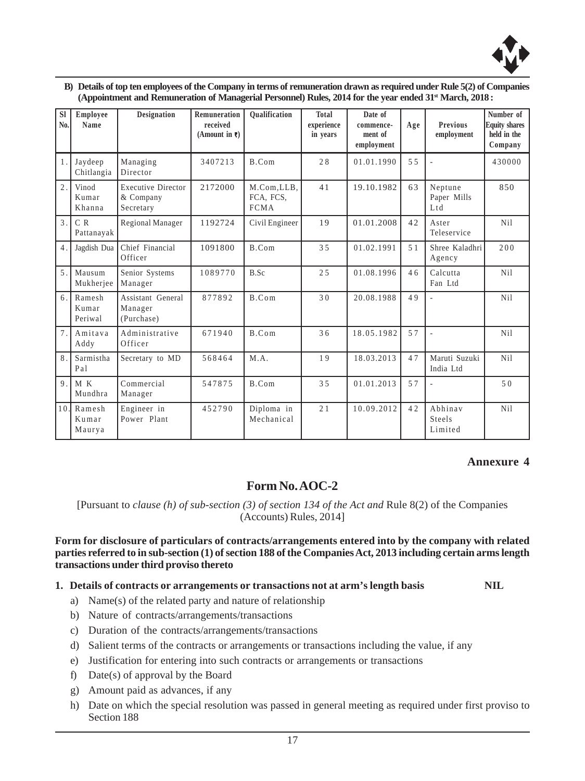

| B) Details of top ten employees of the Company in terms of remuneration drawn as required under Rule 5(2) of Companies |
|------------------------------------------------------------------------------------------------------------------------|
| (Appointment and Remuneration of Managerial Personnel) Rules, 2014 for the year ended $31st$ March, 2018:              |

| <b>SI</b><br>No. | Employee<br>Name           | <b>Designation</b>                                  | Remuneration<br>received<br>(Amount in $\overline{\tau}$ ) | <b>Oualification</b>                   | <b>Total</b><br>experience<br>in vears | Date of<br>commence-<br>ment of<br>employment | Age | <b>Previous</b><br>employment | Number of<br><b>Equity shares</b><br>held in the<br>Company |
|------------------|----------------------------|-----------------------------------------------------|------------------------------------------------------------|----------------------------------------|----------------------------------------|-----------------------------------------------|-----|-------------------------------|-------------------------------------------------------------|
| $\mathbf{1}$     | Jaydeep<br>Chitlangia      | Managing<br>Director                                | 3407213                                                    | B.Com                                  | 28                                     | 01.01.1990                                    | 5.5 |                               | 430000                                                      |
| $\mathfrak{2}$   | Vinod<br>Kumar<br>Khanna   | <b>Executive Director</b><br>& Company<br>Secretary | 2172000                                                    | M.Com,LLB,<br>FCA, FCS,<br><b>FCMA</b> | 41                                     | 19.10.1982                                    | 63  | Neptune<br>Paper Mills<br>Ltd | 850                                                         |
| $\mathcal{L}$    | C R<br>Pattanayak          | Regional Manager                                    | 1192724                                                    | Civil Engineer                         | 19                                     | 01.01.2008                                    | 42  | Aster<br>Teleservice          | N <sub>i</sub> l                                            |
| $\overline{4}$ . | Jagdish Dua                | Chief Financial<br>Officer                          | 1091800                                                    | B.Com                                  | 3.5                                    | 01.02.1991                                    | 51  | Shree Kaladhri<br>Agency      | 200                                                         |
| 5                | Mausum<br>Mukherjee        | Senior Systems<br>Manager                           | 1089770                                                    | B.Sc                                   | 25                                     | 01.08.1996                                    | 46  | Calcutta<br>Fan Ltd           | Ni1                                                         |
| 6                | Ramesh<br>Kumar<br>Periwal | Assistant General<br>Manager<br>(Purchase)          | 877892                                                     | B.Com                                  | 30                                     | 20.08.1988                                    | 49  | L.                            | N <sub>i</sub> l                                            |
| 7.               | Amitava<br>Addy            | Administrative<br>Officer                           | 671940                                                     | B.Com                                  | 36                                     | 18.05.1982                                    | 57  | J.                            | N <sub>i</sub> l                                            |
| 8                | Sarmistha<br>Pal           | Secretary to MD                                     | 568464                                                     | M.A.                                   | 19                                     | 18.03.2013                                    | 47  | Maruti Suzuki<br>India Ltd    | N <sub>i</sub> l                                            |
| $\mathbf Q$      | M K<br>Mundhra             | Commercial<br>Manager                               | 547875                                                     | B.Com                                  | 35                                     | 01.01.2013                                    | 57  | L.                            | 50                                                          |
| 10               | Ramesh<br>Kumar<br>Maurya  | Engineer in<br>Power Plant                          | 452790                                                     | Diploma in<br>Mechanical               | 21                                     | 10.09.2012                                    | 42  | Abhinav<br>Steels<br>Limited  | N <sub>i</sub> l                                            |

# **Annexure 4**

# **Form No. AOC-2**

[Pursuant to *clause (h) of sub-section (3) of section 134 of the Act and* Rule 8(2) of the Companies (Accounts) Rules, 2014]

**Form for disclosure of particulars of contracts/arrangements entered into by the company with related parties referred to in sub-section (1) of section 188 of the Companies Act, 2013 including certain arms length transactions under third proviso thereto**

#### **1. Details of contracts or arrangements or transactions not at arm's length basis NIL**

- a) Name(s) of the related party and nature of relationship
- b) Nature of contracts/arrangements/transactions
- c) Duration of the contracts/arrangements/transactions
- d) Salient terms of the contracts or arrangements or transactions including the value, if any
- e) Justification for entering into such contracts or arrangements or transactions
- f) Date(s) of approval by the Board
- g) Amount paid as advances, if any
- h) Date on which the special resolution was passed in general meeting as required under first proviso to Section 188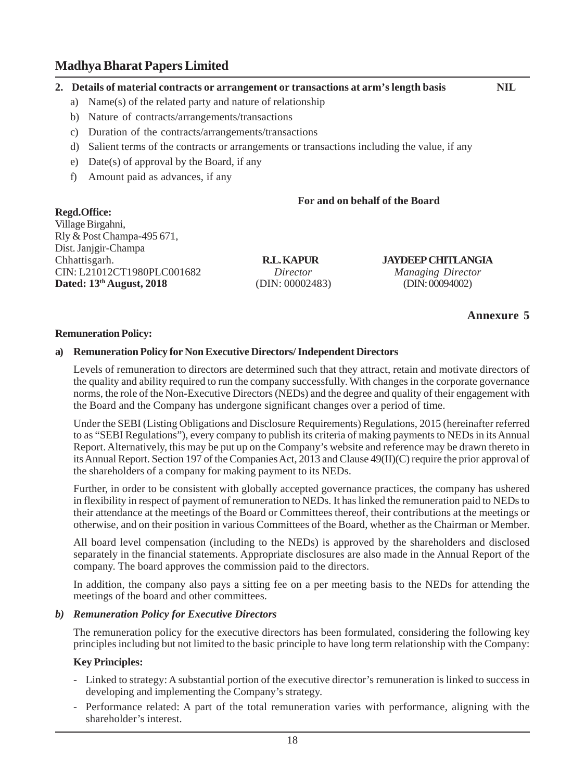#### **2. Details of material contracts or arrangement or transactions at arm's length basis NIL**

- a) Name(s) of the related party and nature of relationship
- b) Nature of contracts/arrangements/transactions
- c) Duration of the contracts/arrangements/transactions
- d) Salient terms of the contracts or arrangements or transactions including the value, if any
- e) Date(s) of approval by the Board, if any
- f) Amount paid as advances, if any

## **For and on behalf of the Board**

**Regd.Office:** Village Birgahni, Rly & Post Champa-495 671, Dist. Janjgir-Champa CIN: L21012CT1980PLC001682*Director Managing Director* **Dated: 13<sup>th</sup> August, 2018** (DIN: 00002483) (DIN: 00094002)

**R.L. KAPUR JAYDEEP CHITLANGIA**<br>Director Managing Director

**Annexure 5**

#### **Remuneration Policy:**

#### **a) Remuneration Policy for Non Executive Directors/ Independent Directors**

Levels of remuneration to directors are determined such that they attract, retain and motivate directors of the quality and ability required to run the company successfully. With changes in the corporate governance norms, the role of the Non-Executive Directors (NEDs) and the degree and quality of their engagement with the Board and the Company has undergone significant changes over a period of time.

Under the SEBI (Listing Obligations and Disclosure Requirements) Regulations, 2015 (hereinafter referred to as "SEBI Regulations"), every company to publish its criteria of making payments to NEDs in its Annual Report. Alternatively, this may be put up on the Company's website and reference may be drawn thereto in its Annual Report. Section 197 of the Companies Act, 2013 and Clause 49(II)(C) require the prior approval of the shareholders of a company for making payment to its NEDs.

Further, in order to be consistent with globally accepted governance practices, the company has ushered in flexibility in respect of payment of remuneration to NEDs. It has linked the remuneration paid to NEDs to their attendance at the meetings of the Board or Committees thereof, their contributions at the meetings or otherwise, and on their position in various Committees of the Board, whether as the Chairman or Member.

All board level compensation (including to the NEDs) is approved by the shareholders and disclosed separately in the financial statements. Appropriate disclosures are also made in the Annual Report of the company. The board approves the commission paid to the directors.

In addition, the company also pays a sitting fee on a per meeting basis to the NEDs for attending the meetings of the board and other committees.

#### *b) Remuneration Policy for Executive Directors*

The remuneration policy for the executive directors has been formulated, considering the following key principles including but not limited to the basic principle to have long term relationship with the Company:

#### **Key Principles:**

- Linked to strategy: A substantial portion of the executive director's remuneration is linked to success in developing and implementing the Company's strategy.
- Performance related: A part of the total remuneration varies with performance, aligning with the shareholder's interest.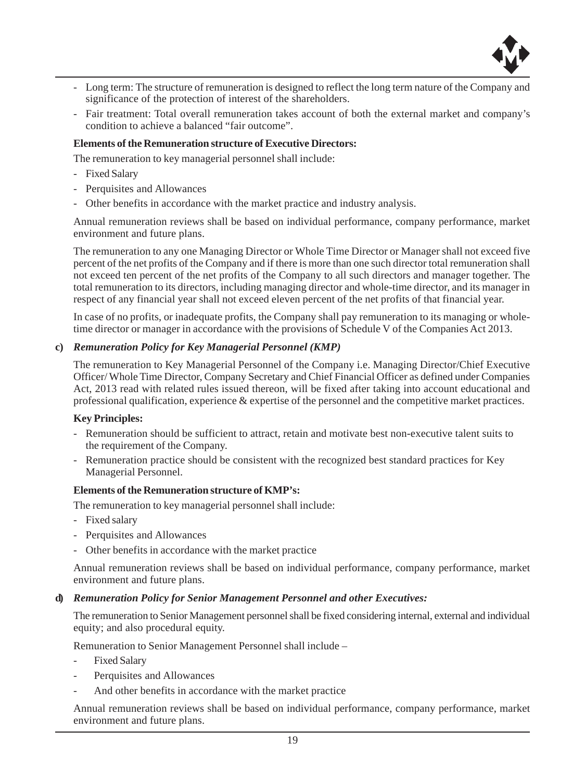

- Long term: The structure of remuneration is designed to reflect the long term nature of the Company and significance of the protection of interest of the shareholders.
- Fair treatment: Total overall remuneration takes account of both the external market and company's condition to achieve a balanced "fair outcome".

#### **Elements of the Remuneration structure of Executive Directors:**

The remuneration to key managerial personnel shall include:

- Fixed Salary
- Perquisites and Allowances
- Other benefits in accordance with the market practice and industry analysis.

Annual remuneration reviews shall be based on individual performance, company performance, market environment and future plans.

The remuneration to any one Managing Director or Whole Time Director or Manager shall not exceed five percent of the net profits of the Company and if there is more than one such director total remuneration shall not exceed ten percent of the net profits of the Company to all such directors and manager together. The total remuneration to its directors, including managing director and whole-time director, and its manager in respect of any financial year shall not exceed eleven percent of the net profits of that financial year.

In case of no profits, or inadequate profits, the Company shall pay remuneration to its managing or wholetime director or manager in accordance with the provisions of Schedule V of the Companies Act 2013.

#### **c)** *Remuneration Policy for Key Managerial Personnel (KMP)*

The remuneration to Key Managerial Personnel of the Company i.e. Managing Director/Chief Executive Officer/ Whole Time Director, Company Secretary and Chief Financial Officer as defined under Companies Act, 2013 read with related rules issued thereon, will be fixed after taking into account educational and professional qualification, experience & expertise of the personnel and the competitive market practices.

#### **Key Principles:**

- Remuneration should be sufficient to attract, retain and motivate best non-executive talent suits to the requirement of the Company.
- Remuneration practice should be consistent with the recognized best standard practices for Key Managerial Personnel.

#### **Elements of the Remuneration structure of KMP's:**

The remuneration to key managerial personnel shall include:

- Fixed salary
- Perquisites and Allowances
- Other benefits in accordance with the market practice

Annual remuneration reviews shall be based on individual performance, company performance, market environment and future plans.

#### **d)** *Remuneration Policy for Senior Management Personnel and other Executives:*

The remuneration to Senior Management personnel shall be fixed considering internal, external and individual equity; and also procedural equity.

Remuneration to Senior Management Personnel shall include –

- Fixed Salary
- Perquisites and Allowances
- And other benefits in accordance with the market practice

Annual remuneration reviews shall be based on individual performance, company performance, market environment and future plans.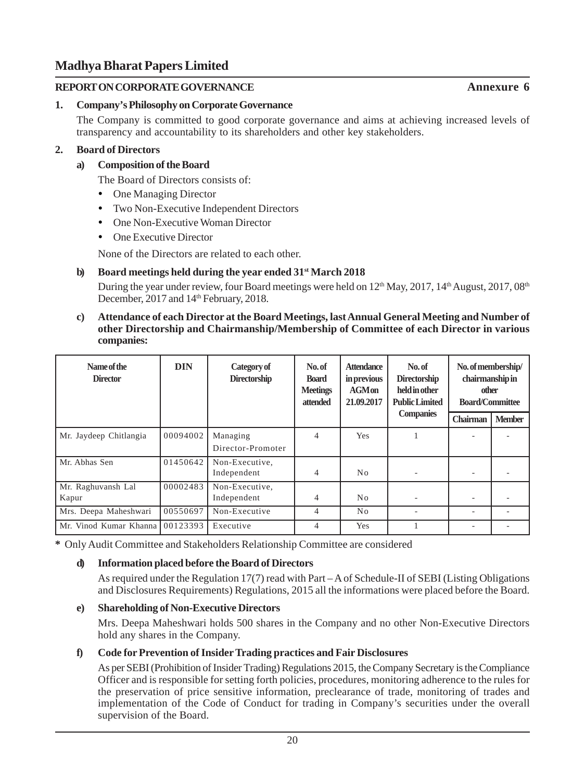## **REPORT ON CORPORATE GOVERNANCE**

## **1. Company's Philosophy on Corporate Governance**

The Company is committed to good corporate governance and aims at achieving increased levels of transparency and accountability to its shareholders and other key stakeholders.

## **2. Board of Directors**

## **a) Composition of the Board**

The Board of Directors consists of:

- One Managing Director
- Two Non-Executive Independent Directors
- One Non-Executive Woman Director
- One Executive Director

None of the Directors are related to each other.

## **b) Board meetings held during the year ended 31st March 2018**

During the year under review, four Board meetings were held on  $12<sup>th</sup>$  May, 2017,  $14<sup>th</sup>$  August, 2017,  $08<sup>th</sup>$ December, 2017 and 14<sup>th</sup> February, 2018.

**c) Attendance of each Director at the Board Meetings, last Annual General Meeting and Number of other Directorship and Chairmanship/Membership of Committee of each Director in various companies:**

| Name of the<br><b>Director</b> | <b>DIN</b> | Category of<br><b>Directorship</b> | No. of<br><b>Board</b><br><b>Meetings</b><br>attended | <b>Attendance</b><br>in previous<br>$AGM$ on<br>21.09.2017 | No.of<br><b>Directorship</b><br>held in other<br><b>Public Limited</b> | No. of membership/<br>chairmanship in<br>other<br><b>Board/Committee</b> |               |
|--------------------------------|------------|------------------------------------|-------------------------------------------------------|------------------------------------------------------------|------------------------------------------------------------------------|--------------------------------------------------------------------------|---------------|
|                                |            |                                    |                                                       |                                                            | <b>Companies</b>                                                       | Chairman                                                                 | <b>Member</b> |
| Mr. Jaydeep Chitlangia         | 00094002   | Managing<br>Director-Promoter      | 4                                                     | <b>Yes</b>                                                 |                                                                        |                                                                          |               |
| Mr. Abhas Sen                  | 01450642   | Non-Executive,<br>Independent      | $\overline{4}$                                        | No                                                         |                                                                        |                                                                          |               |
| Mr. Raghuvansh Lal<br>Kapur    | 00002483   | Non-Executive,<br>Independent      | 4                                                     | N <sub>0</sub>                                             |                                                                        |                                                                          |               |
| Mrs. Deepa Maheshwari          | 00550697   | Non-Executive                      | $\overline{4}$                                        | No                                                         |                                                                        |                                                                          |               |
| Mr. Vinod Kumar Khanna         | 00123393   | Executive                          | 4                                                     | <b>Yes</b>                                                 |                                                                        |                                                                          |               |

**\*** Only Audit Committee and Stakeholders Relationship Committee are considered

# **d) Information placed before the Board of Directors**

As required under the Regulation 17(7) read with Part – A of Schedule-II of SEBI (Listing Obligations and Disclosures Requirements) Regulations, 2015 all the informations were placed before the Board.

## **e) Shareholding of Non-Executive Directors**

Mrs. Deepa Maheshwari holds 500 shares in the Company and no other Non-Executive Directors hold any shares in the Company.

# **f) Code for Prevention of Insider Trading practices and Fair Disclosures**

As per SEBI (Prohibition of Insider Trading) Regulations 2015, the Company Secretary is the Compliance Officer and is responsible for setting forth policies, procedures, monitoring adherence to the rules for the preservation of price sensitive information, preclearance of trade, monitoring of trades and implementation of the Code of Conduct for trading in Company's securities under the overall supervision of the Board.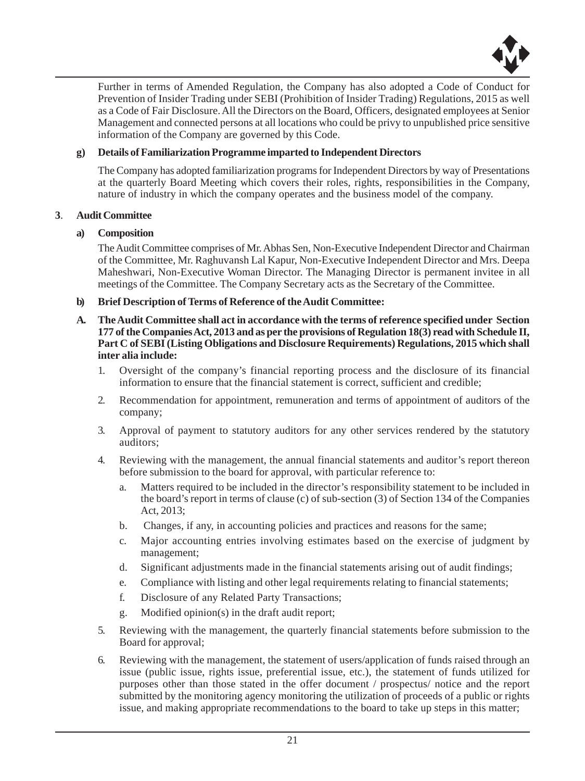

Further in terms of Amended Regulation, the Company has also adopted a Code of Conduct for Prevention of Insider Trading under SEBI (Prohibition of Insider Trading) Regulations, 2015 as well as a Code of Fair Disclosure. All the Directors on the Board, Officers, designated employees at Senior Management and connected persons at all locations who could be privy to unpublished price sensitive information of the Company are governed by this Code.

#### **g) Details of Familiarization Programme imparted to Independent Directors**

The Company has adopted familiarization programs for Independent Directors by way of Presentations at the quarterly Board Meeting which covers their roles, rights, responsibilities in the Company, nature of industry in which the company operates and the business model of the company.

#### **3**. **Audit Committee**

#### **a) Composition**

The Audit Committee comprises of Mr. Abhas Sen, Non-Executive Independent Director and Chairman of the Committee, Mr. Raghuvansh Lal Kapur, Non-Executive Independent Director and Mrs. Deepa Maheshwari, Non-Executive Woman Director. The Managing Director is permanent invitee in all meetings of the Committee. The Company Secretary acts as the Secretary of the Committee.

- **b) Brief Description of Terms of Reference of the Audit Committee:**
- **A. The Audit Committee shall act in accordance with the terms of reference specified under Section 177 of the Companies Act, 2013 and as per the provisions of Regulation 18(3) read with Schedule II, Part C of SEBI (Listing Obligations and Disclosure Requirements) Regulations, 2015 which shall inter alia include:**
	- 1. Oversight of the company's financial reporting process and the disclosure of its financial information to ensure that the financial statement is correct, sufficient and credible;
	- 2. Recommendation for appointment, remuneration and terms of appointment of auditors of the company;
	- 3. Approval of payment to statutory auditors for any other services rendered by the statutory auditors;
	- 4. Reviewing with the management, the annual financial statements and auditor's report thereon before submission to the board for approval, with particular reference to:
		- a. Matters required to be included in the director's responsibility statement to be included in the board's report in terms of clause (c) of sub-section (3) of Section 134 of the Companies Act, 2013;
		- b. Changes, if any, in accounting policies and practices and reasons for the same;
		- c. Major accounting entries involving estimates based on the exercise of judgment by management;
		- d. Significant adjustments made in the financial statements arising out of audit findings;
		- e. Compliance with listing and other legal requirements relating to financial statements;
		- f. Disclosure of any Related Party Transactions;
		- g. Modified opinion(s) in the draft audit report;
	- 5. Reviewing with the management, the quarterly financial statements before submission to the Board for approval;
	- 6. Reviewing with the management, the statement of users/application of funds raised through an issue (public issue, rights issue, preferential issue, etc.), the statement of funds utilized for purposes other than those stated in the offer document / prospectus/ notice and the report submitted by the monitoring agency monitoring the utilization of proceeds of a public or rights issue, and making appropriate recommendations to the board to take up steps in this matter;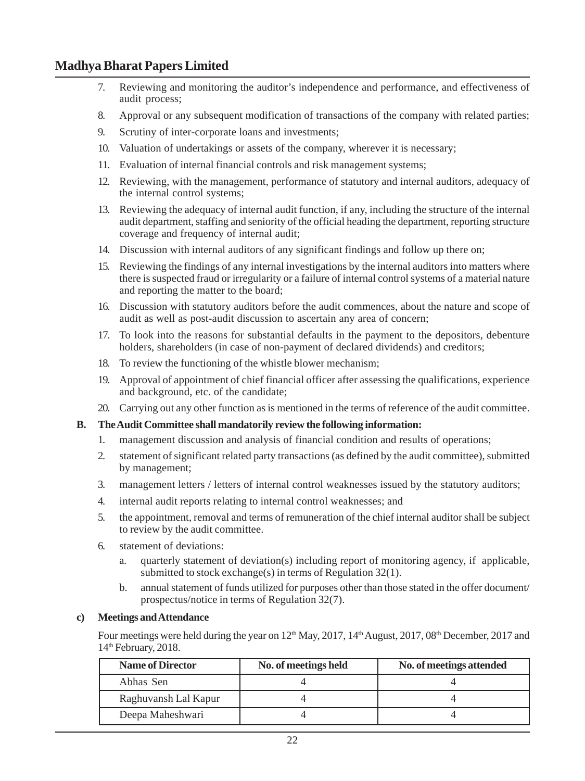- 7. Reviewing and monitoring the auditor's independence and performance, and effectiveness of audit process;
- 8. Approval or any subsequent modification of transactions of the company with related parties;
- 9. Scrutiny of inter-corporate loans and investments;
- 10. Valuation of undertakings or assets of the company, wherever it is necessary;
- 11. Evaluation of internal financial controls and risk management systems;
- 12. Reviewing, with the management, performance of statutory and internal auditors, adequacy of the internal control systems;
- 13. Reviewing the adequacy of internal audit function, if any, including the structure of the internal audit department, staffing and seniority of the official heading the department, reporting structure coverage and frequency of internal audit;
- 14. Discussion with internal auditors of any significant findings and follow up there on;
- 15. Reviewing the findings of any internal investigations by the internal auditors into matters where there is suspected fraud or irregularity or a failure of internal control systems of a material nature and reporting the matter to the board;
- 16. Discussion with statutory auditors before the audit commences, about the nature and scope of audit as well as post-audit discussion to ascertain any area of concern;
- 17. To look into the reasons for substantial defaults in the payment to the depositors, debenture holders, shareholders (in case of non-payment of declared dividends) and creditors;
- 18. To review the functioning of the whistle blower mechanism;
- 19. Approval of appointment of chief financial officer after assessing the qualifications, experience and background, etc. of the candidate;
- 20. Carrying out any other function as is mentioned in the terms of reference of the audit committee.

## **B. The Audit Committee shall mandatorily review the following information:**

- 1. management discussion and analysis of financial condition and results of operations;
- 2. statement of significant related party transactions (as defined by the audit committee), submitted by management;
- 3. management letters / letters of internal control weaknesses issued by the statutory auditors;
- 4. internal audit reports relating to internal control weaknesses; and
- 5. the appointment, removal and terms of remuneration of the chief internal auditor shall be subject to review by the audit committee.
- 6. statement of deviations:
	- a. quarterly statement of deviation(s) including report of monitoring agency, if applicable, submitted to stock exchange(s) in terms of Regulation 32(1).
	- b. annual statement of funds utilized for purposes other than those stated in the offer document/ prospectus/notice in terms of Regulation 32(7).

#### **c) Meetings and Attendance**

Four meetings were held during the year on 12<sup>th</sup> May, 2017, 14<sup>th</sup> August, 2017, 08<sup>th</sup> December, 2017 and 14<sup>th</sup> February, 2018.

| <b>Name of Director</b> | No. of meetings held | No. of meetings attended |
|-------------------------|----------------------|--------------------------|
| Abhas Sen               |                      |                          |
| Raghuvansh Lal Kapur    |                      |                          |
| Deepa Maheshwari        |                      |                          |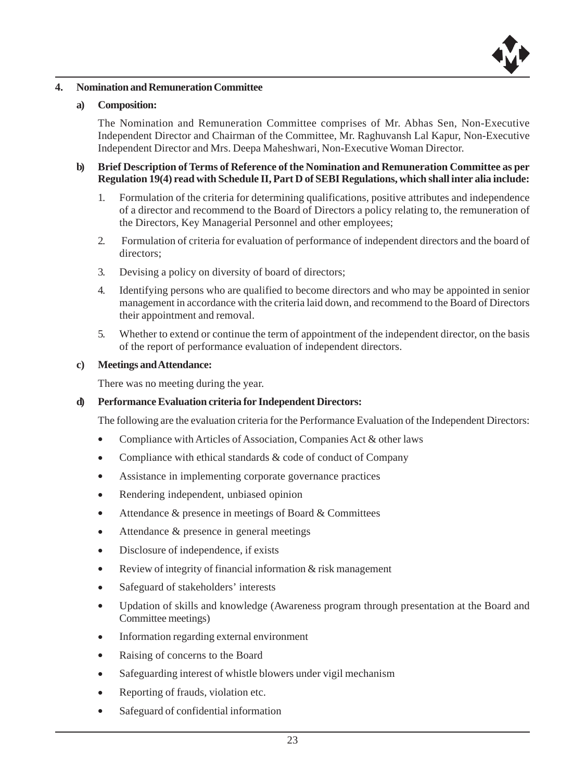

#### **4. Nomination and Remuneration Committee**

#### **a) Composition:**

The Nomination and Remuneration Committee comprises of Mr. Abhas Sen, Non-Executive Independent Director and Chairman of the Committee, Mr. Raghuvansh Lal Kapur, Non-Executive Independent Director and Mrs. Deepa Maheshwari, Non-Executive Woman Director.

- **b) Brief Description of Terms of Reference of the Nomination and Remuneration Committee as per Regulation 19(4) read with Schedule II, Part D of SEBI Regulations, which shall inter alia include:**
	- 1. Formulation of the criteria for determining qualifications, positive attributes and independence of a director and recommend to the Board of Directors a policy relating to, the remuneration of the Directors, Key Managerial Personnel and other employees;
	- 2. Formulation of criteria for evaluation of performance of independent directors and the board of directors;
	- 3. Devising a policy on diversity of board of directors;
	- 4. Identifying persons who are qualified to become directors and who may be appointed in senior management in accordance with the criteria laid down, and recommend to the Board of Directors their appointment and removal.
	- 5. Whether to extend or continue the term of appointment of the independent director, on the basis of the report of performance evaluation of independent directors.

#### **c) Meetings and Attendance:**

There was no meeting during the year.

#### **d) Performance Evaluation criteria for Independent Directors:**

The following are the evaluation criteria for the Performance Evaluation of the Independent Directors:

- Compliance with Articles of Association, Companies Act & other laws
- Compliance with ethical standards & code of conduct of Company
- Assistance in implementing corporate governance practices
- Rendering independent, unbiased opinion
- Attendance & presence in meetings of Board & Committees
- Attendance & presence in general meetings
- Disclosure of independence, if exists
- Review of integrity of financial information & risk management
- Safeguard of stakeholders' interests
- Updation of skills and knowledge (Awareness program through presentation at the Board and Committee meetings)
- Information regarding external environment
- Raising of concerns to the Board
- Safeguarding interest of whistle blowers under vigil mechanism
- Reporting of frauds, violation etc.
- Safeguard of confidential information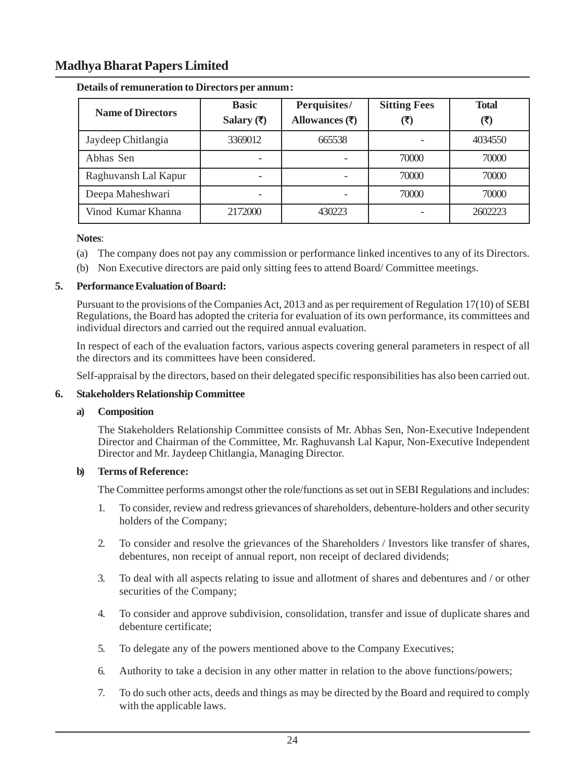| <b>Name of Directors</b> | <b>Basic</b><br>Salary $(\overline{\tau})$ | Perquisites/<br>Allowances $(₹)$ | <b>Sitting Fees</b><br>(₹) | <b>Total</b><br>(₹) |
|--------------------------|--------------------------------------------|----------------------------------|----------------------------|---------------------|
| Jaydeep Chitlangia       | 3369012                                    | 665538                           |                            | 4034550             |
| Abhas Sen                |                                            |                                  | 70000                      | 70000               |
| Raghuvansh Lal Kapur     |                                            |                                  | 70000                      | 70000               |
| Deepa Maheshwari         |                                            |                                  | 70000                      | 70000               |
| Vinod Kumar Khanna       | 2172000                                    | 430223                           |                            | 2602223             |

#### **Details of remuneration to Directors per annum:**

**Notes**:

- (a) The company does not pay any commission or performance linked incentives to any of its Directors.
- (b) Non Executive directors are paid only sitting fees to attend Board/ Committee meetings.

#### **5. Performance Evaluation of Board:**

Pursuant to the provisions of the Companies Act, 2013 and as per requirement of Regulation 17(10) of SEBI Regulations, the Board has adopted the criteria for evaluation of its own performance, its committees and individual directors and carried out the required annual evaluation.

In respect of each of the evaluation factors, various aspects covering general parameters in respect of all the directors and its committees have been considered.

Self-appraisal by the directors, based on their delegated specific responsibilities has also been carried out.

#### **6. Stakeholders Relationship Committee**

#### **a) Composition**

The Stakeholders Relationship Committee consists of Mr. Abhas Sen, Non-Executive Independent Director and Chairman of the Committee, Mr. Raghuvansh Lal Kapur, Non-Executive Independent Director and Mr. Jaydeep Chitlangia, Managing Director.

#### **b) Terms of Reference:**

The Committee performs amongst other the role/functions as set out in SEBI Regulations and includes:

- 1. To consider, review and redress grievances of shareholders, debenture-holders and other security holders of the Company;
- 2. To consider and resolve the grievances of the Shareholders / Investors like transfer of shares, debentures, non receipt of annual report, non receipt of declared dividends;
- 3. To deal with all aspects relating to issue and allotment of shares and debentures and / or other securities of the Company;
- 4. To consider and approve subdivision, consolidation, transfer and issue of duplicate shares and debenture certificate;
- 5. To delegate any of the powers mentioned above to the Company Executives;
- 6. Authority to take a decision in any other matter in relation to the above functions/powers;
- 7. To do such other acts, deeds and things as may be directed by the Board and required to comply with the applicable laws.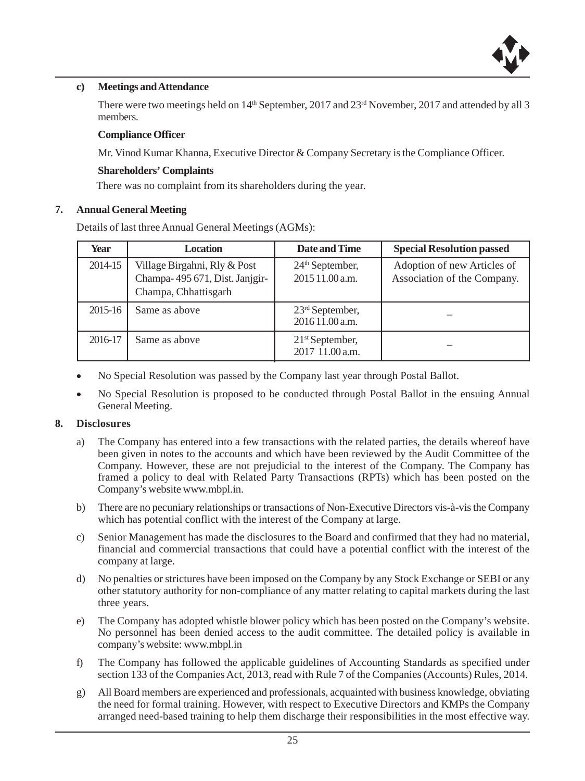

#### **c) Meetings and Attendance**

There were two meetings held on  $14<sup>th</sup>$  September, 2017 and 23<sup>rd</sup> November, 2017 and attended by all 3 members.

#### **Compliance Officer**

Mr. Vinod Kumar Khanna, Executive Director & Company Secretary is the Compliance Officer.

#### **Shareholders' Complaints**

There was no complaint from its shareholders during the year.

#### **7. Annual General Meeting**

Details of last three Annual General Meetings (AGMs):

| Year    | <b>Location</b>                                                                        | Date and Time                                  | <b>Special Resolution passed</b>                           |
|---------|----------------------------------------------------------------------------------------|------------------------------------------------|------------------------------------------------------------|
| 2014-15 | Village Birgahni, Rly & Post<br>Champa-495 671, Dist. Janjgir-<br>Champa, Chhattisgarh | 24 <sup>th</sup> September,<br>2015 11.00 a.m. | Adoption of new Articles of<br>Association of the Company. |
| 2015-16 | Same as above                                                                          | $23rd$ September,<br>2016 11.00 a.m.           |                                                            |
| 2016-17 | Same as above                                                                          | $21st$ September,<br>2017 11.00 a.m.           |                                                            |

- No Special Resolution was passed by the Company last year through Postal Ballot.
- No Special Resolution is proposed to be conducted through Postal Ballot in the ensuing Annual General Meeting.

#### **8. Disclosures**

- a) The Company has entered into a few transactions with the related parties, the details whereof have been given in notes to the accounts and which have been reviewed by the Audit Committee of the Company. However, these are not prejudicial to the interest of the Company. The Company has framed a policy to deal with Related Party Transactions (RPTs) which has been posted on the Company's website www.mbpl.in.
- b) There are no pecuniary relationships or transactions of Non-Executive Directors vis-à-vis the Company which has potential conflict with the interest of the Company at large.
- c) Senior Management has made the disclosures to the Board and confirmed that they had no material, financial and commercial transactions that could have a potential conflict with the interest of the company at large.
- d) No penalties or strictures have been imposed on the Company by any Stock Exchange or SEBI or any other statutory authority for non-compliance of any matter relating to capital markets during the last three years.
- e) The Company has adopted whistle blower policy which has been posted on the Company's website. No personnel has been denied access to the audit committee. The detailed policy is available in company's website: www.mbpl.in
- f) The Company has followed the applicable guidelines of Accounting Standards as specified under section 133 of the Companies Act, 2013, read with Rule 7 of the Companies (Accounts) Rules, 2014.
- g) All Board members are experienced and professionals, acquainted with business knowledge, obviating the need for formal training. However, with respect to Executive Directors and KMPs the Company arranged need-based training to help them discharge their responsibilities in the most effective way.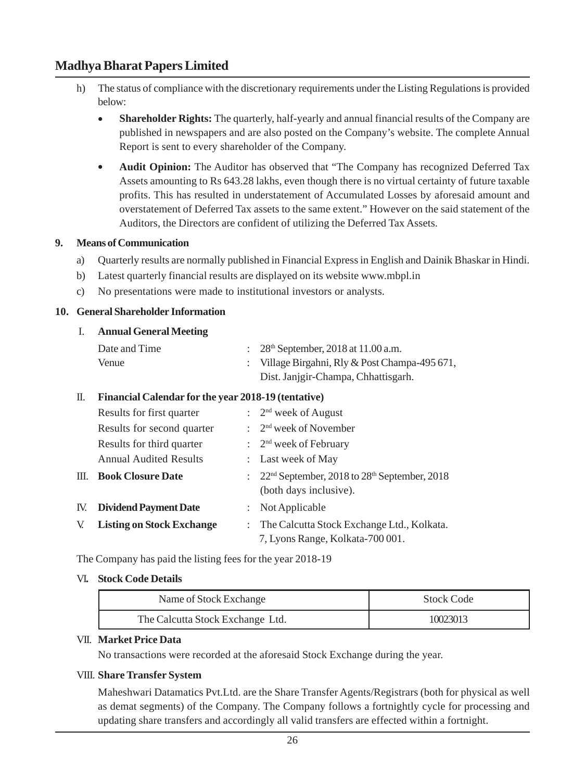- h) The status of compliance with the discretionary requirements under the Listing Regulations is provided below:
	- **Shareholder Rights:** The quarterly, half-yearly and annual financial results of the Company are published in newspapers and are also posted on the Company's website. The complete Annual Report is sent to every shareholder of the Company.
	- **Audit Opinion:** The Auditor has observed that "The Company has recognized Deferred Tax Assets amounting to Rs 643.28 lakhs, even though there is no virtual certainty of future taxable profits. This has resulted in understatement of Accumulated Losses by aforesaid amount and overstatement of Deferred Tax assets to the same extent." However on the said statement of the Auditors, the Directors are confident of utilizing the Deferred Tax Assets.

#### **9. Means of Communication**

- a) Quarterly results are normally published in Financial Express in English and Dainik Bhaskar in Hindi.
- b) Latest quarterly financial results are displayed on its website www.mbpl.in
- c) No presentations were made to institutional investors or analysts.

#### **10. General Shareholder Information**

#### I. **Annual General Meeting**

| Date and Time | : $28^{\text{th}}$ September, 2018 at 11.00 a.m. |
|---------------|--------------------------------------------------|
| Venue         | : Village Birgahni, Rly & Post Champa-495 671,   |
|               | Dist. Janjgir-Champa, Chhattisgarh.              |

#### II. **Financial Calendar for the year 2018-19 (tentative)**

|    | Results for first quarter        | $\therefore$ 2 <sup>nd</sup> week of August                                    |
|----|----------------------------------|--------------------------------------------------------------------------------|
|    | Results for second quarter       | $: 2nd$ week of November                                                       |
|    | Results for third quarter        | $\therefore$ 2 <sup>nd</sup> week of February                                  |
|    | <b>Annual Audited Results</b>    | : Last week of May                                                             |
|    | <b>III. Book Closure Date</b>    | : $22nd$ September, 2018 to $28th$ September, 2018<br>(both days inclusive).   |
|    | IV. Dividend Payment Date        | $:$ Not Applicable                                                             |
| V. | <b>Listing on Stock Exchange</b> | The Calcutta Stock Exchange Ltd., Kolkata.<br>7, Lyons Range, Kolkata-700 001. |

The Company has paid the listing fees for the year 2018-19

#### VI**. Stock Code Details**

| Name of Stock Exchange           | <b>Stock Code</b> |  |
|----------------------------------|-------------------|--|
| The Calcutta Stock Exchange Ltd. | 10023013          |  |

#### VII. **Market Price Data**

No transactions were recorded at the aforesaid Stock Exchange during the year.

#### VIII. **Share Transfer System**

Maheshwari Datamatics Pvt.Ltd. are the Share Transfer Agents/Registrars (both for physical as well as demat segments) of the Company. The Company follows a fortnightly cycle for processing and updating share transfers and accordingly all valid transfers are effected within a fortnight.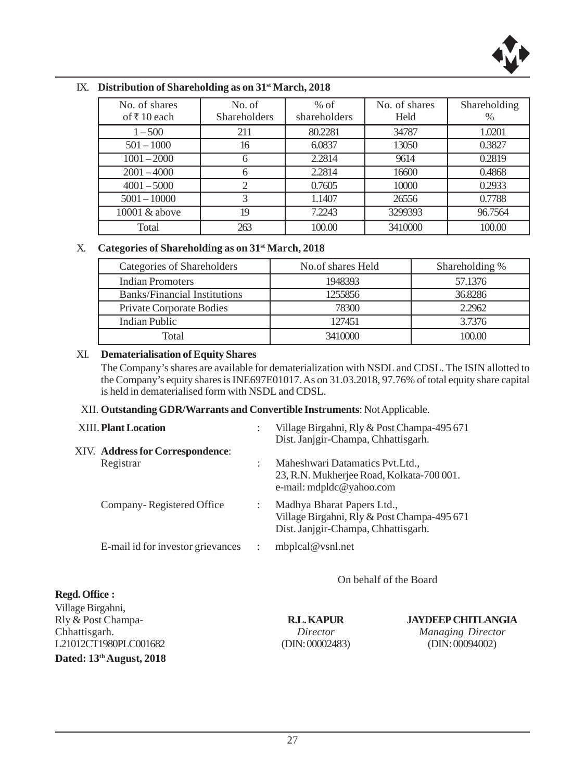

| No. of shares<br>of ₹10 each | No. of<br><b>Shareholders</b> | $%$ of<br>shareholders | No. of shares<br>Held | Shareholding<br>$\%$ |
|------------------------------|-------------------------------|------------------------|-----------------------|----------------------|
| $1 - 500$                    | 211                           | 80.2281                | 34787                 | 1.0201               |
| $501 - 1000$                 | 16                            | 6.0837                 | 13050                 | 0.3827               |
| $1001 - 2000$                | 6                             | 2.2814                 | 9614                  | 0.2819               |
| $2001 - 4000$                | 6                             | 2.2814                 | 16600                 | 0.4868               |
| $4001 - 5000$                | 2                             | 0.7605                 | 10000                 | 0.2933               |
| $5001 - 10000$               | 3                             | 1.1407                 | 26556                 | 0.7788               |
| 10001 & above                | 19                            | 7.2243                 | 3299393               | 96.7564              |
| Total                        | 263                           | 100.00                 | 3410000               | 100.00               |

#### IX. **Distribution of Shareholding as on 31st March, 2018**

## X. **Categories of Shareholding as on 31st March, 2018**

| Categories of Shareholders          | No.of shares Held | Shareholding % |
|-------------------------------------|-------------------|----------------|
| <b>Indian Promoters</b>             | 1948393           | 57.1376        |
| <b>Banks/Financial Institutions</b> | 1255856           | 36.8286        |
| Private Corporate Bodies            | 78300             | 2.2962         |
| Indian Public                       | 127451            | 3.7376         |
| Total                               | 3410000           | 100.00         |

#### XI. **Dematerialisation of Equity Shares**

**Regd. Office :**

The Company's shares are available for dematerialization with NSDL and CDSL. The ISIN allotted to the Company's equity shares is INE697E01017. As on 31.03.2018, 97.76% of total equity share capital is held in dematerialised form with NSDL and CDSL.

#### XII. **Outstanding GDR/Warrants and Convertible Instruments**: Not Applicable.

| <b>XIII. Plant Location</b> |                                   |                      | Village Birgahni, Rly & Post Champa-495 671<br>Dist. Janjgir-Champa, Chhattisgarh.                               |
|-----------------------------|-----------------------------------|----------------------|------------------------------------------------------------------------------------------------------------------|
|                             | XIV. Address for Correspondence:  |                      |                                                                                                                  |
| Registrar                   |                                   | ٠                    | Maheshwari Datamatics Pvt. Ltd.,<br>23, R.N. Mukherjee Road, Kolkata-700 001.<br>e-mail: mdpldc@yahoo.com        |
|                             | Company-Registered Office         |                      | Madhya Bharat Papers Ltd.,<br>Village Birgahni, Rly & Post Champa-495 671<br>Dist. Janjgir-Champa, Chhattisgarh. |
|                             | E-mail id for investor grievances | $\ddot{\phantom{a}}$ | mbplcal@vsnl.net                                                                                                 |

On behalf of the Board

Village Birgahni, Rly & Post Champa- **R.L. KAPUR JAYDEEP CHITLANGIA** Chhattisgarh. *Director Managing Director* L21012CT1980PLC001682 (DIN: 00002483) (DIN: 00094002) **Dated: 13th August, 2018**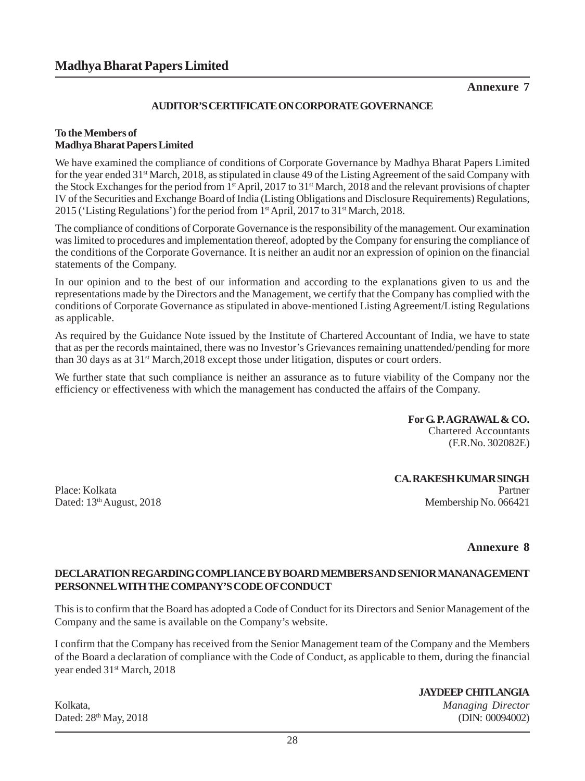## **Annexure 7**

## **AUDITOR'S CERTIFICATE ON CORPORATE GOVERNANCE**

#### **To the Members of Madhya Bharat Papers Limited**

We have examined the compliance of conditions of Corporate Governance by Madhya Bharat Papers Limited for the year ended 31<sup>st</sup> March, 2018, as stipulated in clause 49 of the Listing Agreement of the said Company with the Stock Exchanges for the period from 1<sup>st</sup> April, 2017 to 31<sup>st</sup> March, 2018 and the relevant provisions of chapter IV of the Securities and Exchange Board of India (Listing Obligations and Disclosure Requirements) Regulations, 2015 ('Listing Regulations') for the period from  $1<sup>st</sup>$  April, 2017 to 31<sup>st</sup> March, 2018.

The compliance of conditions of Corporate Governance is the responsibility of the management. Our examination was limited to procedures and implementation thereof, adopted by the Company for ensuring the compliance of the conditions of the Corporate Governance. It is neither an audit nor an expression of opinion on the financial statements of the Company.

In our opinion and to the best of our information and according to the explanations given to us and the representations made by the Directors and the Management, we certify that the Company has complied with the conditions of Corporate Governance as stipulated in above-mentioned Listing Agreement/Listing Regulations as applicable.

As required by the Guidance Note issued by the Institute of Chartered Accountant of India, we have to state that as per the records maintained, there was no Investor's Grievances remaining unattended/pending for more than 30 days as at  $31<sup>st</sup>$  March, 2018 except those under litigation, disputes or court orders.

We further state that such compliance is neither an assurance as to future viability of the Company nor the efficiency or effectiveness with which the management has conducted the affairs of the Company.

> **For G. P. AGRAWAL & CO.** Chartered Accountants (F.R.No. 302082E)

**CA. RAKESH KUMAR SINGH** Place: Kolkata Partner Partner Partner Partner Partner Partner Partner Partner Partner Partner Partner Partner Dated:  $13<sup>th</sup>$  August, 2018 Membership No. 066421

#### **Annexure 8**

#### **DECLARATION REGARDING COMPLIANCE BY BOARD MEMBERS AND SENIOR MANANAGEMENT PERSONNEL WITH THE COMPANY'S CODE OF CONDUCT**

This is to confirm that the Board has adopted a Code of Conduct for its Directors and Senior Management of the Company and the same is available on the Company's website.

I confirm that the Company has received from the Senior Management team of the Company and the Members of the Board a declaration of compliance with the Code of Conduct, as applicable to them, during the financial year ended 31st March, 2018

Kolkata, *Managing Director*

**JAYDEEP CHITLANGIA**

Dated: 28<sup>th</sup> May, 2018 (DIN: 00094002)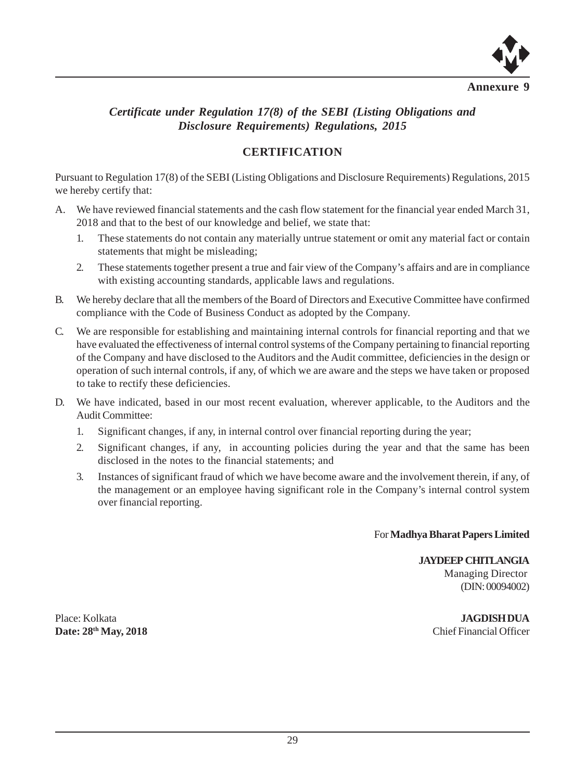

# *Certificate under Regulation 17(8) of the SEBI (Listing Obligations and Disclosure Requirements) Regulations, 2015*

# **CERTIFICATION**

Pursuant to Regulation 17(8) of the SEBI (Listing Obligations and Disclosure Requirements) Regulations, 2015 we hereby certify that:

- A. We have reviewed financial statements and the cash flow statement for the financial year ended March 31, 2018 and that to the best of our knowledge and belief, we state that:
	- 1. These statements do not contain any materially untrue statement or omit any material fact or contain statements that might be misleading;
	- 2. These statements together present a true and fair view of the Company's affairs and are in compliance with existing accounting standards, applicable laws and regulations.
- B. We hereby declare that all the members of the Board of Directors and Executive Committee have confirmed compliance with the Code of Business Conduct as adopted by the Company.
- C. We are responsible for establishing and maintaining internal controls for financial reporting and that we have evaluated the effectiveness of internal control systems of the Company pertaining to financial reporting of the Company and have disclosed to the Auditors and the Audit committee, deficiencies in the design or operation of such internal controls, if any, of which we are aware and the steps we have taken or proposed to take to rectify these deficiencies.
- D. We have indicated, based in our most recent evaluation, wherever applicable, to the Auditors and the Audit Committee:
	- 1. Significant changes, if any, in internal control over financial reporting during the year;
	- 2. Significant changes, if any, in accounting policies during the year and that the same has been disclosed in the notes to the financial statements; and
	- 3. Instances of significant fraud of which we have become aware and the involvement therein, if any, of the management or an employee having significant role in the Company's internal control system over financial reporting.

For **Madhya Bharat Papers Limited**

## **JAYDEEP CHITLANGIA** Managing Director

(DIN: 00094002)

Place: Kolkata **JAGDISH DUA**

**Date: 28<sup>th</sup> May, 2018** Chief Financial Officer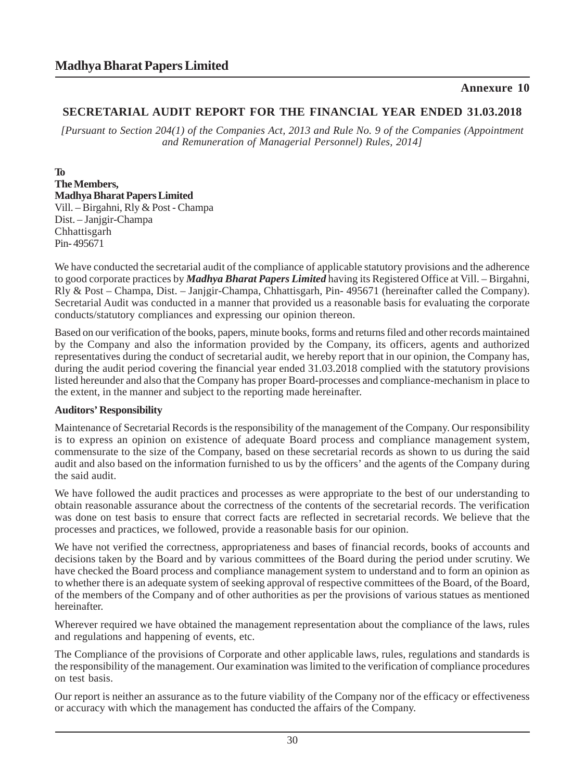# **Annexure 10**

# **SECRETARIAL AUDIT REPORT FOR THE FINANCIAL YEAR ENDED 31.03.2018**

*[Pursuant to Section 204(1) of the Companies Act, 2013 and Rule No. 9 of the Companies (Appointment and Remuneration of Managerial Personnel) Rules, 2014]*

**To The Members, Madhya Bharat Papers Limited** Vill. – Birgahni, Rly & Post - Champa Dist. – Janjgir-Champa Chhattisgarh Pin- 495671

We have conducted the secretarial audit of the compliance of applicable statutory provisions and the adherence to good corporate practices by *Madhya Bharat Papers Limited* having its Registered Office at Vill. – Birgahni, Rly & Post – Champa, Dist. – Janjgir-Champa, Chhattisgarh, Pin- 495671 (hereinafter called the Company). Secretarial Audit was conducted in a manner that provided us a reasonable basis for evaluating the corporate conducts/statutory compliances and expressing our opinion thereon.

Based on our verification of the books, papers, minute books, forms and returns filed and other records maintained by the Company and also the information provided by the Company, its officers, agents and authorized representatives during the conduct of secretarial audit, we hereby report that in our opinion, the Company has, during the audit period covering the financial year ended 31.03.2018 complied with the statutory provisions listed hereunder and also that the Company has proper Board-processes and compliance-mechanism in place to the extent, in the manner and subject to the reporting made hereinafter.

## **Auditors' Responsibility**

Maintenance of Secretarial Records is the responsibility of the management of the Company. Our responsibility is to express an opinion on existence of adequate Board process and compliance management system, commensurate to the size of the Company, based on these secretarial records as shown to us during the said audit and also based on the information furnished to us by the officers' and the agents of the Company during the said audit.

We have followed the audit practices and processes as were appropriate to the best of our understanding to obtain reasonable assurance about the correctness of the contents of the secretarial records. The verification was done on test basis to ensure that correct facts are reflected in secretarial records. We believe that the processes and practices, we followed, provide a reasonable basis for our opinion.

We have not verified the correctness, appropriateness and bases of financial records, books of accounts and decisions taken by the Board and by various committees of the Board during the period under scrutiny. We have checked the Board process and compliance management system to understand and to form an opinion as to whether there is an adequate system of seeking approval of respective committees of the Board, of the Board, of the members of the Company and of other authorities as per the provisions of various statues as mentioned hereinafter.

Wherever required we have obtained the management representation about the compliance of the laws, rules and regulations and happening of events, etc.

The Compliance of the provisions of Corporate and other applicable laws, rules, regulations and standards is the responsibility of the management. Our examination was limited to the verification of compliance procedures on test basis.

Our report is neither an assurance as to the future viability of the Company nor of the efficacy or effectiveness or accuracy with which the management has conducted the affairs of the Company.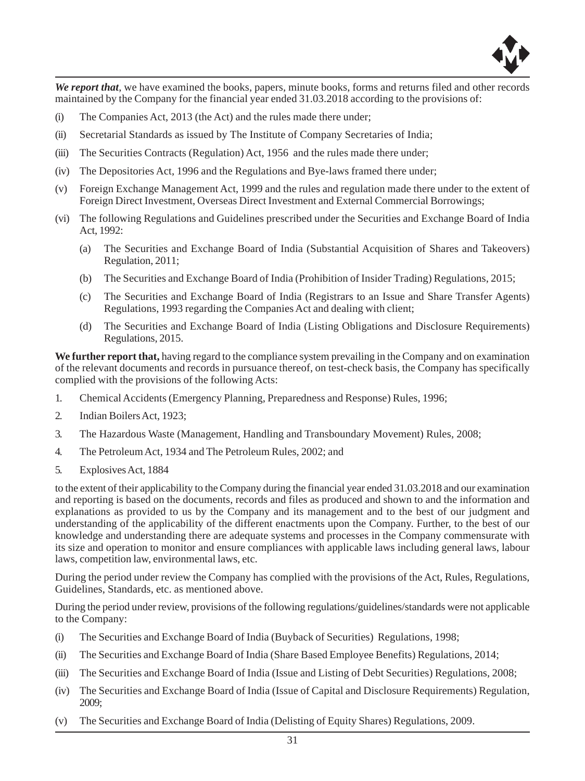

*We report that*, we have examined the books, papers, minute books, forms and returns filed and other records maintained by the Company for the financial year ended 31.03.2018 according to the provisions of:

- (i) The Companies Act, 2013 (the Act) and the rules made there under;
- (ii) Secretarial Standards as issued by The Institute of Company Secretaries of India;
- (iii) The Securities Contracts (Regulation) Act, 1956 and the rules made there under;
- (iv) The Depositories Act, 1996 and the Regulations and Bye-laws framed there under;
- (v) Foreign Exchange Management Act, 1999 and the rules and regulation made there under to the extent of Foreign Direct Investment, Overseas Direct Investment and External Commercial Borrowings;
- (vi) The following Regulations and Guidelines prescribed under the Securities and Exchange Board of India Act, 1992:
	- (a) The Securities and Exchange Board of India (Substantial Acquisition of Shares and Takeovers) Regulation, 2011;
	- (b) The Securities and Exchange Board of India (Prohibition of Insider Trading) Regulations, 2015;
	- (c) The Securities and Exchange Board of India (Registrars to an Issue and Share Transfer Agents) Regulations, 1993 regarding the Companies Act and dealing with client;
	- (d) The Securities and Exchange Board of India (Listing Obligations and Disclosure Requirements) Regulations, 2015.

**We further report that,** having regard to the compliance system prevailing in the Company and on examination of the relevant documents and records in pursuance thereof, on test-check basis, the Company has specifically complied with the provisions of the following Acts:

- 1. Chemical Accidents (Emergency Planning, Preparedness and Response) Rules, 1996;
- 2. Indian Boilers Act, 1923;
- 3. The Hazardous Waste (Management, Handling and Transboundary Movement) Rules, 2008;
- 4. The Petroleum Act, 1934 and The Petroleum Rules, 2002; and
- 5. Explosives Act, 1884

to the extent of their applicability to the Company during the financial year ended 31.03.2018 and our examination and reporting is based on the documents, records and files as produced and shown to and the information and explanations as provided to us by the Company and its management and to the best of our judgment and understanding of the applicability of the different enactments upon the Company. Further, to the best of our knowledge and understanding there are adequate systems and processes in the Company commensurate with its size and operation to monitor and ensure compliances with applicable laws including general laws, labour laws, competition law, environmental laws, etc.

During the period under review the Company has complied with the provisions of the Act, Rules, Regulations, Guidelines, Standards, etc. as mentioned above.

During the period under review, provisions of the following regulations/guidelines/standards were not applicable to the Company:

- (i) The Securities and Exchange Board of India (Buyback of Securities) Regulations, 1998;
- (ii) The Securities and Exchange Board of India (Share Based Employee Benefits) Regulations, 2014;
- (iii) The Securities and Exchange Board of India (Issue and Listing of Debt Securities) Regulations, 2008;
- (iv) The Securities and Exchange Board of India (Issue of Capital and Disclosure Requirements) Regulation, 2009;
- (v) The Securities and Exchange Board of India (Delisting of Equity Shares) Regulations, 2009.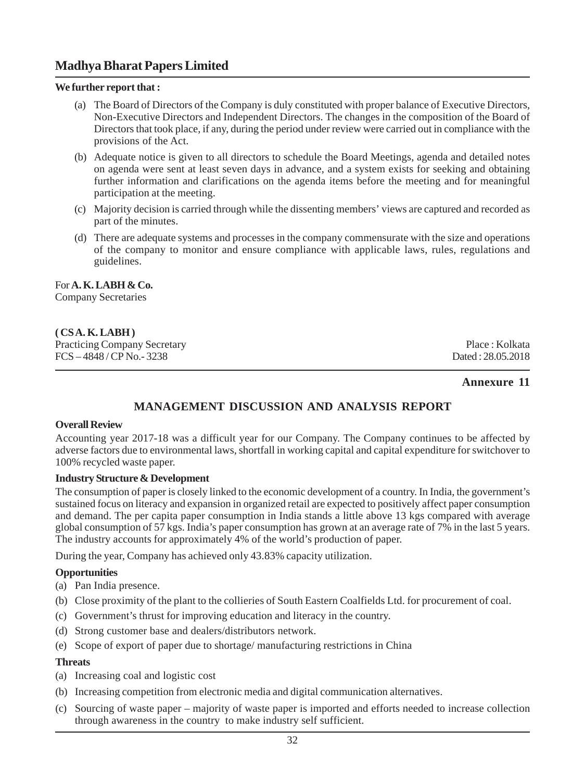#### **We further report that :**

- (a) The Board of Directors of the Company is duly constituted with proper balance of Executive Directors, Non-Executive Directors and Independent Directors. The changes in the composition of the Board of Directors that took place, if any, during the period under review were carried out in compliance with the provisions of the Act.
- (b) Adequate notice is given to all directors to schedule the Board Meetings, agenda and detailed notes on agenda were sent at least seven days in advance, and a system exists for seeking and obtaining further information and clarifications on the agenda items before the meeting and for meaningful participation at the meeting.
- (c) Majority decision is carried through while the dissenting members' views are captured and recorded as part of the minutes.
- (d) There are adequate systems and processes in the company commensurate with the size and operations of the company to monitor and ensure compliance with applicable laws, rules, regulations and guidelines.

# For **A. K. LABH & Co.**

Company Secretaries

#### **( CS A. K. LABH )**

Practicing Company Secretary Place : Kolkata<br>
FCS – 4848 / CP No. - 3238 Dated : 28.05.2018  $FCS - 4848 / CPN$ o. - 3238

## **Annexure 11**

# **MANAGEMENT DISCUSSION AND ANALYSIS REPORT**

#### **Overall Review**

Accounting year 2017-18 was a difficult year for our Company. The Company continues to be affected by adverse factors due to environmental laws, shortfall in working capital and capital expenditure for switchover to 100% recycled waste paper.

#### **Industry Structure & Development**

The consumption of paper is closely linked to the economic development of a country. In India, the government's sustained focus on literacy and expansion in organized retail are expected to positively affect paper consumption and demand. The per capita paper consumption in India stands a little above 13 kgs compared with average global consumption of 57 kgs. India's paper consumption has grown at an average rate of 7% in the last 5 years. The industry accounts for approximately 4% of the world's production of paper.

During the year, Company has achieved only 43.83% capacity utilization.

## **Opportunities**

- (a) Pan India presence.
- (b) Close proximity of the plant to the collieries of South Eastern Coalfields Ltd. for procurement of coal.
- (c) Government's thrust for improving education and literacy in the country.
- (d) Strong customer base and dealers/distributors network.
- (e) Scope of export of paper due to shortage/ manufacturing restrictions in China

#### **Threats**

- (a) Increasing coal and logistic cost
- (b) Increasing competition from electronic media and digital communication alternatives.
- (c) Sourcing of waste paper majority of waste paper is imported and efforts needed to increase collection through awareness in the country to make industry self sufficient.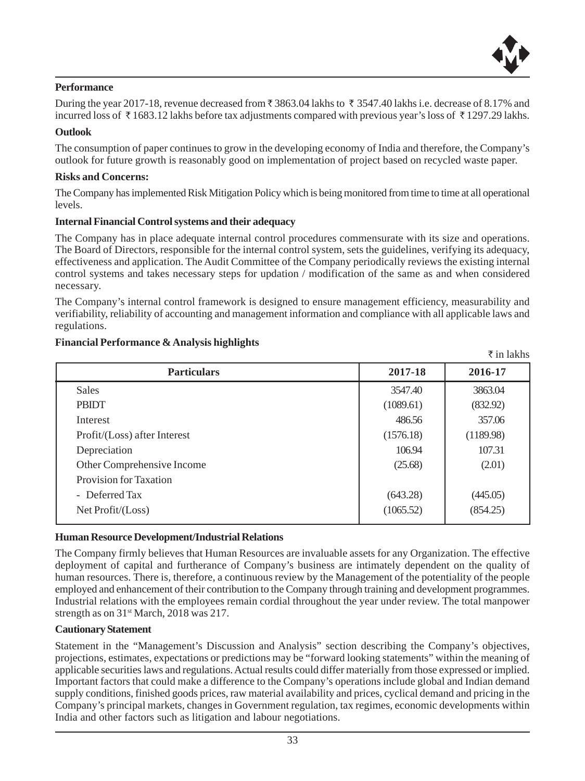

` in lakhs

#### **Performance**

During the year 2017-18, revenue decreased from  $\bar{z}$  3863.04 lakhs to  $\bar{z}$  3547.40 lakhs i.e. decrease of 8.17% and incurred loss of  $\bar{\tau}$  1683.12 lakhs before tax adjustments compared with previous year's loss of  $\bar{\tau}$  1297.29 lakhs.

#### **Outlook**

The consumption of paper continues to grow in the developing economy of India and therefore, the Company's outlook for future growth is reasonably good on implementation of project based on recycled waste paper.

#### **Risks and Concerns:**

The Company has implemented Risk Mitigation Policy which is being monitored from time to time at all operational levels.

#### **Internal Financial Control systems and their adequacy**

The Company has in place adequate internal control procedures commensurate with its size and operations. The Board of Directors, responsible for the internal control system, sets the guidelines, verifying its adequacy, effectiveness and application. The Audit Committee of the Company periodically reviews the existing internal control systems and takes necessary steps for updation / modification of the same as and when considered necessary.

The Company's internal control framework is designed to ensure management efficiency, measurability and verifiability, reliability of accounting and management information and compliance with all applicable laws and regulations.

#### **Financial Performance & Analysis highlights**

| <b>Particulars</b>           | 2017-18   | 2016-17   |
|------------------------------|-----------|-----------|
| <b>Sales</b>                 | 3547.40   | 3863.04   |
| <b>PBIDT</b>                 | (1089.61) | (832.92)  |
| Interest                     | 486.56    | 357.06    |
| Profit/(Loss) after Interest | (1576.18) | (1189.98) |
| Depreciation                 | 106.94    | 107.31    |
| Other Comprehensive Income   | (25.68)   | (2.01)    |
| Provision for Taxation       |           |           |
| - Deferred Tax               | (643.28)  | (445.05)  |
| Net Profit / (Loss)          | (1065.52) | (854.25)  |

#### **Human Resource Development/Industrial Relations**

The Company firmly believes that Human Resources are invaluable assets for any Organization. The effective deployment of capital and furtherance of Company's business are intimately dependent on the quality of human resources. There is, therefore, a continuous review by the Management of the potentiality of the people employed and enhancement of their contribution to the Company through training and development programmes. Industrial relations with the employees remain cordial throughout the year under review. The total manpower strength as on  $31<sup>st</sup> March$ , 2018 was 217.

#### **Cautionary Statement**

Statement in the "Management's Discussion and Analysis" section describing the Company's objectives, projections, estimates, expectations or predictions may be "forward looking statements" within the meaning of applicable securities laws and regulations. Actual results could differ materially from those expressed or implied. Important factors that could make a difference to the Company's operations include global and Indian demand supply conditions, finished goods prices, raw material availability and prices, cyclical demand and pricing in the Company's principal markets, changes in Government regulation, tax regimes, economic developments within India and other factors such as litigation and labour negotiations.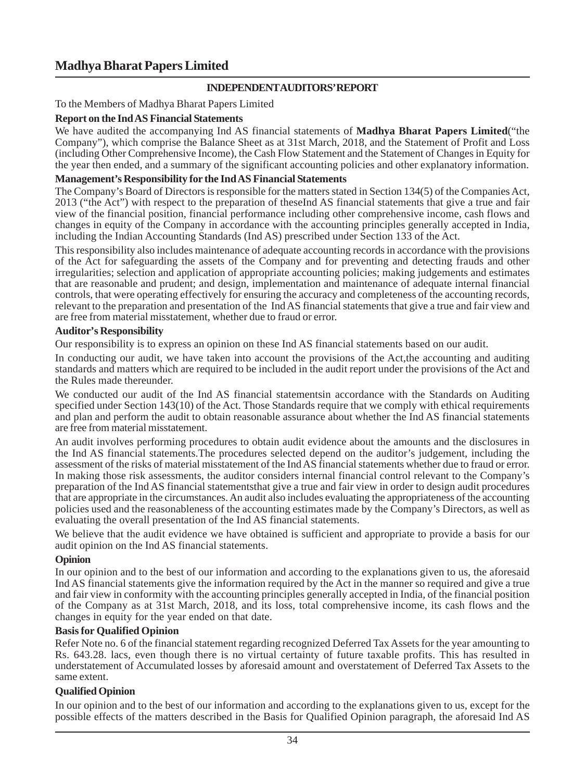## **INDEPENDENT AUDITORS' REPORT**

To the Members of Madhya Bharat Papers Limited

#### **Report on the Ind AS Financial Statements**

We have audited the accompanying Ind AS financial statements of **Madhya Bharat Papers Limited**("the Company"), which comprise the Balance Sheet as at 31st March, 2018, and the Statement of Profit and Loss (including Other Comprehensive Income), the Cash Flow Statement and the Statement of Changes in Equity for the year then ended, and a summary of the significant accounting policies and other explanatory information.

#### **Management's Responsibility for the Ind AS Financial Statements**

The Company's Board of Directors is responsible for the matters stated in Section 134(5) of the Companies Act, 2013 ("the Act") with respect to the preparation of theseInd AS financial statements that give a true and fair view of the financial position, financial performance including other comprehensive income, cash flows and changes in equity of the Company in accordance with the accounting principles generally accepted in India, including the Indian Accounting Standards (Ind AS) prescribed under Section 133 of the Act.

This responsibility also includes maintenance of adequate accounting records in accordance with the provisions of the Act for safeguarding the assets of the Company and for preventing and detecting frauds and other irregularities; selection and application of appropriate accounting policies; making judgements and estimates that are reasonable and prudent; and design, implementation and maintenance of adequate internal financial controls, that were operating effectively for ensuring the accuracy and completeness of the accounting records, relevant to the preparation and presentation of the Ind AS financial statements that give a true and fair view and are free from material misstatement, whether due to fraud or error.

#### **Auditor's Responsibility**

Our responsibility is to express an opinion on these Ind AS financial statements based on our audit.

In conducting our audit, we have taken into account the provisions of the Act,the accounting and auditing standards and matters which are required to be included in the audit report under the provisions of the Act and the Rules made thereunder.

We conducted our audit of the Ind AS financial statementsin accordance with the Standards on Auditing specified under Section 143(10) of the Act. Those Standards require that we comply with ethical requirements and plan and perform the audit to obtain reasonable assurance about whether the Ind AS financial statements are free from material misstatement.

An audit involves performing procedures to obtain audit evidence about the amounts and the disclosures in the Ind AS financial statements.The procedures selected depend on the auditor's judgement, including the assessment of the risks of material misstatement of the Ind AS financial statements whether due to fraud or error. In making those risk assessments, the auditor considers internal financial control relevant to the Company's preparation of the Ind AS financial statementsthat give a true and fair view in order to design audit procedures that are appropriate in the circumstances. An audit also includes evaluating the appropriateness of the accounting policies used and the reasonableness of the accounting estimates made by the Company's Directors, as well as evaluating the overall presentation of the Ind AS financial statements.

We believe that the audit evidence we have obtained is sufficient and appropriate to provide a basis for our audit opinion on the Ind AS financial statements.

## **Opinion**

In our opinion and to the best of our information and according to the explanations given to us, the aforesaid Ind AS financial statements give the information required by the Act in the manner so required and give a true and fair view in conformity with the accounting principles generally accepted in India, of the financial position of the Company as at 31st March, 2018, and its loss, total comprehensive income, its cash flows and the changes in equity for the year ended on that date.

## **Basis for Qualified Opinion**

Refer Note no. 6 of the financial statement regarding recognized Deferred Tax Assets for the year amounting to Rs. 643.28. lacs, even though there is no virtual certainty of future taxable profits. This has resulted in understatement of Accumulated losses by aforesaid amount and overstatement of Deferred Tax Assets to the same extent.

## **Qualified Opinion**

In our opinion and to the best of our information and according to the explanations given to us, except for the possible effects of the matters described in the Basis for Qualified Opinion paragraph, the aforesaid Ind AS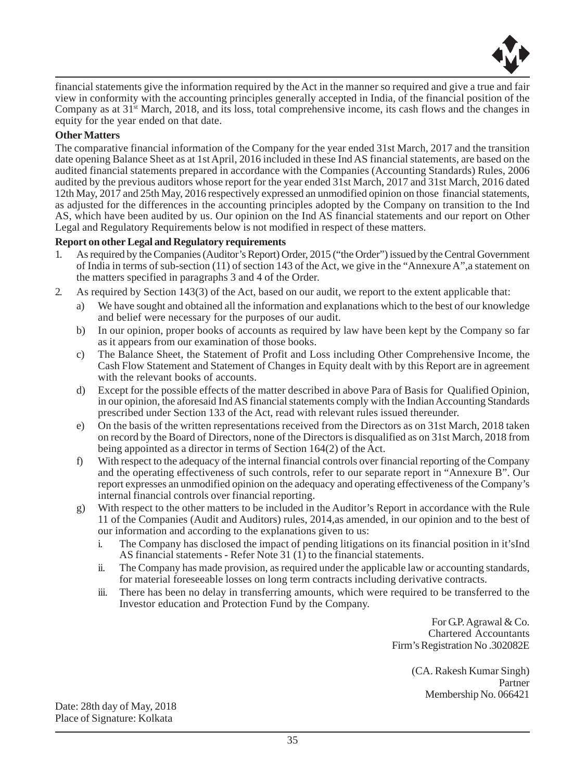

financial statements give the information required by the Act in the manner so required and give a true and fair view in conformity with the accounting principles generally accepted in India, of the financial position of the Company as at 31<sup>st</sup> March, 2018, and its loss, total comprehensive income, its cash flows and the changes in equity for the year ended on that date.

#### **Other Matters**

The comparative financial information of the Company for the year ended 31st March, 2017 and the transition date opening Balance Sheet as at 1st April, 2016 included in these Ind AS financial statements, are based on the audited financial statements prepared in accordance with the Companies (Accounting Standards) Rules, 2006 audited by the previous auditors whose report for the year ended 31st March, 2017 and 31st March, 2016 dated 12th May, 2017 and 25th May, 2016 respectively expressed an unmodified opinion on those financial statements, as adjusted for the differences in the accounting principles adopted by the Company on transition to the Ind AS, which have been audited by us. Our opinion on the Ind AS financial statements and our report on Other Legal and Regulatory Requirements below is not modified in respect of these matters.

#### **Report on other Legal and Regulatory requirements**

- 1. As required by the Companies (Auditor's Report) Order, 2015 ("the Order") issued by the Central Government of India in terms of sub-section (11) of section 143 of the Act, we give in the "Annexure A",a statement on the matters specified in paragraphs 3 and 4 of the Order.
- 2. As required by Section 143(3) of the Act, based on our audit, we report to the extent applicable that:
	- a) We have sought and obtained all the information and explanations which to the best of our knowledge and belief were necessary for the purposes of our audit.
	- b) In our opinion, proper books of accounts as required by law have been kept by the Company so far as it appears from our examination of those books.
	- c) The Balance Sheet, the Statement of Profit and Loss including Other Comprehensive Income, the Cash Flow Statement and Statement of Changes in Equity dealt with by this Report are in agreement with the relevant books of accounts.
	- d) Except for the possible effects of the matter described in above Para of Basis for Qualified Opinion, in our opinion, the aforesaid Ind AS financial statements comply with the Indian Accounting Standards prescribed under Section 133 of the Act, read with relevant rules issued thereunder.
	- e) On the basis of the written representations received from the Directors as on 31st March, 2018 taken on record by the Board of Directors, none of the Directors is disqualified as on 31st March, 2018 from being appointed as a director in terms of Section 164(2) of the Act.
	- f) With respect to the adequacy of the internal financial controls over financial reporting of the Company and the operating effectiveness of such controls, refer to our separate report in "Annexure B". Our report expresses an unmodified opinion on the adequacy and operating effectiveness of the Company's internal financial controls over financial reporting.
	- g) With respect to the other matters to be included in the Auditor's Report in accordance with the Rule 11 of the Companies (Audit and Auditors) rules, 2014,as amended, in our opinion and to the best of our information and according to the explanations given to us:
		- i. The Company has disclosed the impact of pending litigations on its financial position in it'sInd AS financial statements - Refer Note 31 (1) to the financial statements.
		- ii. The Company has made provision, as required under the applicable law or accounting standards, for material foreseeable losses on long term contracts including derivative contracts.
		- iii. There has been no delay in transferring amounts, which were required to be transferred to the Investor education and Protection Fund by the Company.

For G.P. Agrawal & Co. Chartered Accountants Firm's Registration No .302082E

> (CA. Rakesh Kumar Singh) Partner Membership No. 066421

Date: 28th day of May, 2018 Place of Signature: Kolkata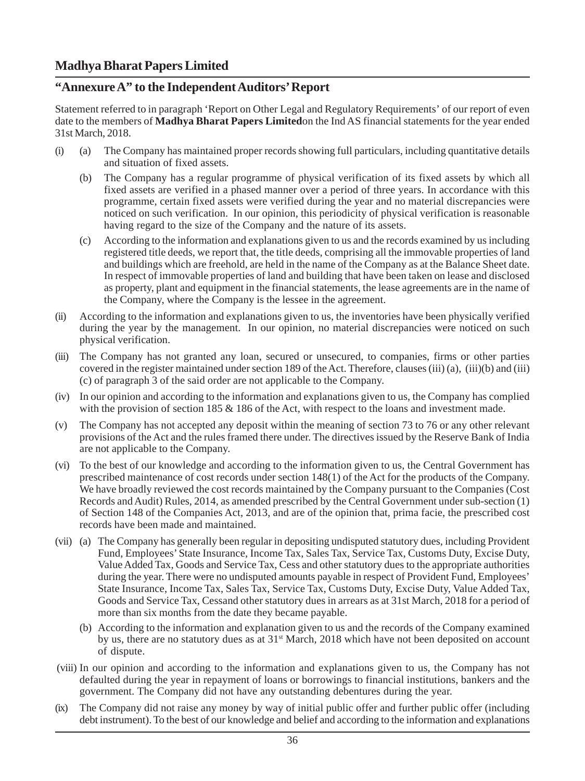# **"Annexure A" to the Independent Auditors' Report**

Statement referred to in paragraph 'Report on Other Legal and Regulatory Requirements' of our report of even date to the members of **Madhya Bharat Papers Limited**on the Ind AS financial statements for the year ended 31st March, 2018.

- (i) (a) The Company has maintained proper records showing full particulars, including quantitative details and situation of fixed assets.
	- (b) The Company has a regular programme of physical verification of its fixed assets by which all fixed assets are verified in a phased manner over a period of three years. In accordance with this programme, certain fixed assets were verified during the year and no material discrepancies were noticed on such verification. In our opinion, this periodicity of physical verification is reasonable having regard to the size of the Company and the nature of its assets.
	- (c) According to the information and explanations given to us and the records examined by us including registered title deeds, we report that, the title deeds, comprising all the immovable properties of land and buildings which are freehold, are held in the name of the Company as at the Balance Sheet date. In respect of immovable properties of land and building that have been taken on lease and disclosed as property, plant and equipment in the financial statements, the lease agreements are in the name of the Company, where the Company is the lessee in the agreement.
- (ii) According to the information and explanations given to us, the inventories have been physically verified during the year by the management. In our opinion, no material discrepancies were noticed on such physical verification.
- (iii) The Company has not granted any loan, secured or unsecured, to companies, firms or other parties covered in the register maintained under section 189 of the Act. Therefore, clauses (iii) (a), (iii)(b) and (iii) (c) of paragraph 3 of the said order are not applicable to the Company.
- (iv) In our opinion and according to the information and explanations given to us, the Company has complied with the provision of section 185 & 186 of the Act, with respect to the loans and investment made.
- (v) The Company has not accepted any deposit within the meaning of section 73 to 76 or any other relevant provisions of the Act and the rules framed there under. The directives issued by the Reserve Bank of India are not applicable to the Company.
- (vi) To the best of our knowledge and according to the information given to us, the Central Government has prescribed maintenance of cost records under section 148(1) of the Act for the products of the Company. We have broadly reviewed the cost records maintained by the Company pursuant to the Companies (Cost Records and Audit) Rules, 2014, as amended prescribed by the Central Government under sub-section (1) of Section 148 of the Companies Act, 2013, and are of the opinion that, prima facie, the prescribed cost records have been made and maintained.
- (vii) (a) The Company has generally been regular in depositing undisputed statutory dues, including Provident Fund, Employees' State Insurance, Income Tax, Sales Tax, Service Tax, Customs Duty, Excise Duty, Value Added Tax, Goods and Service Tax, Cess and other statutory dues to the appropriate authorities during the year. There were no undisputed amounts payable in respect of Provident Fund, Employees' State Insurance, Income Tax, Sales Tax, Service Tax, Customs Duty, Excise Duty, Value Added Tax, Goods and Service Tax, Cessand other statutory dues in arrears as at 31st March, 2018 for a period of more than six months from the date they became payable.
	- (b) According to the information and explanation given to us and the records of the Company examined by us, there are no statutory dues as at  $31<sup>st</sup>$  March, 2018 which have not been deposited on account of dispute.
- (viii) In our opinion and according to the information and explanations given to us, the Company has not defaulted during the year in repayment of loans or borrowings to financial institutions, bankers and the government. The Company did not have any outstanding debentures during the year.
- (ix) The Company did not raise any money by way of initial public offer and further public offer (including debt instrument). To the best of our knowledge and belief and according to the information and explanations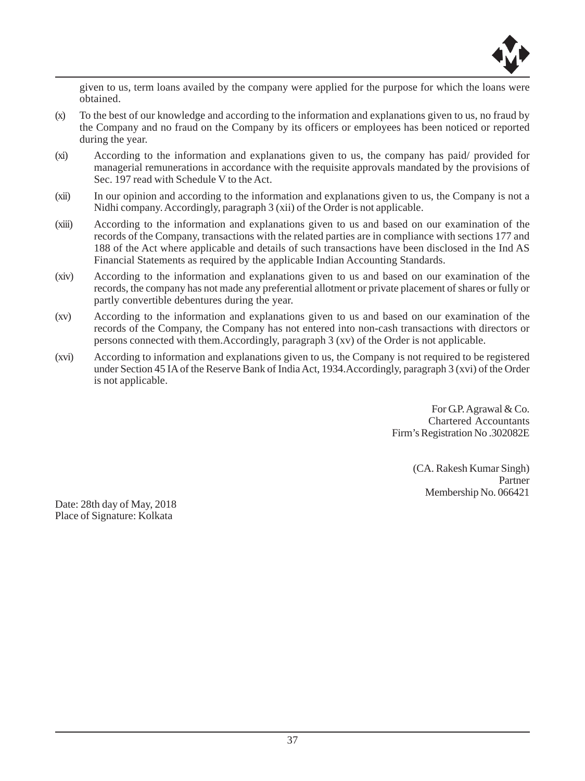

given to us, term loans availed by the company were applied for the purpose for which the loans were obtained.

- (x) To the best of our knowledge and according to the information and explanations given to us, no fraud by the Company and no fraud on the Company by its officers or employees has been noticed or reported during the year.
- (xi) According to the information and explanations given to us, the company has paid/ provided for managerial remunerations in accordance with the requisite approvals mandated by the provisions of Sec. 197 read with Schedule V to the Act.
- (xii) In our opinion and according to the information and explanations given to us, the Company is not a Nidhi company. Accordingly, paragraph 3 (xii) of the Order is not applicable.
- (xiii) According to the information and explanations given to us and based on our examination of the records of the Company, transactions with the related parties are in compliance with sections 177 and 188 of the Act where applicable and details of such transactions have been disclosed in the Ind AS Financial Statements as required by the applicable Indian Accounting Standards.
- (xiv) According to the information and explanations given to us and based on our examination of the records, the company has not made any preferential allotment or private placement of shares or fully or partly convertible debentures during the year.
- (xv) According to the information and explanations given to us and based on our examination of the records of the Company, the Company has not entered into non-cash transactions with directors or persons connected with them.Accordingly, paragraph 3 (xv) of the Order is not applicable.
- (xvi) According to information and explanations given to us, the Company is not required to be registered under Section 45 IA of the Reserve Bank of India Act, 1934.Accordingly, paragraph 3 (xvi) of the Order is not applicable.

For G.P. Agrawal & Co. Chartered Accountants Firm's Registration No .302082E

> (CA. Rakesh Kumar Singh) Partner Membership No. 066421

Date: 28th day of May, 2018 Place of Signature: Kolkata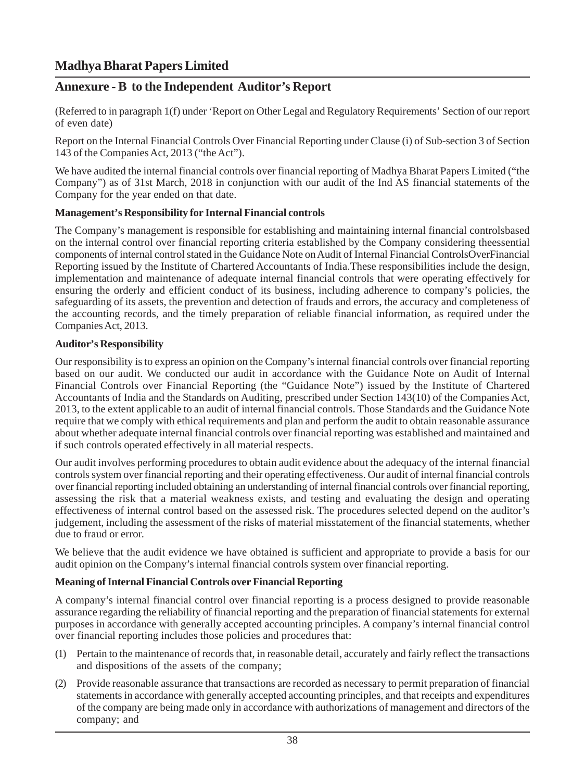# **Annexure - B to the Independent Auditor's Report**

(Referred to in paragraph 1(f) under 'Report on Other Legal and Regulatory Requirements' Section of our report of even date)

Report on the Internal Financial Controls Over Financial Reporting under Clause (i) of Sub-section 3 of Section 143 of the Companies Act, 2013 ("the Act").

We have audited the internal financial controls over financial reporting of Madhya Bharat Papers Limited ("the Company") as of 31st March, 2018 in conjunction with our audit of the Ind AS financial statements of the Company for the year ended on that date.

#### **Management's Responsibility for Internal Financial controls**

The Company's management is responsible for establishing and maintaining internal financial controlsbased on the internal control over financial reporting criteria established by the Company considering theessential components of internal control stated in the Guidance Note on Audit of Internal Financial ControlsOverFinancial Reporting issued by the Institute of Chartered Accountants of India.These responsibilities include the design, implementation and maintenance of adequate internal financial controls that were operating effectively for ensuring the orderly and efficient conduct of its business, including adherence to company's policies, the safeguarding of its assets, the prevention and detection of frauds and errors, the accuracy and completeness of the accounting records, and the timely preparation of reliable financial information, as required under the Companies Act, 2013.

#### **Auditor's Responsibility**

Our responsibility is to express an opinion on the Company's internal financial controls over financial reporting based on our audit. We conducted our audit in accordance with the Guidance Note on Audit of Internal Financial Controls over Financial Reporting (the "Guidance Note") issued by the Institute of Chartered Accountants of India and the Standards on Auditing, prescribed under Section 143(10) of the Companies Act, 2013, to the extent applicable to an audit of internal financial controls. Those Standards and the Guidance Note require that we comply with ethical requirements and plan and perform the audit to obtain reasonable assurance about whether adequate internal financial controls over financial reporting was established and maintained and if such controls operated effectively in all material respects.

Our audit involves performing procedures to obtain audit evidence about the adequacy of the internal financial controls system over financial reporting and their operating effectiveness. Our audit of internal financial controls over financial reporting included obtaining an understanding of internal financial controls over financial reporting, assessing the risk that a material weakness exists, and testing and evaluating the design and operating effectiveness of internal control based on the assessed risk. The procedures selected depend on the auditor's judgement, including the assessment of the risks of material misstatement of the financial statements, whether due to fraud or error.

We believe that the audit evidence we have obtained is sufficient and appropriate to provide a basis for our audit opinion on the Company's internal financial controls system over financial reporting.

### **Meaning of Internal Financial Controls over Financial Reporting**

A company's internal financial control over financial reporting is a process designed to provide reasonable assurance regarding the reliability of financial reporting and the preparation of financial statements for external purposes in accordance with generally accepted accounting principles. A company's internal financial control over financial reporting includes those policies and procedures that:

- (1) Pertain to the maintenance of records that, in reasonable detail, accurately and fairly reflect the transactions and dispositions of the assets of the company;
- (2) Provide reasonable assurance that transactions are recorded as necessary to permit preparation of financial statements in accordance with generally accepted accounting principles, and that receipts and expenditures of the company are being made only in accordance with authorizations of management and directors of the company; and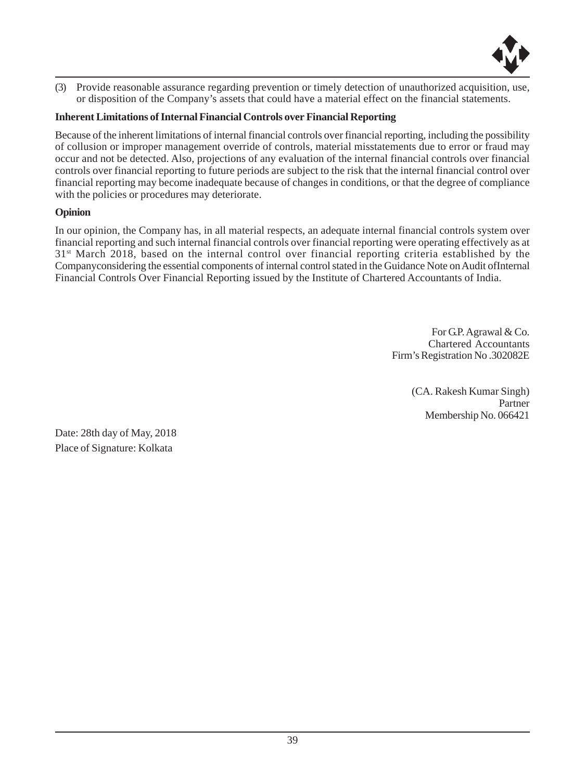

(3) Provide reasonable assurance regarding prevention or timely detection of unauthorized acquisition, use, or disposition of the Company's assets that could have a material effect on the financial statements.

# **Inherent Limitations of Internal Financial Controls over Financial Reporting**

Because of the inherent limitations of internal financial controls over financial reporting, including the possibility of collusion or improper management override of controls, material misstatements due to error or fraud may occur and not be detected. Also, projections of any evaluation of the internal financial controls over financial controls over financial reporting to future periods are subject to the risk that the internal financial control over financial reporting may become inadequate because of changes in conditions, or that the degree of compliance with the policies or procedures may deteriorate.

### **Opinion**

In our opinion, the Company has, in all material respects, an adequate internal financial controls system over financial reporting and such internal financial controls over financial reporting were operating effectively as at 31st March 2018, based on the internal control over financial reporting criteria established by the Companyconsidering the essential components of internal control stated in the Guidance Note on Audit ofInternal Financial Controls Over Financial Reporting issued by the Institute of Chartered Accountants of India.

> For G.P. Agrawal & Co. Chartered Accountants Firm's Registration No .302082E

> > (CA. Rakesh Kumar Singh) Partner Membership No. 066421

Date: 28th day of May, 2018 Place of Signature: Kolkata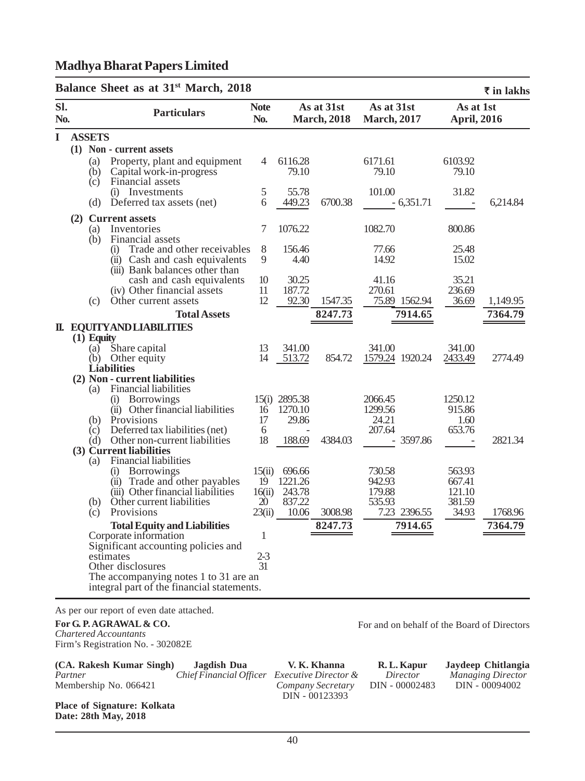#### **Balance Sheet as at 31st March, 2018 Sl. Note As at 31st As at 31st As at 1st No. Particulars No. March, 2018 March, 2017 April, 2016 I ASSETS (1) Non - current assets** (a) Property, plant and equipment  $\begin{array}{ccc} 4 & 6116.28 & 6171.61 & 6103.92 \\ 61 & 6103.92 & 79.10 & 79.10 & 79.10 \end{array}$  $(b)$  Capital work-in-progress (c) Financial assets (i) Investments 5 55.78 101.00 31.82<br>Deferred tax assets (net) 6 449.23 6700.38 - 6,351.71 -(d) Deferred tax assets (net)  $\qquad 6 \quad 449.23 \quad 6700.38 \qquad -6,351.71 \qquad -6,214.84$ **(2) Current assets** (a) Inventories 7 1076.22 1082.70 800.86 (b) Financial assets (i) Trade and other receivables 8 156.46 77.66 25.48<br>
(ii) Cash and cash equivalents 9 4.40 14.92 15.02 (ii) Cash and cash equivalents  $9$  4.40 14.92 (iii) Bank balances other than cash and cash equivalents 10 30.25 41.16 35.21<br>Other financial assets 11 187.72 270.61 236.69 (iv) Other financial assets 11 187.72 270.61 236.69<br>Other current assets 12 92.30 1547.35 75.89 1562.94 36.69 (c) Other current assets 12 92.30 1547.35 75.89 1562.94 36.69 1,149.95 **Total Assets 8247.73 7914.65 7364.79 II. EQUITY AND LIABILITIES (1) Equity** (a) Share capital 13 341.00 341.00 341.00 341.00<br>
(b) Other equity 14 513.72 854.72 1579.24 1920.24 2433.49 (b) Other equity 14 513.72 854.72 1579.24 1920.24 2433.49 2774.49 **Liabilities (2) Non - current liabilities** (a) Financial liabilities (i) Borrowings 15(i) 2895.38 2066.45 1250.12<br>
(ii) Other financial liabilities 16 1270.10 1299.56 915.86 (ii) Other financial liabilities 16 1270.10 1299.56 915.86<br>Provisions 17 29.86 24.21 1.60 (b) Provisions 17 29.86 24.21 1.60<br>
(c) Deferred tax liabilities (net) 6 - 207.64 653.76 Deferred tax liabilities (net) 6<br>Other non-current liabilities 18 188.69 4384.03 (d) Other non-current liabilities 18 188.69 4384.03 - 3597.86 - 2821.34  **(3) Current liabilities** (a) Financial liabilities<br>(i) Borrowings (i) Borrowings 15(ii) 696.66 730.58 563.93<br>
(ii) Trade and other payables 19 1221.26 942.93 667.41 (ii) Trade and other payables 19 1221.26 942.93 667.41<br>
(iii) Other financial liabilities 16(ii) 243.78 179.88 121.10 (iii) Other financial liabilities  $16(ii)$  243.78<br>Other current liabilities  $20$  837.22 (b) Other current liabilities 20 837.22 535.93 381.59 (c) Provisions 23(ii) 10.06 3008.98 7.23 2396.55 34.93 1768.96 **Total Equity and Liabilities 8247.73 7914.65 7364.79** Corporate information 1 Significant accounting policies and estimates 2-3<br>Other disclosures 2-3 Other disclosures The accompanying notes 1 to 31 are an integral part of the financial statements. ` **in lakhs**

# **Madhya Bharat Papers Limited**

As per our report of even date attached.

#### **For G. P. AGRAWAL & CO.**

*Chartered Accountants* Firm's Registration No. - 302082E

**(CA. Rakesh Kumar Singh) Jagdish Dua V. K. Khanna R. L. Kapur Jaydeep Chitlangia** *Partner Chief Financial Officer Executive Director & Director Managing Director* Membership No. 066421 *Company Secretary* DIN - 00002483 DIN - 00094002

DIN - 00123393

For and on behalf of the Board of Directors

**Place of Signature: Kolkata Date: 28th May, 2018**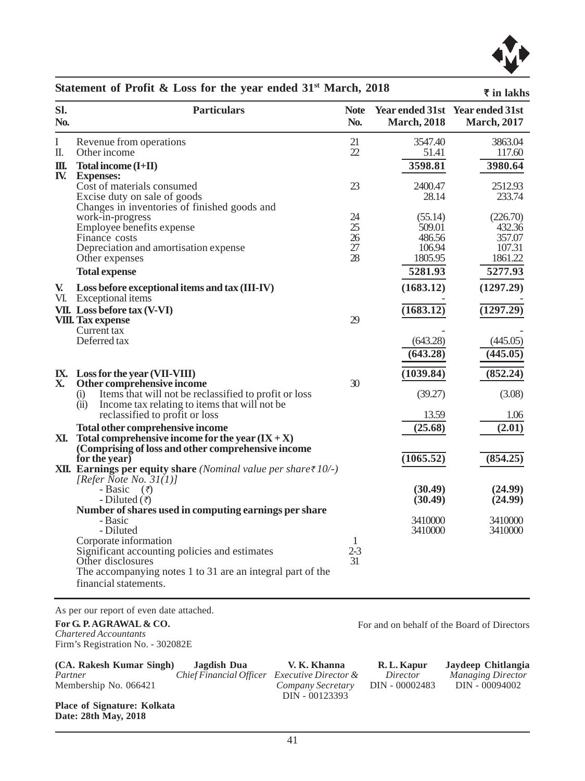

|              | Statement of Profit & Loss for the year ended 31 <sup>34</sup> March, 2018                                             |                    |                     | ₹ in lakhs                                             |
|--------------|------------------------------------------------------------------------------------------------------------------------|--------------------|---------------------|--------------------------------------------------------|
| SI.<br>No.   | <b>Particulars</b>                                                                                                     | <b>Note</b><br>No. | <b>March</b> , 2018 | Year ended 31st Year ended 31st<br><b>March</b> , 2017 |
| I            | Revenue from operations                                                                                                | 21                 | 3547.40             | 3863.04                                                |
| Π.           | Other income                                                                                                           | 22                 | 51.41               | 117.60                                                 |
| Ш.           | Total income (I+II)                                                                                                    |                    | 3598.81             | 3980.64                                                |
| IV.          | <b>Expenses:</b>                                                                                                       | 23                 | 2400.47             | 2512.93                                                |
|              | Cost of materials consumed<br>Excise duty on sale of goods                                                             |                    | 28.14               | 233.74                                                 |
|              | Changes in inventories of finished goods and                                                                           |                    |                     |                                                        |
|              | work-in-progress                                                                                                       | 24                 | (55.14)             | (226.70)                                               |
|              | Employee benefits expense                                                                                              | 25                 | 509.01              | 432.36                                                 |
|              | Finance costs                                                                                                          | 26                 | 486.56              | 357.07                                                 |
|              | Depreciation and amortisation expense                                                                                  | 27<br>28           | 106.94<br>1805.95   | 107.31<br>1861.22                                      |
|              | Other expenses                                                                                                         |                    |                     |                                                        |
|              | <b>Total expense</b>                                                                                                   |                    | 5281.93             | 5277.93                                                |
| $\mathbf{V}$ | Loss before exceptional items and tax (III-IV)<br>VI. Exceptional items                                                |                    | (1683.12)           | (1297.29)                                              |
|              | VII. Loss before tax (V-VI)                                                                                            |                    | (1683.12)           | (1297.29)                                              |
|              | <b>VIII.</b> Tax expense                                                                                               | 29                 |                     |                                                        |
|              | Current tax                                                                                                            |                    |                     |                                                        |
|              | Deferred tax                                                                                                           |                    | (643.28)            | (445.05)                                               |
|              |                                                                                                                        |                    | (643.28)            | (445.05)                                               |
|              | IX. Loss for the year (VII-VIII)                                                                                       |                    | (1039.84)           | (852.24)                                               |
| X.           | Other comprehensive income                                                                                             | 30                 |                     |                                                        |
|              | Items that will not be reclassified to profit or loss<br>(i)                                                           |                    | (39.27)             | (3.08)                                                 |
|              | (ii)<br>Income tax relating to items that will not be.<br>reclassified to profit or loss                               |                    | 13.59               | 1.06                                                   |
|              | Total other comprehensive income                                                                                       |                    | (25.68)             | (2.01)                                                 |
|              | <b>XI.</b> Total comprehensive income for the year $(IX + X)$                                                          |                    |                     |                                                        |
|              | (Comprising of loss and other comprehensive income                                                                     |                    |                     |                                                        |
|              | for the year)                                                                                                          |                    | (1065.52)           | (854.25)                                               |
|              | <b>XII.</b> Earnings per equity share ( <i>Nominal value per share</i> $\bar{\tau}$ 10/-)<br>[Refer Note No. $31(1)$ ] |                    |                     |                                                        |
|              | - Basic $(\vec{z})$                                                                                                    |                    | (30.49)             | (24.99)                                                |
|              | - Diluted $(\bar{\tau})$                                                                                               |                    | (30.49)             | (24.99)                                                |
|              | Number of shares used in computing earnings per share                                                                  |                    |                     |                                                        |
|              | - Basic                                                                                                                |                    | 3410000             | 3410000                                                |
|              | - Diluted<br>Corporate information                                                                                     | 1                  | 3410000             | 3410000                                                |
|              | Significant accounting policies and estimates                                                                          | $2 - 3$            |                     |                                                        |
|              | Other disclosures                                                                                                      | 31                 |                     |                                                        |
|              | The accompanying notes 1 to 31 are an integral part of the                                                             |                    |                     |                                                        |
|              | financial statements.                                                                                                  |                    |                     |                                                        |

**Statement of Profit & Loss for the year ended 31st March, 2018**

As per our report of even date attached.

**For G. P. AGRAWAL & CO.** *Chartered Accountants* Firm's Registration No. - 302082E

**(CA. Rakesh Kumar Singh) Jagdish Dua V. K. Khanna R. L. Kapur Jaydeep Chitlangia** Membership No. 066421

*Partner Executive Director & Director Managing Director Company Secretary DIN - 00002483 DIN - 00094002* DIN - 00123393

For and on behalf of the Board of Directors

**Place of Signature: Kolkata Date: 28th May, 2018**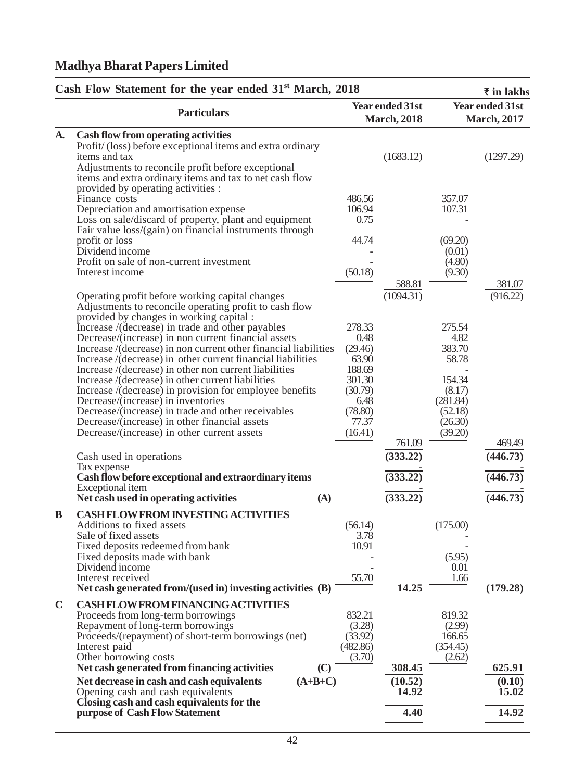|             | Cash Flow Statement for the year ended 31 <sup>st</sup> March, 2018                                                                                                                                                                                                                                                                                                                                                                                                                                                                                                                                                                                                                                                                                                      |                                                                                                          |                                               |                                                                                                    | ₹ in lakhs                             |
|-------------|--------------------------------------------------------------------------------------------------------------------------------------------------------------------------------------------------------------------------------------------------------------------------------------------------------------------------------------------------------------------------------------------------------------------------------------------------------------------------------------------------------------------------------------------------------------------------------------------------------------------------------------------------------------------------------------------------------------------------------------------------------------------------|----------------------------------------------------------------------------------------------------------|-----------------------------------------------|----------------------------------------------------------------------------------------------------|----------------------------------------|
|             | <b>Particulars</b>                                                                                                                                                                                                                                                                                                                                                                                                                                                                                                                                                                                                                                                                                                                                                       |                                                                                                          | <b>Year ended 31st</b><br><b>March</b> , 2018 |                                                                                                    | Year ended 31st<br><b>March</b> , 2017 |
| <b>A.</b>   | Cash flow from operating activities<br>Profit/(loss) before exceptional items and extra ordinary<br>items and tax<br>Adjustments to reconcile profit before exceptional<br>items and extra ordinary items and tax to net cash flow                                                                                                                                                                                                                                                                                                                                                                                                                                                                                                                                       |                                                                                                          | (1683.12)                                     |                                                                                                    | (1297.29)                              |
|             | provided by operating activities :<br>Finance costs<br>Depreciation and amortisation expense<br>Loss on sale/discard of property, plant and equipment<br>Fair value loss/(gain) on financial instruments through<br>profit or loss<br>Dividend income<br>Profit on sale of non-current investment<br>Interest income                                                                                                                                                                                                                                                                                                                                                                                                                                                     | 486.56<br>106.94<br>0.75<br>44.74<br>(50.18)                                                             |                                               | 357.07<br>107.31<br>(69.20)<br>(0.01)<br>(4.80)<br>(9.30)                                          |                                        |
|             | Operating profit before working capital changes<br>Adjustments to reconcile operating profit to cash flow<br>provided by changes in working capital :<br>Increase /(decrease) in trade and other payables<br>Decrease/(increase) in non current financial assets<br>Increase /(decrease) in non current other financial liabilities<br>Increase /(decrease) in other current financial liabilities<br>Increase /(decrease) in other non current liabilities<br>Increase / (decrease) in other current liabilities<br>Increase /(decrease) in provision for employee benefits<br>Decrease/(increase) in inventories<br>Decrease/(increase) in trade and other receivables<br>Decrease/(increase) in other financial assets<br>Decrease/(increase) in other current assets | 278.33<br>0.48<br>(29.46)<br>63.90<br>188.69<br>301.30<br>(30.79)<br>6.48<br>(78.80)<br>77.37<br>(16.41) | 588.81<br>(1094.31)                           | 275.54<br>4.82<br>383.70<br>58.78<br>154.34<br>(8.17)<br>(281.84)<br>(52.18)<br>(26.30)<br>(39.20) | 381.07<br>(916.22)                     |
|             | Cash used in operations<br>Tax expense<br>Cash flow before exceptional and extraordinary items<br>Exceptional item                                                                                                                                                                                                                                                                                                                                                                                                                                                                                                                                                                                                                                                       |                                                                                                          | 761.09<br>(333.22)<br>(333.22)                |                                                                                                    | 469.49<br>(446.73)<br>(446.73)         |
| B           | Net cash used in operating activities<br>(A)<br><b>CASH FLOW FROM INVESTING ACTIVITIES</b><br>Additions to fixed assets<br>Sale of fixed assets<br>Fixed deposits redeemed from bank<br>Fixed deposits made with bank<br>Dividend income<br>Interest received<br>Net cash generated from/(used in) investing activities (B)                                                                                                                                                                                                                                                                                                                                                                                                                                              | (56.14)<br>3.78<br>10.91<br>55.70                                                                        | (333.22)<br>14.25                             | (175.00)<br>(5.95)<br>0.01<br>1.66                                                                 | (446.73)<br>(179.28)                   |
| $\mathbf C$ | CASH FLOW FROM FINANCING ACTIVITIES<br>Proceeds from long-term borrowings<br>Repayment of long-term borrowings<br>Proceeds/(repayment) of short-term borrowings (net)<br>Interest paid<br>Other borrowing costs<br>Net cash generated from financing activities                                                                                                                                                                                                                                                                                                                                                                                                                                                                                                          | 832.21<br>(3.28)<br>(33.92)<br>(482.86)<br>(3.70)                                                        | 308.45                                        | 819.32<br>(2.99)<br>166.65<br>(354.45)<br>(2.62)                                                   | 625.91                                 |
|             | (C)<br>$(A+B+C)$<br>Net decrease in cash and cash equivalents<br>Opening cash and cash equivalents<br>Closing cash and cash equivalents for the<br>purpose of Cash Flow Statement                                                                                                                                                                                                                                                                                                                                                                                                                                                                                                                                                                                        |                                                                                                          | (10.52)<br>14.92<br>4.40                      |                                                                                                    | (0.10)<br>15.02<br>14.92               |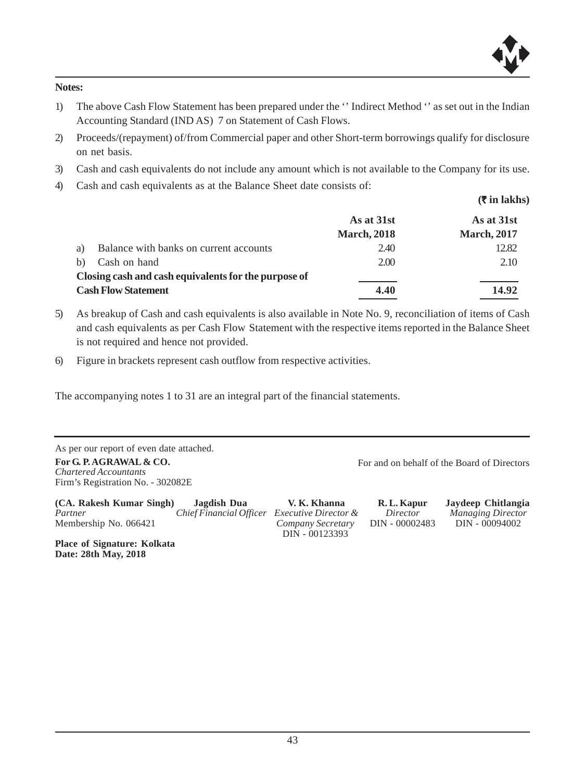

**Notes:**

- 1) The above Cash Flow Statement has been prepared under the '' Indirect Method '' as set out in the Indian Accounting Standard (IND AS) 7 on Statement of Cash Flows.
- 2) Proceeds/(repayment) of/from Commercial paper and other Short-term borrowings qualify for disclosure on net basis.
- 3) Cash and cash equivalents do not include any amount which is not available to the Company for its use.
- 4) Cash and cash equivalents as at the Balance Sheet date consists of:

 **(**` **in lakhs) As at 31st As at 31st March, 2018 March, 2017** a) Balance with banks on current accounts 2.40 2.40 12.82 b) Cash on hand  $2.00$   $2.10$ **Closing cash and cash equivalents for the purpose of Cash Flow Statement 4.40 14.92**

- 5) As breakup of Cash and cash equivalents is also available in Note No. 9, reconciliation of items of Cash and cash equivalents as per Cash Flow Statement with the respective items reported in the Balance Sheet is not required and hence not provided.
- 6) Figure in brackets represent cash outflow from respective activities.

The accompanying notes 1 to 31 are an integral part of the financial statements.

As per our report of even date attached. **For G. P. AGRAWAL & CO.**

*Chartered Accountants* Firm's Registration No. - 302082E

**(CA. Rakesh Kumar Singh) Jagdish Dua V. K. Khanna R. L. Kapur Jaydeep Chitlangia Partner** *Chief Financial Officer Executive Director & Director* Membership No. 066421 *Company Secretary* DIN - 00002483 DIN - 00094002 DIN - 00123393

**Place of Signature: Kolkata Date: 28th May, 2018**

For and on behalf of the Board of Directors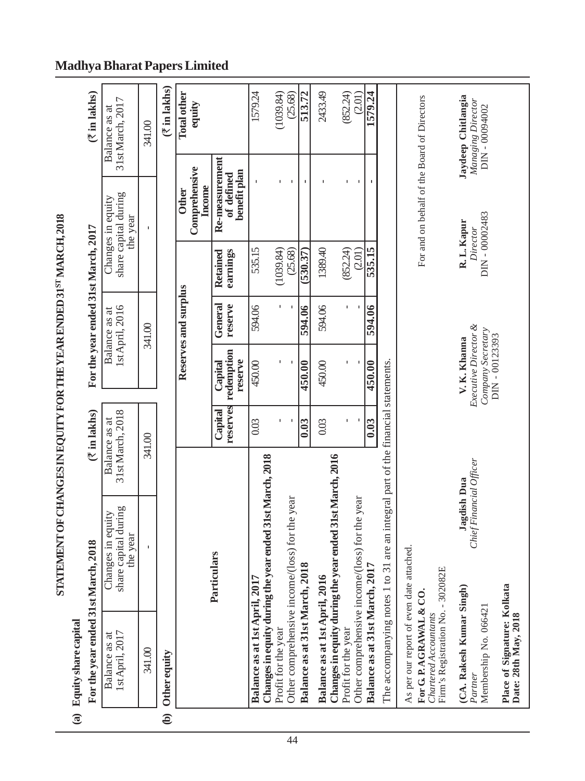| I                                                              |
|----------------------------------------------------------------|
|                                                                |
|                                                                |
|                                                                |
|                                                                |
|                                                                |
|                                                                |
|                                                                |
|                                                                |
|                                                                |
|                                                                |
|                                                                |
|                                                                |
| ١                                                              |
|                                                                |
| <b>A SALE AND A SECOND CARD OF A SALE AND A REPORT OF CARD</b> |
|                                                                |
|                                                                |
|                                                                |
|                                                                |
|                                                                |
|                                                                |
|                                                                |
|                                                                |
|                                                                |
|                                                                |
|                                                                |
|                                                                |
|                                                                |
|                                                                |
|                                                                |
|                                                                |
|                                                                |

# (a) Equity share capital

|                        | (a) Equity share capital                                                                                                          |                                                          |                                   |                                                                           |                                  |                                         |                                                       |                                                         |
|------------------------|-----------------------------------------------------------------------------------------------------------------------------------|----------------------------------------------------------|-----------------------------------|---------------------------------------------------------------------------|----------------------------------|-----------------------------------------|-------------------------------------------------------|---------------------------------------------------------|
|                        | For the year ended 31st March,                                                                                                    | 2018                                                     | $(\bar{x})$ in lakhs)             |                                                                           |                                  | For the year ended 31st March, 2017     |                                                       | ₹ in lakhs)                                             |
|                        | 1st April, 2017<br>Balance as at                                                                                                  | share capital during<br>Changes in equity<br>the year    | 31st March, 2018<br>Balance as at |                                                                           | 1st April, 2016<br>Balance as at |                                         | share capital during<br>Changes in equity<br>the year | 31st March, 2017<br>Balance as at                       |
|                        | 341.00                                                                                                                            | $\mathbf I$                                              | 341.00                            |                                                                           | 341.00                           |                                         |                                                       | 341.00                                                  |
| $\widehat{\mathbf{e}}$ | Other equity                                                                                                                      |                                                          |                                   |                                                                           |                                  |                                         |                                                       | $($ ₹ in lakhs)                                         |
|                        |                                                                                                                                   |                                                          |                                   |                                                                           | Reserves and surplus             |                                         | Comprehensive<br><b>Other</b>                         | <b>Total other</b><br>equity                            |
|                        |                                                                                                                                   | Particulars                                              |                                   |                                                                           |                                  |                                         | Income                                                |                                                         |
|                        |                                                                                                                                   |                                                          | reserves<br>Capital               | redemption<br>reserve<br>Capital                                          | General<br>reserve               | earnings<br>Retained                    | Re-measurement<br>benefit plan<br>of defined          |                                                         |
|                        | Balance as at 1st April, 2017                                                                                                     | Changes in equity during the year ended 31st March, 2018 | 0.03                              | 450.00                                                                    | 594.06                           | 535.15                                  |                                                       | 1579.24                                                 |
|                        | Profit for the year                                                                                                               |                                                          |                                   |                                                                           |                                  | (1039.84)                               |                                                       | (1039.84)                                               |
|                        |                                                                                                                                   | Other comprehensive income/(loss) for the year           |                                   |                                                                           |                                  | (25.68)                                 |                                                       | (25.68)                                                 |
|                        | Balance as at 31st March, 2018                                                                                                    |                                                          | 0.03                              | 450.00                                                                    | 594.06                           | 530.37                                  | J.                                                    | 513.72                                                  |
|                        | Balance as at 1st April, 2016                                                                                                     |                                                          | 0.03                              | 450.00                                                                    | 594.06                           | 1389.40                                 |                                                       | 2433.49                                                 |
|                        | Profit for the year                                                                                                               | Changes in equity during the year ended 31st March, 2016 |                                   |                                                                           |                                  | (852.24)                                |                                                       | (852.24)                                                |
|                        |                                                                                                                                   | Other comprehensive income/(loss) for the year           |                                   |                                                                           |                                  | (2.01)                                  |                                                       | (2.01)                                                  |
|                        | Balance as at 31st March, 2017                                                                                                    |                                                          | 0.03                              | 450.00                                                                    | 594.06                           | 535.15                                  | ٠                                                     | 1579.24                                                 |
|                        | The accompanying notes 1 to 31                                                                                                    | are an integral part of the financial statements.        |                                   |                                                                           |                                  |                                         |                                                       |                                                         |
|                        | As per our report of even date attached.<br>Firm's Registration No. - 302082E<br>For G. P. AGRAWAL & CO.<br>Chartered Accountants |                                                          |                                   |                                                                           |                                  |                                         | For and on behalf of the Board of Directors           |                                                         |
|                        | Place of Signature: Kolkata<br>(CA. Rakesh Kumar Singh)<br>Membership No. 066421<br>Date: 28th May, 2018<br>Partner               | Chief Financial Officer<br>Jagdish Dua                   |                                   | Executive Director &<br>Company Secretary<br>DIN-00123393<br>V. K. Khanna |                                  | DIN-00002483<br>R. L. Kapur<br>Director |                                                       | Jaydeep Chitlangia<br>Managing Director<br>DIN-00094002 |

# **Madhya Bharat Papers Limited**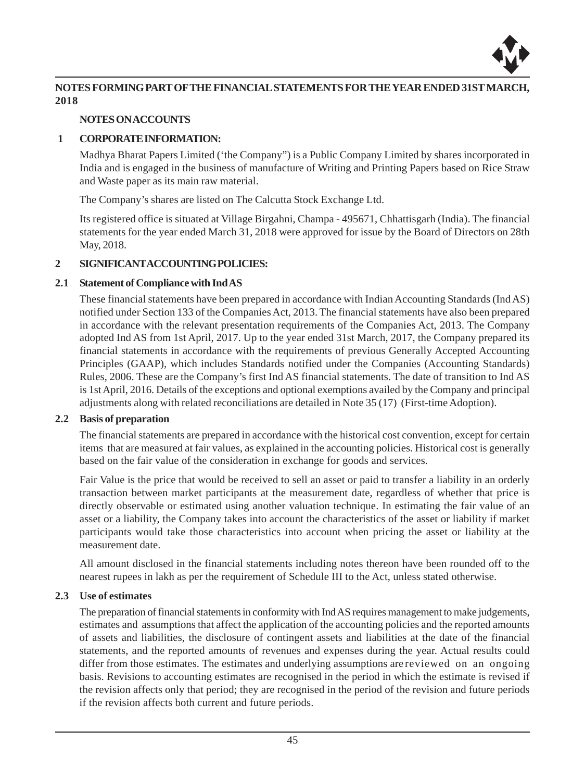

# **NOTES FORMING PART OF THE FINANCIAL STATEMENTS FOR THE YEAR ENDED 31ST MARCH, 2018**

#### **NOTES ON ACCOUNTS**

#### **1 CORPORATE INFORMATION:**

Madhya Bharat Papers Limited ('the Company") is a Public Company Limited by shares incorporated in India and is engaged in the business of manufacture of Writing and Printing Papers based on Rice Straw and Waste paper as its main raw material.

The Company's shares are listed on The Calcutta Stock Exchange Ltd.

Its registered office is situated at Village Birgahni, Champa - 495671, Chhattisgarh (India). The financial statements for the year ended March 31, 2018 were approved for issue by the Board of Directors on 28th May, 2018.

### **2 SIGNIFICANT ACCOUNTING POLICIES:**

### **2.1 Statement of Compliance with Ind AS**

These financial statements have been prepared in accordance with Indian Accounting Standards (Ind AS) notified under Section 133 of the Companies Act, 2013. The financial statements have also been prepared in accordance with the relevant presentation requirements of the Companies Act, 2013. The Company adopted Ind AS from 1st April, 2017. Up to the year ended 31st March, 2017, the Company prepared its financial statements in accordance with the requirements of previous Generally Accepted Accounting Principles (GAAP), which includes Standards notified under the Companies (Accounting Standards) Rules, 2006. These are the Company's first Ind AS financial statements. The date of transition to Ind AS is 1st April, 2016. Details of the exceptions and optional exemptions availed by the Company and principal adjustments along with related reconciliations are detailed in Note 35 (17) (First-time Adoption).

#### **2.2 Basis of preparation**

The financial statements are prepared in accordance with the historical cost convention, except for certain items that are measured at fair values, as explained in the accounting policies. Historical cost is generally based on the fair value of the consideration in exchange for goods and services.

Fair Value is the price that would be received to sell an asset or paid to transfer a liability in an orderly transaction between market participants at the measurement date, regardless of whether that price is directly observable or estimated using another valuation technique. In estimating the fair value of an asset or a liability, the Company takes into account the characteristics of the asset or liability if market participants would take those characteristics into account when pricing the asset or liability at the measurement date.

All amount disclosed in the financial statements including notes thereon have been rounded off to the nearest rupees in lakh as per the requirement of Schedule III to the Act, unless stated otherwise.

### **2.3 Use of estimates**

The preparation of financial statements in conformity with Ind AS requires management to make judgements, estimates and assumptions that affect the application of the accounting policies and the reported amounts of assets and liabilities, the disclosure of contingent assets and liabilities at the date of the financial statements, and the reported amounts of revenues and expenses during the year. Actual results could differ from those estimates. The estimates and underlying assumptions are reviewed on an ongoing basis. Revisions to accounting estimates are recognised in the period in which the estimate is revised if the revision affects only that period; they are recognised in the period of the revision and future periods if the revision affects both current and future periods.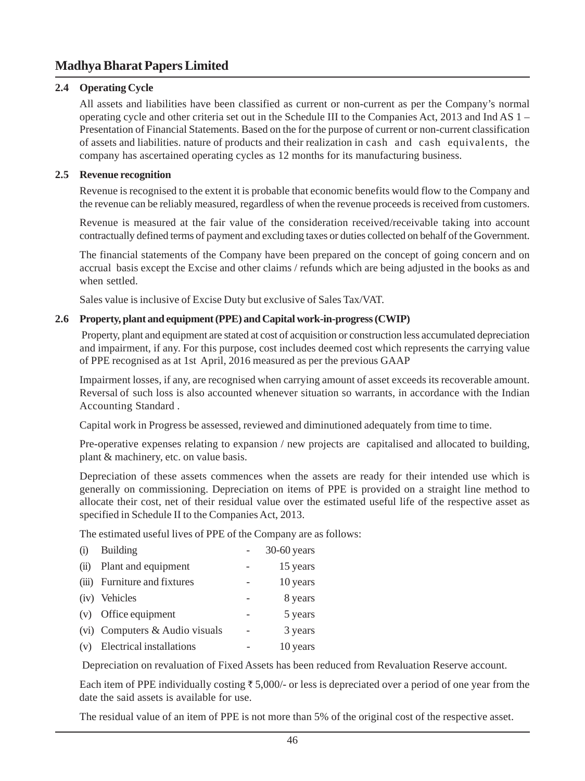### **2.4 Operating Cycle**

All assets and liabilities have been classified as current or non-current as per the Company's normal operating cycle and other criteria set out in the Schedule III to the Companies Act, 2013 and Ind AS 1 – Presentation of Financial Statements. Based on the for the purpose of current or non-current classification of assets and liabilities. nature of products and their realization in cash and cash equivalents, the company has ascertained operating cycles as 12 months for its manufacturing business.

#### **2.5 Revenue recognition**

Revenue is recognised to the extent it is probable that economic benefits would flow to the Company and the revenue can be reliably measured, regardless of when the revenue proceeds is received from customers.

Revenue is measured at the fair value of the consideration received/receivable taking into account contractually defined terms of payment and excluding taxes or duties collected on behalf of the Government.

The financial statements of the Company have been prepared on the concept of going concern and on accrual basis except the Excise and other claims / refunds which are being adjusted in the books as and when settled.

Sales value is inclusive of Excise Duty but exclusive of Sales Tax/VAT.

### **2.6 Property, plant and equipment (PPE) and Capital work-in-progress (CWIP)**

 Property, plant and equipment are stated at cost of acquisition or construction less accumulated depreciation and impairment, if any. For this purpose, cost includes deemed cost which represents the carrying value of PPE recognised as at 1st April, 2016 measured as per the previous GAAP

Impairment losses, if any, are recognised when carrying amount of asset exceeds its recoverable amount. Reversal of such loss is also accounted whenever situation so warrants, in accordance with the Indian Accounting Standard .

Capital work in Progress be assessed, reviewed and diminutioned adequately from time to time.

Pre-operative expenses relating to expansion / new projects are capitalised and allocated to building, plant & machinery, etc. on value basis.

Depreciation of these assets commences when the assets are ready for their intended use which is generally on commissioning. Depreciation on items of PPE is provided on a straight line method to allocate their cost, net of their residual value over the estimated useful life of the respective asset as specified in Schedule II to the Companies Act, 2013.

The estimated useful lives of PPE of the Company are as follows:

| (i) | Building                       | $30-60$ years |
|-----|--------------------------------|---------------|
|     | (ii) Plant and equipment       | 15 years      |
|     | (iii) Furniture and fixtures   | 10 years      |
|     | (iv) Vehicles                  | 8 years       |
|     | (v) Office equipment           | 5 years       |
|     | (vi) Computers & Audio visuals | 3 years       |
|     | (v) Electrical installations   | 10 years      |

Depreciation on revaluation of Fixed Assets has been reduced from Revaluation Reserve account.

Each item of PPE individually costing  $\bar{\tau}$  5,000/- or less is depreciated over a period of one year from the date the said assets is available for use.

The residual value of an item of PPE is not more than 5% of the original cost of the respective asset.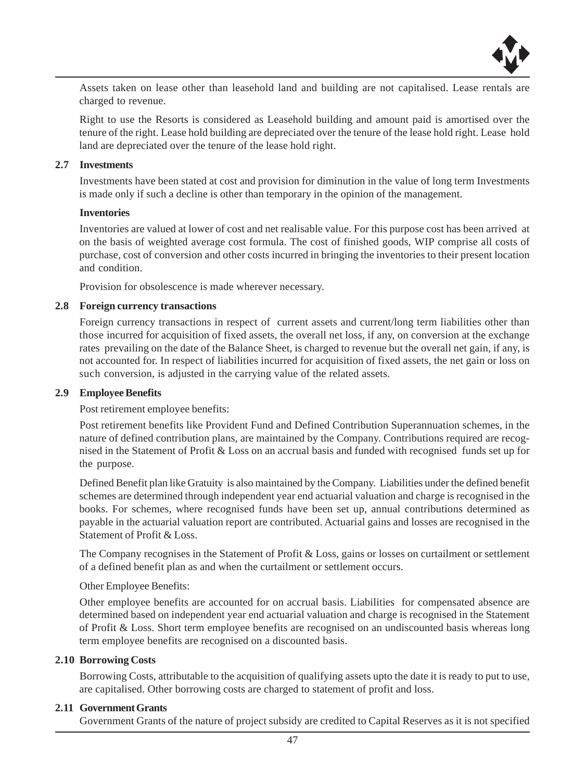

Assets taken on lease other than leasehold land and building are not capitalised. Lease rentals are charged to revenue.

Right to use the Resorts is considered as Leasehold building and amount paid is amortised over the tenure of the right. Lease hold building are depreciated over the tenure of the lease hold right. Lease hold land are depreciated over the tenure of the lease hold right.

#### **2.7 Investments**

Investments have been stated at cost and provision for diminution in the value of long term Investments is made only if such a decline is other than temporary in the opinion of the management.

#### **Inventories**

Inventories are valued at lower of cost and net realisable value. For this purpose cost has been arrived at on the basis of weighted average cost formula. The cost of finished goods, WIP comprise all costs of purchase, cost of conversion and other costs incurred in bringing the inventories to their present location and condition.

Provision for obsolescence is made wherever necessary.

#### **2.8 Foreign currency transactions**

Foreign currency transactions in respect of current assets and current/long term liabilities other than those incurred for acquisition of fixed assets, the overall net loss, if any, on conversion at the exchange rates prevailing on the date of the Balance Sheet, is charged to revenue but the overall net gain, if any, is not accounted for. In respect of liabilities incurred for acquisition of fixed assets, the net gain or loss on such conversion, is adjusted in the carrying value of the related assets.

#### **2.9 Employee Benefits**

Post retirement employee benefits:

Post retirement benefits like Provident Fund and Defined Contribution Superannuation schemes, in the nature of defined contribution plans, are maintained by the Company. Contributions required are recognised in the Statement of Profit & Loss on an accrual basis and funded with recognised funds set up for the purpose.

Defined Benefit plan like Gratuity is also maintained by the Company. Liabilities under the defined benefit schemes are determined through independent year end actuarial valuation and charge is recognised in the books. For schemes, where recognised funds have been set up, annual contributions determined as payable in the actuarial valuation report are contributed. Actuarial gains and losses are recognised in the Statement of Profit & Loss.

The Company recognises in the Statement of Profit & Loss, gains or losses on curtailment or settlement of a defined benefit plan as and when the curtailment or settlement occurs.

#### Other Employee Benefits:

Other employee benefits are accounted for on accrual basis. Liabilities for compensated absence are determined based on independent year end actuarial valuation and charge is recognised in the Statement of Profit & Loss. Short term employee benefits are recognised on an undiscounted basis whereas long term employee benefits are recognised on a discounted basis.

### **2.10 Borrowing Costs**

Borrowing Costs, attributable to the acquisition of qualifying assets upto the date it is ready to put to use, are capitalised. Other borrowing costs are charged to statement of profit and loss.

#### **2.11 Government Grants**

Government Grants of the nature of project subsidy are credited to Capital Reserves as it is not specified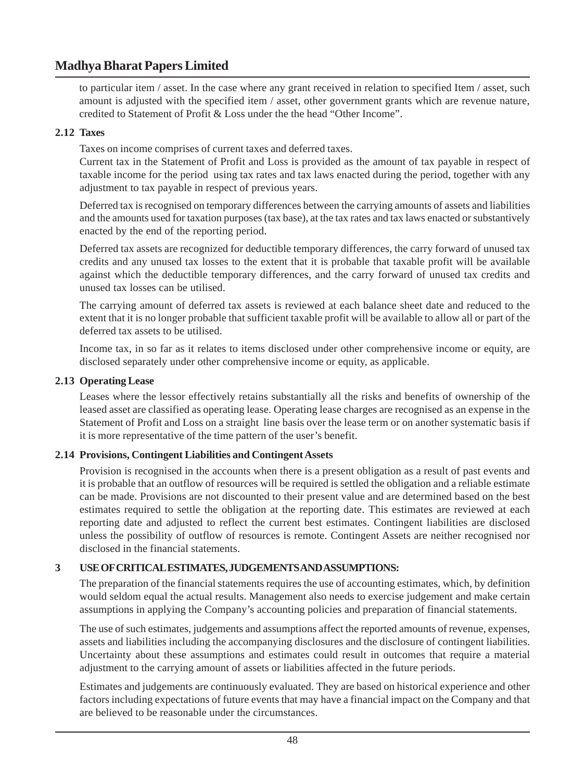to particular item / asset. In the case where any grant received in relation to specified Item / asset, such amount is adjusted with the specified item / asset, other government grants which are revenue nature, credited to Statement of Profit & Loss under the the head "Other Income".

# **2.12 Taxes**

Taxes on income comprises of current taxes and deferred taxes.

Current tax in the Statement of Profit and Loss is provided as the amount of tax payable in respect of taxable income for the period using tax rates and tax laws enacted during the period, together with any adjustment to tax payable in respect of previous years.

Deferred tax is recognised on temporary differences between the carrying amounts of assets and liabilities and the amounts used for taxation purposes (tax base), at the tax rates and tax laws enacted or substantively enacted by the end of the reporting period.

Deferred tax assets are recognized for deductible temporary differences, the carry forward of unused tax credits and any unused tax losses to the extent that it is probable that taxable profit will be available against which the deductible temporary differences, and the carry forward of unused tax credits and unused tax losses can be utilised.

The carrying amount of deferred tax assets is reviewed at each balance sheet date and reduced to the extent that it is no longer probable that sufficient taxable profit will be available to allow all or part of the deferred tax assets to be utilised.

Income tax, in so far as it relates to items disclosed under other comprehensive income or equity, are disclosed separately under other comprehensive income or equity, as applicable.

# **2.13 Operating Lease**

Leases where the lessor effectively retains substantially all the risks and benefits of ownership of the leased asset are classified as operating lease. Operating lease charges are recognised as an expense in the Statement of Profit and Loss on a straight line basis over the lease term or on another systematic basis if it is more representative of the time pattern of the user's benefit.

# **2.14 Provisions, Contingent Liabilities and Contingent Assets**

Provision is recognised in the accounts when there is a present obligation as a result of past events and it is probable that an outflow of resources will be required is settled the obligation and a reliable estimate can be made. Provisions are not discounted to their present value and are determined based on the best estimates required to settle the obligation at the reporting date. This estimates are reviewed at each reporting date and adjusted to reflect the current best estimates. Contingent liabilities are disclosed unless the possibility of outflow of resources is remote. Contingent Assets are neither recognised nor disclosed in the financial statements.

# **3 USE OF CRITICAL ESTIMATES, JUDGEMENTS AND ASSUMPTIONS:**

The preparation of the financial statements requires the use of accounting estimates, which, by definition would seldom equal the actual results. Management also needs to exercise judgement and make certain assumptions in applying the Company's accounting policies and preparation of financial statements.

The use of such estimates, judgements and assumptions affect the reported amounts of revenue, expenses, assets and liabilities including the accompanying disclosures and the disclosure of contingent liabilities. Uncertainty about these assumptions and estimates could result in outcomes that require a material adjustment to the carrying amount of assets or liabilities affected in the future periods.

Estimates and judgements are continuously evaluated. They are based on historical experience and other factors including expectations of future events that may have a financial impact on the Company and that are believed to be reasonable under the circumstances.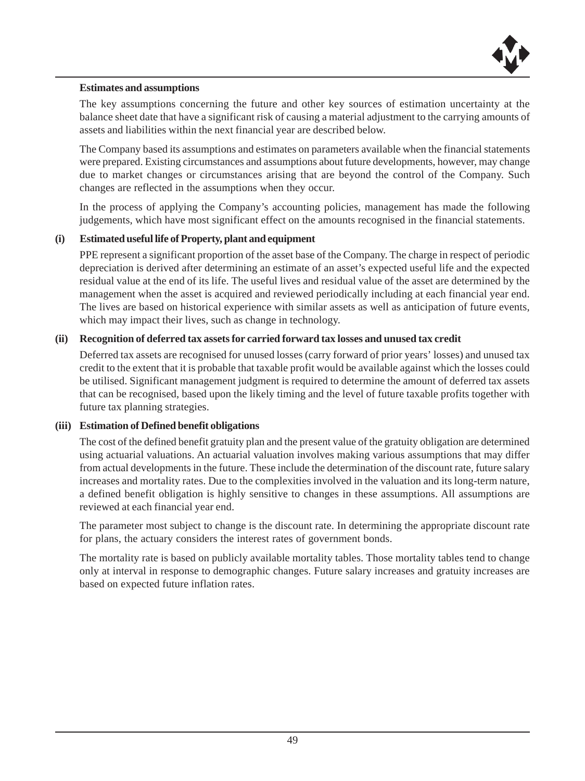

#### **Estimates and assumptions**

The key assumptions concerning the future and other key sources of estimation uncertainty at the balance sheet date that have a significant risk of causing a material adjustment to the carrying amounts of assets and liabilities within the next financial year are described below.

The Company based its assumptions and estimates on parameters available when the financial statements were prepared. Existing circumstances and assumptions about future developments, however, may change due to market changes or circumstances arising that are beyond the control of the Company. Such changes are reflected in the assumptions when they occur.

In the process of applying the Company's accounting policies, management has made the following judgements, which have most significant effect on the amounts recognised in the financial statements.

### **(i) Estimated useful life of Property, plant and equipment**

PPE represent a significant proportion of the asset base of the Company. The charge in respect of periodic depreciation is derived after determining an estimate of an asset's expected useful life and the expected residual value at the end of its life. The useful lives and residual value of the asset are determined by the management when the asset is acquired and reviewed periodically including at each financial year end. The lives are based on historical experience with similar assets as well as anticipation of future events, which may impact their lives, such as change in technology.

### **(ii) Recognition of deferred tax assets for carried forward tax losses and unused tax credit**

Deferred tax assets are recognised for unused losses (carry forward of prior years' losses) and unused tax credit to the extent that it is probable that taxable profit would be available against which the losses could be utilised. Significant management judgment is required to determine the amount of deferred tax assets that can be recognised, based upon the likely timing and the level of future taxable profits together with future tax planning strategies.

### **(iii) Estimation of Defined benefit obligations**

The cost of the defined benefit gratuity plan and the present value of the gratuity obligation are determined using actuarial valuations. An actuarial valuation involves making various assumptions that may differ from actual developments in the future. These include the determination of the discount rate, future salary increases and mortality rates. Due to the complexities involved in the valuation and its long-term nature, a defined benefit obligation is highly sensitive to changes in these assumptions. All assumptions are reviewed at each financial year end.

The parameter most subject to change is the discount rate. In determining the appropriate discount rate for plans, the actuary considers the interest rates of government bonds.

The mortality rate is based on publicly available mortality tables. Those mortality tables tend to change only at interval in response to demographic changes. Future salary increases and gratuity increases are based on expected future inflation rates.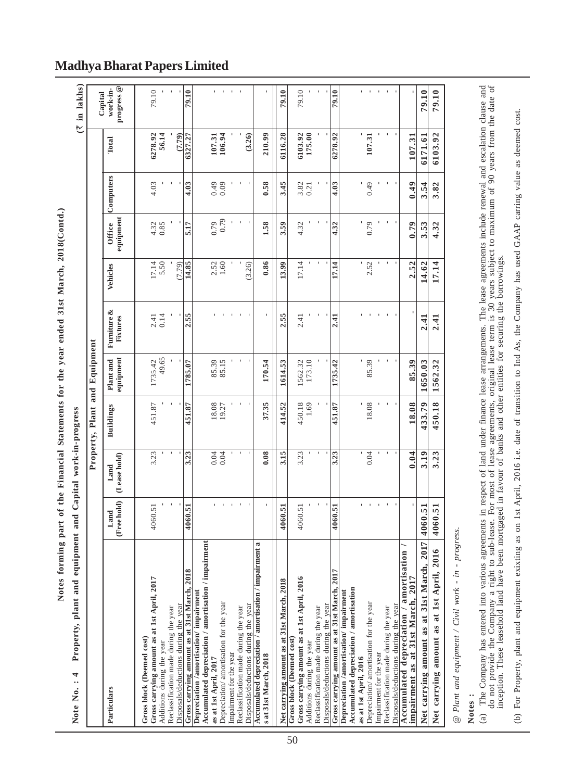| l          |
|------------|
| l          |
|            |
|            |
| I          |
|            |
| j          |
| i          |
|            |
| ļ          |
| i          |
|            |
|            |
|            |
|            |
|            |
| l<br>l     |
| ١          |
|            |
|            |
|            |
| l          |
|            |
|            |
|            |
|            |
| ĺ<br>ׇ֚֘֝֬ |
|            |
|            |
|            |
|            |
|            |
|            |
|            |
|            |
|            |
| ١          |
| i<br>ı     |
| l<br>ï     |
|            |
|            |
|            |
|            |

| progress <sup>@</sup><br>work-in-<br>$\sim$ 1 $\sim$ 1<br>$\mathbf{I}$<br>$\mathbf{r}$<br>t.<br>$\mathbf{1}$<br>79.10<br>79.10<br>79.10<br>79.10<br>79.10<br>79.10<br>79.10<br>Capital<br>6116.28<br>6278.92<br>6103.92<br>6278.92<br>56.14<br>(7.79)<br>107.31<br>106.94<br>(3.26)<br>6103.92<br>175.00<br>107.31<br>210.99<br>107.31<br>6327.27<br>6171.61<br>Total<br>Computers<br>0.49<br>3.82<br>0.58<br>3.45<br>0.49<br>4.03<br>4.03<br>0.49<br>0.09<br>$3.82$<br>0.21<br>4.03<br>3.54<br>equipment<br>$^{620}_{620}$<br>$\mathfrak{t}$<br>$\,$<br>1.58<br>4.32<br>0.79<br>4.32<br><b>Office</b><br>0.79<br>$4.32$<br>0.85<br>5.17<br>3.59<br>4.32<br>3.53<br>0.86<br>2.52<br>17.14<br>5.50<br>$2.52$<br>$1.60$<br>(3.26)<br>17.14<br>2.52<br>17.14<br>(7.79)<br>14.85<br>13.99<br>17.14<br>14.62<br>Vehicles<br>Furniture &<br>2.55<br>2.55<br>0.14<br>2.41<br>2.41<br>2.41<br>2.41<br>$\frac{1}{2}$<br>Fixtures<br>equipment<br>49.65<br>Plant and<br>85.39<br>85.15<br>1562.32<br>173.10<br>85.39<br>1735.42<br>170.54<br>1735.42<br>85.39<br>1562.32<br>1785.07<br>1614.53<br>1650.03<br>37.35<br>450.18<br>451.87<br>414.52<br>450.18<br>451.87<br>18.08<br>451.87<br>18.08<br>1.69<br>18.08<br>433.79<br><b>Buildings</b><br>$\mathfrak{t}$<br>0.08<br>3.15<br>$\,$<br>3.23<br>3.23<br>0.04<br>0.04<br>3.19<br>3.23<br>3.23<br>0.04<br>0.04<br>3.23<br>(Lease hold)<br>Land<br>(Free hold)<br>$\mathcal{A}$<br>$\sim$<br>$\mathbf{u} = \mathbf{u} + \mathbf{u}$<br>4060.51<br>4060.51<br>4060.51<br>4060.51<br>4060.51<br>4060.51<br>4060.51<br>Land<br>2017<br>Accumulated depreciation / amortisation / impairment<br>ಷ<br>ment<br>Net carrying amount as at 1st April, 2016<br>Accumulated depreciation / amortisation<br>Accumulated depreciation / amortisation / impair<br>carrying amount as at 31st March<br>Gross carrying amount as at 31st March, 2018<br>Gross carrying amount as at 31st March, 2017<br>impairment as at 31st March, 2017<br>Gross carrying amount as at 1st April, 2016<br>Gross carrying amount as at 1st April, 2017<br>Net carrying amount as at 31st March, 2018<br>Accumulated depreciation / amortisation<br>Depreciation /amortisation/ impairment<br>Depreciation /amortisation/ impairment<br>Depreciation/ amortisation for the year<br>Depreciation/ amortisation for the year<br>Disposals/deductions during the year<br>Disposals/deductions during the year<br>Disposals/deductions during the year<br>Disposals/deductions during the year<br>Reclassification made during the year<br>Reclassification made during the year<br>Reclassification made during the year<br>Reclassification made during the year<br>Gross block (Deemed cost)<br>Gross block (Deemed cost)<br>Additions during the year<br>Additions during the year<br>Impairment for the year<br>Impairment for the year<br>s at 31st March, 2018<br>as at 1st April, 2016<br>as at 1st April, 2017<br>Particulars<br>Net | Property, plant and eq |  | Property, Plant and Equipment |  |  |  | $($ ₹ in lakhs) |
|----------------------------------------------------------------------------------------------------------------------------------------------------------------------------------------------------------------------------------------------------------------------------------------------------------------------------------------------------------------------------------------------------------------------------------------------------------------------------------------------------------------------------------------------------------------------------------------------------------------------------------------------------------------------------------------------------------------------------------------------------------------------------------------------------------------------------------------------------------------------------------------------------------------------------------------------------------------------------------------------------------------------------------------------------------------------------------------------------------------------------------------------------------------------------------------------------------------------------------------------------------------------------------------------------------------------------------------------------------------------------------------------------------------------------------------------------------------------------------------------------------------------------------------------------------------------------------------------------------------------------------------------------------------------------------------------------------------------------------------------------------------------------------------------------------------------------------------------------------------------------------------------------------------------------------------------------------------------------------------------------------------------------------------------------------------------------------------------------------------------------------------------------------------------------------------------------------------------------------------------------------------------------------------------------------------------------------------------------------------------------------------------------------------------------------------------------------------------------------------------------------------------------------------------------------------------------------------------------------------------------------------------------------------------------------------------------------------------------------------------------------------------------------------------------------------------------------------------------------------------------------------------------------------------------------------------------|------------------------|--|-------------------------------|--|--|--|-----------------|
|                                                                                                                                                                                                                                                                                                                                                                                                                                                                                                                                                                                                                                                                                                                                                                                                                                                                                                                                                                                                                                                                                                                                                                                                                                                                                                                                                                                                                                                                                                                                                                                                                                                                                                                                                                                                                                                                                                                                                                                                                                                                                                                                                                                                                                                                                                                                                                                                                                                                                                                                                                                                                                                                                                                                                                                                                                                                                                                                                    |                        |  |                               |  |  |  |                 |
|                                                                                                                                                                                                                                                                                                                                                                                                                                                                                                                                                                                                                                                                                                                                                                                                                                                                                                                                                                                                                                                                                                                                                                                                                                                                                                                                                                                                                                                                                                                                                                                                                                                                                                                                                                                                                                                                                                                                                                                                                                                                                                                                                                                                                                                                                                                                                                                                                                                                                                                                                                                                                                                                                                                                                                                                                                                                                                                                                    |                        |  |                               |  |  |  |                 |
|                                                                                                                                                                                                                                                                                                                                                                                                                                                                                                                                                                                                                                                                                                                                                                                                                                                                                                                                                                                                                                                                                                                                                                                                                                                                                                                                                                                                                                                                                                                                                                                                                                                                                                                                                                                                                                                                                                                                                                                                                                                                                                                                                                                                                                                                                                                                                                                                                                                                                                                                                                                                                                                                                                                                                                                                                                                                                                                                                    |                        |  |                               |  |  |  |                 |
|                                                                                                                                                                                                                                                                                                                                                                                                                                                                                                                                                                                                                                                                                                                                                                                                                                                                                                                                                                                                                                                                                                                                                                                                                                                                                                                                                                                                                                                                                                                                                                                                                                                                                                                                                                                                                                                                                                                                                                                                                                                                                                                                                                                                                                                                                                                                                                                                                                                                                                                                                                                                                                                                                                                                                                                                                                                                                                                                                    |                        |  |                               |  |  |  |                 |
|                                                                                                                                                                                                                                                                                                                                                                                                                                                                                                                                                                                                                                                                                                                                                                                                                                                                                                                                                                                                                                                                                                                                                                                                                                                                                                                                                                                                                                                                                                                                                                                                                                                                                                                                                                                                                                                                                                                                                                                                                                                                                                                                                                                                                                                                                                                                                                                                                                                                                                                                                                                                                                                                                                                                                                                                                                                                                                                                                    |                        |  |                               |  |  |  |                 |
|                                                                                                                                                                                                                                                                                                                                                                                                                                                                                                                                                                                                                                                                                                                                                                                                                                                                                                                                                                                                                                                                                                                                                                                                                                                                                                                                                                                                                                                                                                                                                                                                                                                                                                                                                                                                                                                                                                                                                                                                                                                                                                                                                                                                                                                                                                                                                                                                                                                                                                                                                                                                                                                                                                                                                                                                                                                                                                                                                    |                        |  |                               |  |  |  |                 |
|                                                                                                                                                                                                                                                                                                                                                                                                                                                                                                                                                                                                                                                                                                                                                                                                                                                                                                                                                                                                                                                                                                                                                                                                                                                                                                                                                                                                                                                                                                                                                                                                                                                                                                                                                                                                                                                                                                                                                                                                                                                                                                                                                                                                                                                                                                                                                                                                                                                                                                                                                                                                                                                                                                                                                                                                                                                                                                                                                    |                        |  |                               |  |  |  |                 |
|                                                                                                                                                                                                                                                                                                                                                                                                                                                                                                                                                                                                                                                                                                                                                                                                                                                                                                                                                                                                                                                                                                                                                                                                                                                                                                                                                                                                                                                                                                                                                                                                                                                                                                                                                                                                                                                                                                                                                                                                                                                                                                                                                                                                                                                                                                                                                                                                                                                                                                                                                                                                                                                                                                                                                                                                                                                                                                                                                    |                        |  |                               |  |  |  |                 |
|                                                                                                                                                                                                                                                                                                                                                                                                                                                                                                                                                                                                                                                                                                                                                                                                                                                                                                                                                                                                                                                                                                                                                                                                                                                                                                                                                                                                                                                                                                                                                                                                                                                                                                                                                                                                                                                                                                                                                                                                                                                                                                                                                                                                                                                                                                                                                                                                                                                                                                                                                                                                                                                                                                                                                                                                                                                                                                                                                    |                        |  |                               |  |  |  |                 |
|                                                                                                                                                                                                                                                                                                                                                                                                                                                                                                                                                                                                                                                                                                                                                                                                                                                                                                                                                                                                                                                                                                                                                                                                                                                                                                                                                                                                                                                                                                                                                                                                                                                                                                                                                                                                                                                                                                                                                                                                                                                                                                                                                                                                                                                                                                                                                                                                                                                                                                                                                                                                                                                                                                                                                                                                                                                                                                                                                    |                        |  |                               |  |  |  |                 |
|                                                                                                                                                                                                                                                                                                                                                                                                                                                                                                                                                                                                                                                                                                                                                                                                                                                                                                                                                                                                                                                                                                                                                                                                                                                                                                                                                                                                                                                                                                                                                                                                                                                                                                                                                                                                                                                                                                                                                                                                                                                                                                                                                                                                                                                                                                                                                                                                                                                                                                                                                                                                                                                                                                                                                                                                                                                                                                                                                    |                        |  |                               |  |  |  |                 |
|                                                                                                                                                                                                                                                                                                                                                                                                                                                                                                                                                                                                                                                                                                                                                                                                                                                                                                                                                                                                                                                                                                                                                                                                                                                                                                                                                                                                                                                                                                                                                                                                                                                                                                                                                                                                                                                                                                                                                                                                                                                                                                                                                                                                                                                                                                                                                                                                                                                                                                                                                                                                                                                                                                                                                                                                                                                                                                                                                    |                        |  |                               |  |  |  |                 |
|                                                                                                                                                                                                                                                                                                                                                                                                                                                                                                                                                                                                                                                                                                                                                                                                                                                                                                                                                                                                                                                                                                                                                                                                                                                                                                                                                                                                                                                                                                                                                                                                                                                                                                                                                                                                                                                                                                                                                                                                                                                                                                                                                                                                                                                                                                                                                                                                                                                                                                                                                                                                                                                                                                                                                                                                                                                                                                                                                    |                        |  |                               |  |  |  |                 |
|                                                                                                                                                                                                                                                                                                                                                                                                                                                                                                                                                                                                                                                                                                                                                                                                                                                                                                                                                                                                                                                                                                                                                                                                                                                                                                                                                                                                                                                                                                                                                                                                                                                                                                                                                                                                                                                                                                                                                                                                                                                                                                                                                                                                                                                                                                                                                                                                                                                                                                                                                                                                                                                                                                                                                                                                                                                                                                                                                    |                        |  |                               |  |  |  |                 |
|                                                                                                                                                                                                                                                                                                                                                                                                                                                                                                                                                                                                                                                                                                                                                                                                                                                                                                                                                                                                                                                                                                                                                                                                                                                                                                                                                                                                                                                                                                                                                                                                                                                                                                                                                                                                                                                                                                                                                                                                                                                                                                                                                                                                                                                                                                                                                                                                                                                                                                                                                                                                                                                                                                                                                                                                                                                                                                                                                    |                        |  |                               |  |  |  |                 |

# **Notes :**

- (a) The Company has entered into various agreements in respect of land under finance lease arrangements. The lease agreements include renewal and escalation clause and and on provide the Company a right to sub-lease. For m do not provide the Company a right to sub-lease. For most of lease agreements, original lease term is 30 years subject to maximum of 90 years from the date of (a) The Company has entered into various agreements in respect of land under finance lease arrangements. The lease agreements include renewal and escalation clause and inception. These leasehold land have been mortgaged in favour of banks and other entities for securing the borrowings.
- (b) For Property, plant and equipment exixting as on 1st April, 2016 i.e. date of transition to Ind As, the Company has used GAAP carring value as deemed cost. (b) For Property, plant and equipment exixting as on 1st April, 2016 i.e. date of transition to Ind As, the Company has used GAAP carring value as deemed cost.

# **Madhya Bharat Papers Limited**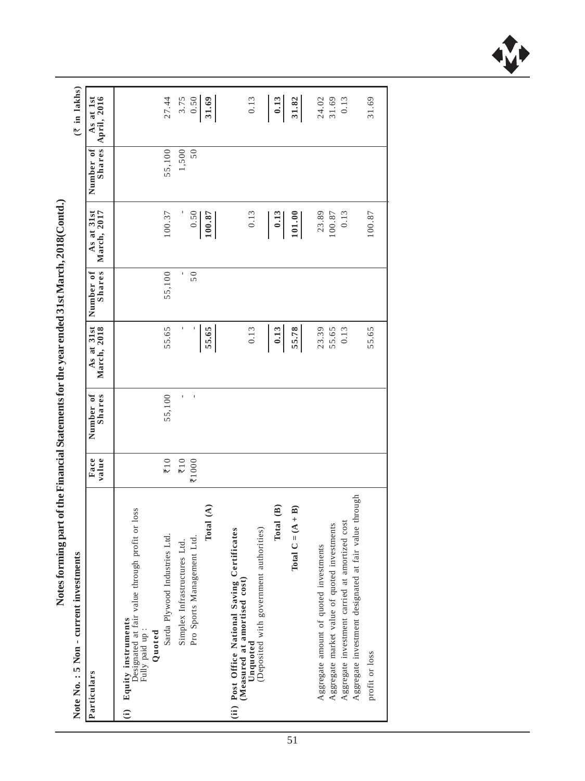| Notes forming part of the Financial Statements for the year ended 51st March, 2010(Contd.).                                            |                                |                     |                           |                     |                           |             |                                 |  |
|----------------------------------------------------------------------------------------------------------------------------------------|--------------------------------|---------------------|---------------------------|---------------------|---------------------------|-------------|---------------------------------|--|
| ents<br>Note No.: 5 Non - current investm                                                                                              |                                |                     |                           |                     |                           |             | $(\bar{z}$ in lakhs)            |  |
| Particulars                                                                                                                            | Face<br>value                  | Shares<br>Number of | March, 2018<br>As at 31st | Shares<br>Number of | As at 31st<br>March, 2017 | Number of   | As at 1st<br>Shares April, 2016 |  |
| Designated at fair value through profit or loss Fully paid up :<br>(i) Equity instruments<br>Quoted                                    |                                |                     |                           |                     |                           |             |                                 |  |
| Sarda Plywood Industries Ltd.                                                                                                          | $\overline{\overline{\xi}}$ 10 | 55,100              | 55.65                     | 55,100              | 100.37                    | 55,100      | 27.44                           |  |
| Total $(A)$<br>Pro Sports Management Ltd.<br>Simplex Infrastructures Ltd.                                                              | $\overline{\xi}$ 10<br>71000   |                     | 55.65                     | 50                  | 0.50<br>100.87            | 1,500<br>50 | 0.50<br>3.75<br>31.69           |  |
| authorities)<br>(ii) Post Office National Saving Certificates<br>Deposited with government<br>(Measured at amortised cost)<br>Unquoted |                                |                     | 0.13                      |                     | 0.13                      |             | 0.13                            |  |
| Total (B)                                                                                                                              |                                |                     | 0.13                      |                     | 0.13                      |             | 0.13                            |  |
| Total $C = (A + B)$                                                                                                                    |                                |                     | 55.78                     |                     | 101.00                    |             | 31.82                           |  |
| investments<br>Aggregate amount of quoted investments<br>Aggregate market value of quoted                                              |                                |                     | 23.39<br>55.65            |                     | 23.89<br>100.87           |             | 24.02<br>31.69                  |  |
| Aggregate investment designated at fair value through<br>Aggregate investment carried at amortized cost                                |                                |                     | 0.13                      |                     | 0.13                      |             | 0.13                            |  |
| profit or loss                                                                                                                         |                                |                     | 55.65                     |                     | 100.87                    |             | 31.69                           |  |
|                                                                                                                                        |                                |                     |                           |                     |                           |             |                                 |  |

Notes forming part of the Financial Statements for the vear ended  $3$  [st March, 2018(Contd.) **Notes forming part of the Financial Statements for the year ended 31st March, 2018(Contd.)**

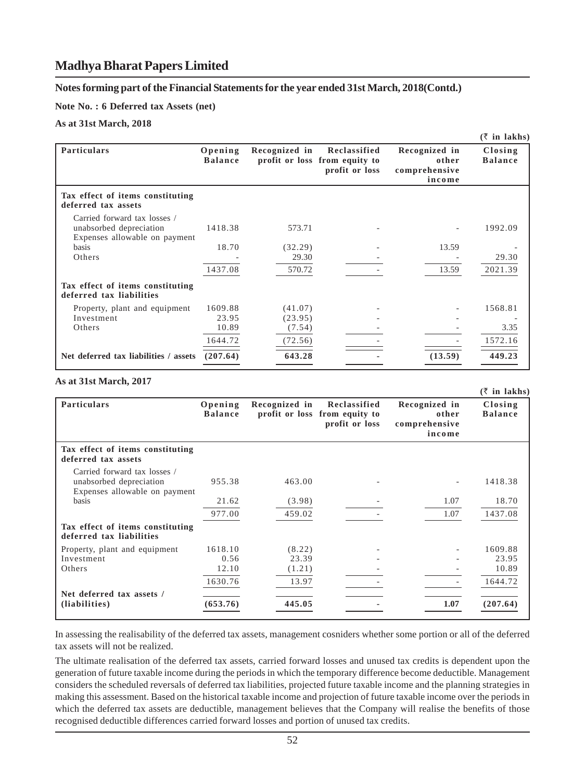#### **Notes forming part of the Financial Statements for the year ended 31st March, 2018(Contd.)**

**Note No. : 6 Deferred tax Assets (net)**

**As at 31st March, 2018**

|                                                                                          |                           |                  |                                                                 |                                                   | $(\bar{z}$ in lakhs)      |
|------------------------------------------------------------------------------------------|---------------------------|------------------|-----------------------------------------------------------------|---------------------------------------------------|---------------------------|
| <b>Particulars</b>                                                                       | Opening<br><b>Balance</b> | Recognized in    | Reclassified<br>profit or loss from equity to<br>profit or loss | Recognized in<br>other<br>comprehensive<br>income | Closing<br><b>Balance</b> |
| Tax effect of items constituting<br>deferred tax assets                                  |                           |                  |                                                                 |                                                   |                           |
| Carried forward tax losses /<br>unabsorbed depreciation<br>Expenses allowable on payment | 1418.38                   | 573.71           |                                                                 |                                                   | 1992.09                   |
| <b>basis</b><br>Others                                                                   | 18.70                     | (32.29)<br>29.30 |                                                                 | 13.59                                             | 29.30                     |
|                                                                                          | 1437.08                   | 570.72           |                                                                 | 13.59                                             | 2021.39                   |
| Tax effect of items constituting<br>deferred tax liabilities                             |                           |                  |                                                                 |                                                   |                           |
| Property, plant and equipment                                                            | 1609.88                   | (41.07)          |                                                                 |                                                   | 1568.81                   |
| Investment                                                                               | 23.95                     | (23.95)          |                                                                 |                                                   |                           |
| Others                                                                                   | 10.89                     | (7.54)           |                                                                 |                                                   | 3.35                      |
|                                                                                          | 1644.72                   | (72.56)          |                                                                 |                                                   | 1572.16                   |
| Net deferred tax liabilities / assets                                                    | (207.64)                  | 643.28           |                                                                 | (13.59)                                           | 449.23                    |

#### **As at 31st March, 2017**

|                                                                                          |                           |               |                                                                 |                                                   | $(\bar{z}$ in lakhs)      |
|------------------------------------------------------------------------------------------|---------------------------|---------------|-----------------------------------------------------------------|---------------------------------------------------|---------------------------|
| <b>Particulars</b>                                                                       | Opening<br><b>Balance</b> | Recognized in | Reclassified<br>profit or loss from equity to<br>profit or loss | Recognized in<br>other<br>comprehensive<br>income | Closing<br><b>Balance</b> |
| Tax effect of items constituting<br>deferred tax assets                                  |                           |               |                                                                 |                                                   |                           |
| Carried forward tax losses /<br>unabsorbed depreciation<br>Expenses allowable on payment | 955.38                    | 463.00        |                                                                 |                                                   | 1418.38                   |
| basis                                                                                    | 21.62                     | (3.98)        |                                                                 | 1.07                                              | 18.70                     |
|                                                                                          | 977.00                    | 459.02        |                                                                 | 1.07                                              | 1437.08                   |
| Tax effect of items constituting<br>deferred tax liabilities                             |                           |               |                                                                 |                                                   |                           |
| Property, plant and equipment                                                            | 1618.10                   | (8.22)        |                                                                 | ٠                                                 | 1609.88                   |
| Investment                                                                               | 0.56                      | 23.39         |                                                                 |                                                   | 23.95                     |
| Others                                                                                   | 12.10                     | (1.21)        |                                                                 |                                                   | 10.89                     |
|                                                                                          | 1630.76                   | 13.97         |                                                                 | $\overline{\phantom{a}}$                          | 1644.72                   |
| Net deferred tax assets /                                                                |                           |               |                                                                 |                                                   |                           |
| (liabilities)                                                                            | (653.76)                  | 445.05        |                                                                 | 1.07                                              | (207.64)                  |

In assessing the realisability of the deferred tax assets, management cosniders whether some portion or all of the deferred tax assets will not be realized.

The ultimate realisation of the deferred tax assets, carried forward losses and unused tax credits is dependent upon the generation of future taxable income during the periods in which the temporary difference become deductible. Management considers the scheduled reversals of deferred tax liabilities, projected future taxable income and the planning strategies in making this assessment. Based on the historical taxable income and projection of future taxable income over the periods in which the deferred tax assets are deductible, management believes that the Company will realise the benefits of those recognised deductible differences carried forward losses and portion of unused tax credits.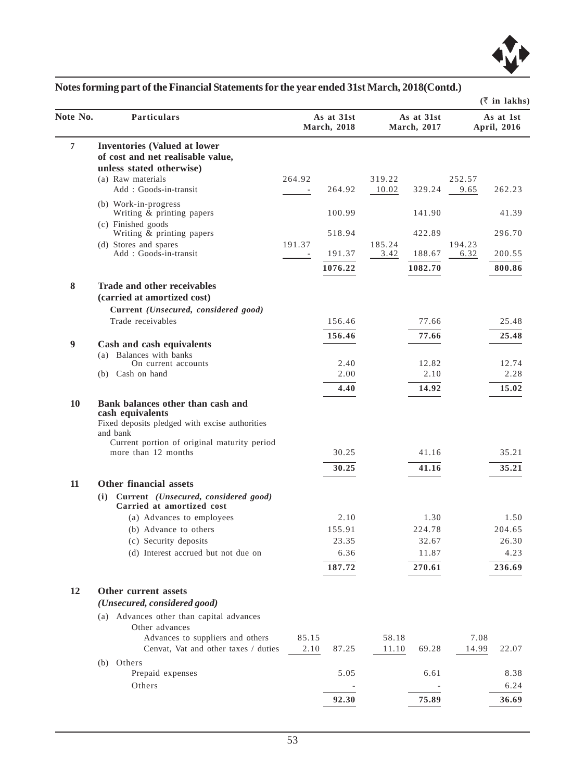

| Note No. | <b>Particulars</b>                                                                                                                                                                        |               | As at 31st<br><b>March</b> , 2018 |                | As at 31st<br>March, 2017 |               | As at 1st<br>April, 2016 |
|----------|-------------------------------------------------------------------------------------------------------------------------------------------------------------------------------------------|---------------|-----------------------------------|----------------|---------------------------|---------------|--------------------------|
|          |                                                                                                                                                                                           |               |                                   |                |                           |               |                          |
| 7        | <b>Inventories (Valued at lower</b><br>of cost and net realisable value,                                                                                                                  |               |                                   |                |                           |               |                          |
|          | unless stated otherwise)                                                                                                                                                                  |               |                                   |                |                           |               |                          |
|          | (a) Raw materials                                                                                                                                                                         | 264.92        |                                   | 319.22         |                           | 252.57        |                          |
|          | Add: Goods-in-transit                                                                                                                                                                     |               | 264.92                            | 10.02          | 329.24                    | 9.65          | 262.23                   |
|          | (b) Work-in-progress<br>Writing $\&$ printing papers                                                                                                                                      |               | 100.99                            |                | 141.90                    |               | 41.39                    |
|          | (c) Finished goods<br>Writing & printing papers                                                                                                                                           |               | 518.94                            |                | 422.89                    |               | 296.70                   |
|          | (d) Stores and spares                                                                                                                                                                     | 191.37        |                                   | 185.24         |                           | 194.23        |                          |
|          | Add: Goods-in-transit                                                                                                                                                                     |               | 191.37                            | 3.42           | 188.67                    | 6.32          | 200.55                   |
|          |                                                                                                                                                                                           |               | 1076.22                           |                | 1082.70                   |               | 800.86                   |
| 8        | Trade and other receivables<br>(carried at amortized cost)                                                                                                                                |               |                                   |                |                           |               |                          |
|          | Current (Unsecured, considered good)                                                                                                                                                      |               |                                   |                |                           |               |                          |
|          | Trade receivables                                                                                                                                                                         |               | 156.46                            |                | 77.66                     |               | 25.48                    |
|          |                                                                                                                                                                                           |               | 156.46                            |                | 77.66                     |               | 25.48                    |
| 9        | Cash and cash equivalents<br>(a) Balances with banks                                                                                                                                      |               |                                   |                |                           |               |                          |
|          | On current accounts                                                                                                                                                                       |               | 2.40                              |                | 12.82                     |               | 12.74                    |
|          | (b) Cash on hand                                                                                                                                                                          |               | 2.00                              |                | 2.10                      |               | 2.28                     |
|          |                                                                                                                                                                                           |               | 4.40                              |                | 14.92                     |               | 15.02                    |
| 10       | Bank balances other than cash and<br>cash equivalents<br>Fixed deposits pledged with excise authorities<br>and bank<br>Current portion of original maturity period<br>more than 12 months |               | 30.25                             |                | 41.16                     |               | 35.21                    |
|          |                                                                                                                                                                                           |               | 30.25                             |                | 41.16                     |               | 35.21                    |
| 11       | Other financial assets                                                                                                                                                                    |               |                                   |                |                           |               |                          |
|          | (i) Current (Unsecured, considered good)<br>Carried at amortized cost                                                                                                                     |               |                                   |                |                           |               |                          |
|          | (a) Advances to employees                                                                                                                                                                 |               | 2.10                              |                | 1.30                      |               | 1.50                     |
|          | (b) Advance to others                                                                                                                                                                     |               | 155.91                            |                | 224.78                    |               | 204.65                   |
|          | (c) Security deposits                                                                                                                                                                     |               | 23.35                             |                | 32.67                     |               | 26.30                    |
|          | (d) Interest accrued but not due on                                                                                                                                                       |               | 6.36                              |                | 11.87                     |               | 4.23                     |
|          |                                                                                                                                                                                           |               | 187.72                            |                | 270.61                    |               | 236.69                   |
| 12       | Other current assets<br>(Unsecured, considered good)                                                                                                                                      |               |                                   |                |                           |               |                          |
|          | (a) Advances other than capital advances<br>Other advances                                                                                                                                |               |                                   |                |                           |               |                          |
|          | Advances to suppliers and others<br>Cenvat, Vat and other taxes / duties                                                                                                                  | 85.15<br>2.10 | 87.25                             | 58.18<br>11.10 | 69.28                     | 7.08<br>14.99 | 22.07                    |
|          | (b) Others                                                                                                                                                                                |               |                                   |                |                           |               |                          |
|          | Prepaid expenses                                                                                                                                                                          |               | 5.05                              |                | 6.61                      |               | 8.38                     |
|          | Others                                                                                                                                                                                    |               |                                   |                |                           |               | 6.24                     |
|          |                                                                                                                                                                                           |               | 92.30                             |                | 75.89                     |               | 36.69                    |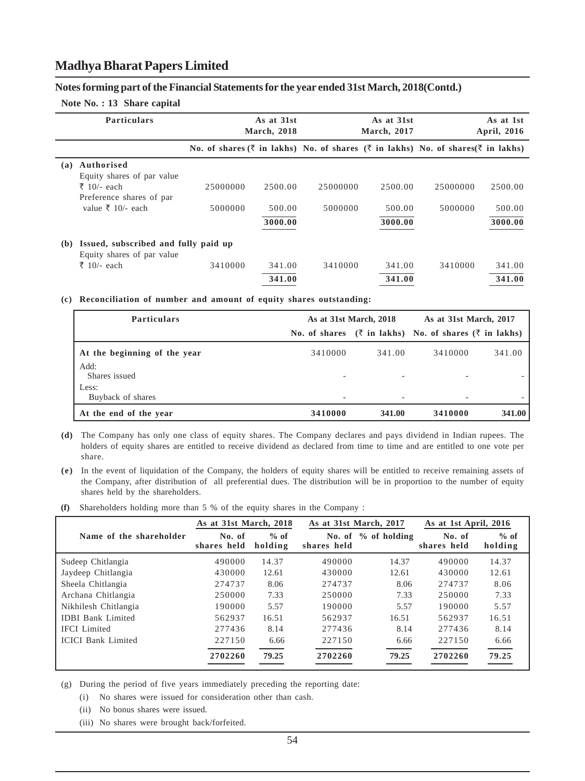#### **Notes forming part of the Financial Statements for the year ended 31st March, 2018(Contd.)**

#### **Note No. : 13 Share capital**

|     | <b>Particulars</b>                   |                                                                                                                          | As at 31st<br><b>March, 2018</b> |          | As at 31st<br><b>March</b> , 2017 |          | As at 1st<br>April, 2016 |
|-----|--------------------------------------|--------------------------------------------------------------------------------------------------------------------------|----------------------------------|----------|-----------------------------------|----------|--------------------------|
|     |                                      | <b>No.</b> of shares $(\bar{\xi})$ in lakhs) No. of shares $(\bar{\xi})$ in lakhs) No. of shares $(\bar{\xi})$ in lakhs) |                                  |          |                                   |          |                          |
| (a) | Authorised                           |                                                                                                                          |                                  |          |                                   |          |                          |
|     | Equity shares of par value           |                                                                                                                          |                                  |          |                                   |          |                          |
|     | ₹ 10/- each                          | 25000000                                                                                                                 | 2500.00                          | 25000000 | 2500.00                           | 25000000 | 2500.00                  |
|     | Preference shares of par             |                                                                                                                          |                                  |          |                                   |          |                          |
|     | value ₹ 10/- each                    | 5000000                                                                                                                  | 500.00                           | 5000000  | 500.00                            | 5000000  | 500.00                   |
|     |                                      |                                                                                                                          | 3000.00                          |          | 3000.00                           |          | 3000.00                  |
| (b) | Issued, subscribed and fully paid up |                                                                                                                          |                                  |          |                                   |          |                          |
|     | Equity shares of par value           |                                                                                                                          |                                  |          |                                   |          |                          |
|     | ₹ 10/- each                          | 3410000                                                                                                                  | 341.00                           | 3410000  | 341.00                            | 3410000  | 341.00                   |
|     |                                      |                                                                                                                          | 341.00                           |          | 341.00                            |          | 341.00                   |

#### **(c) Reconciliation of number and amount of equity shares outstanding:**

| <b>Particulars</b>           | As at 31st March, 2018   |        | As at 31st March, 2017                                                      |        |
|------------------------------|--------------------------|--------|-----------------------------------------------------------------------------|--------|
|                              |                          |        | No. of shares $(\bar{\tau}$ in lakhs) No. of shares $(\bar{\tau}$ in lakhs) |        |
| At the beginning of the year | 3410000                  | 341.00 | 3410000                                                                     | 341.00 |
| Add:<br>Shares issued        | ٠                        |        | $\overline{\phantom{a}}$                                                    |        |
| Less:<br>Buyback of shares   | $\overline{\phantom{a}}$ |        | ٠                                                                           |        |
| At the end of the year       | 3410000                  | 341.00 | 3410000                                                                     | 341.00 |

- **(d)** The Company has only one class of equity shares. The Company declares and pays dividend in Indian rupees. The holders of equity shares are entitled to receive dividend as declared from time to time and are entitled to one vote per share.
- **(e)** In the event of liquidation of the Company, the holders of equity shares will be entitled to receive remaining assets of the Company, after distribution of all preferential dues. The distribution will be in proportion to the number of equity shares held by the shareholders.
- **(f)** Shareholders holding more than 5 % of the equity shares in the Company :

|                           | As at 31st March, 2018 |                   | As at 31st March, 2017 |                       | As at 1st April, 2016 |                   |
|---------------------------|------------------------|-------------------|------------------------|-----------------------|-----------------------|-------------------|
| Name of the shareholder   | No. of<br>shares held  | $%$ of<br>holding | shares held            | No. of $%$ of holding | No. of<br>shares held | $%$ of<br>holding |
| Sudeep Chitlangia         | 490000                 | 14.37             | 490000                 | 14.37                 | 490000                | 14.37             |
| Jaydeep Chitlangia        | 430000                 | 12.61             | 430000                 | 12.61                 | 430000                | 12.61             |
| Sheela Chitlangia         | 274737                 | 8.06              | 274737                 | 8.06                  | 274737                | 8.06              |
| Archana Chitlangia        | 250000                 | 7.33              | 250000                 | 7.33                  | 250000                | 7.33              |
| Nikhilesh Chitlangia      | 190000                 | 5.57              | 190000                 | 5.57                  | 190000                | 5.57              |
| <b>IDBI Bank Limited</b>  | 562937                 | 16.51             | 562937                 | 16.51                 | 562937                | 16.51             |
| <b>IFCI</b> Limited       | 277436                 | 8.14              | 277436                 | 8.14                  | 277436                | 8.14              |
| <b>ICICI Bank Limited</b> | 227150                 | 6.66              | 227150                 | 6.66                  | 227150                | 6.66              |
|                           | 2702260                | 79.25             | 2702260                | 79.25                 | 2702260               | 79.25             |

(g) During the period of five years immediately preceding the reporting date:

(i) No shares were issued for consideration other than cash.

- (ii) No bonus shares were issued.
- (iii) No shares were brought back/forfeited.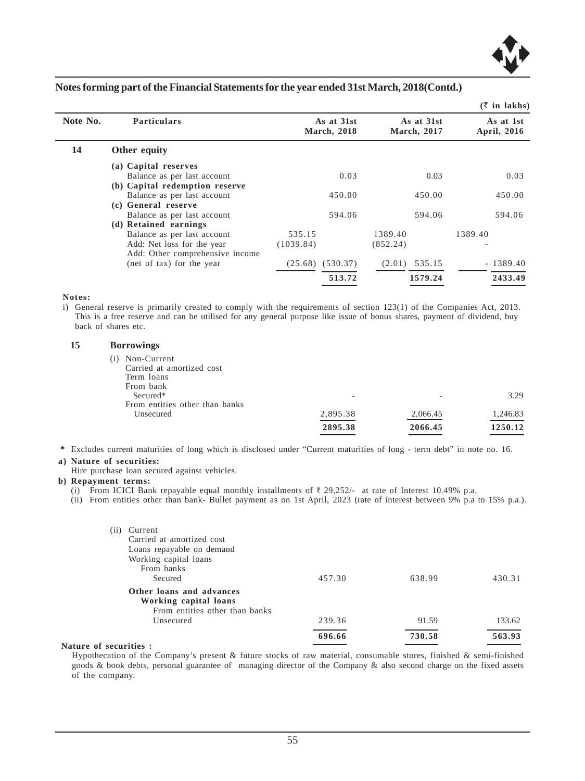

|          |                                 |                                   |                           | $\sqrt{2}$ in maning     |
|----------|---------------------------------|-----------------------------------|---------------------------|--------------------------|
| Note No. | <b>Particulars</b>              | As at 31st<br><b>March</b> , 2018 | As at 31st<br>March, 2017 | As at 1st<br>April, 2016 |
| 14       | Other equity                    |                                   |                           |                          |
|          | (a) Capital reserves            |                                   |                           |                          |
|          | Balance as per last account     | 0.03                              | 0.03                      | 0.03                     |
|          | (b) Capital redemption reserve  |                                   |                           |                          |
|          | Balance as per last account     | 450.00                            | 450.00                    | 450.00                   |
|          | (c) General reserve             |                                   |                           |                          |
|          | Balance as per last account     | 594.06                            | 594.06                    | 594.06                   |
|          | (d) Retained earnings           |                                   |                           |                          |
|          | Balance as per last account     | 535.15                            | 1389.40                   | 1389.40                  |
|          | Add: Net loss for the year      | (1039.84)                         | (852.24)                  |                          |
|          | Add: Other comprehensive income |                                   |                           |                          |
|          | (net of tax) for the year       | (530.37)<br>(25.68)               | 535.15<br>(2.01)          | $-1389.40$               |
|          |                                 | 513.72                            | 1579.24                   | 2433.49                  |
|          |                                 |                                   |                           |                          |

**Notes:**

i) General reserve is primarily created to comply with the requirements of section 123(1) of the Companies Act, 2013. This is a free reserve and can be utilised for any general purpose like issue of bonus shares, payment of dividend, buy back of shares etc.

#### **15 Borrowings**

|     |                                | 2895.38  | 2066.45  | 1250.12  |
|-----|--------------------------------|----------|----------|----------|
|     | Unsecured                      | 2,895.38 | 2,066.45 | 1,246.83 |
|     | From entities other than banks |          |          |          |
|     | Secured*                       | -        |          | 3.29     |
|     | From bank                      |          |          |          |
|     | Term loans                     |          |          |          |
|     | Carried at amortized cost      |          |          |          |
| (i) | Non-Current                    |          |          |          |
|     |                                |          |          |          |

 **\*** Excludes current maturities of long which is disclosed under "Current maturities of long - term debt" in note no. 16.

#### **a) Nature of securities:**

Hire purchase loan secured against vehicles.

#### **b) Repayment terms:**

(i) From ICICI Bank repayable equal monthly installments of  $\bar{\tau}$  29,252/- at rate of Interest 10.49% p.a.

(ii) From entities other than bank- Bullet payment as on 1st April, 2023 (rate of interest between 9% p.a to 15% p.a.).

| (11) | Current<br>Carried at amortized cost<br>Loans repayable on demand                   |        |        |        |
|------|-------------------------------------------------------------------------------------|--------|--------|--------|
|      | Working capital loans                                                               |        |        |        |
|      | From banks                                                                          |        |        |        |
|      | Secured                                                                             | 457.30 | 638.99 | 430.31 |
|      | Other loans and advances<br>Working capital loans<br>From entities other than banks |        |        |        |
|      | Unsecured                                                                           | 239.36 | 91.59  | 133.62 |
|      |                                                                                     | 696.66 | 730.58 | 563.93 |

#### **Nature of securities :**

Hypothecation of the Company's present & future stocks of raw material, consumable stores, finished & semi-finished goods & book debts, personal guarantee of managing director of the Company & also second charge on the fixed assets of the company.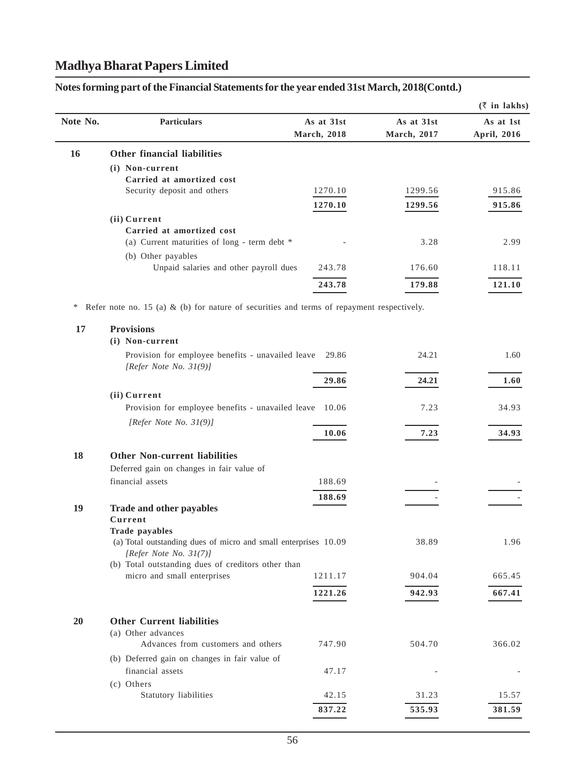|          |                                                                                           |             |                     | $(\bar{z}$ in lakhs) |
|----------|-------------------------------------------------------------------------------------------|-------------|---------------------|----------------------|
| Note No. | <b>Particulars</b>                                                                        | As at 31st  | As at 31st          | As at 1st            |
|          |                                                                                           | March, 2018 | <b>March</b> , 2017 | April, 2016          |
| 16       | <b>Other financial liabilities</b>                                                        |             |                     |                      |
|          | (i) Non-current                                                                           |             |                     |                      |
|          | Carried at amortized cost                                                                 |             |                     |                      |
|          | Security deposit and others                                                               | 1270.10     | 1299.56             | 915.86               |
|          |                                                                                           | 1270.10     | 1299.56             | 915.86               |
|          | (ii) Current                                                                              |             |                     |                      |
|          | Carried at amortized cost                                                                 |             |                     |                      |
|          | (a) Current maturities of long - term debt *                                              |             | 3.28                | 2.99                 |
|          | (b) Other payables<br>Unpaid salaries and other payroll dues                              | 243.78      | 176.60              | 118.11               |
|          |                                                                                           |             |                     |                      |
|          |                                                                                           | 243.78      | 179.88              | 121.10               |
| ∗        | Refer note no. 15 (a) & (b) for nature of securities and terms of repayment respectively. |             |                     |                      |
| 17       | <b>Provisions</b>                                                                         |             |                     |                      |
|          | (i) Non-current                                                                           |             |                     |                      |
|          | Provision for employee benefits - unavailed leave<br>[Refer Note No. $31(9)$ ]            | 29.86       | 24.21               | 1.60                 |
|          |                                                                                           | 29.86       | 24.21               | 1.60                 |
|          | (ii) Current                                                                              |             |                     |                      |
|          | Provision for employee benefits - unavailed leave 10.06<br>[Refer Note No. $31(9)$ ]      |             | 7.23                | 34.93                |
|          |                                                                                           | 10.06       | 7.23                | 34.93                |
| 18       | <b>Other Non-current liabilities</b>                                                      |             |                     |                      |
|          | Deferred gain on changes in fair value of                                                 |             |                     |                      |
|          | financial assets                                                                          | 188.69      |                     |                      |
|          |                                                                                           | 188.69      |                     |                      |
| 19       | Trade and other payables                                                                  |             |                     |                      |
|          | Current                                                                                   |             |                     |                      |
|          | Trade payables<br>(a) Total outstanding dues of micro and small enterprises 10.09         |             | 38.89               | 1.96                 |
|          | [Refer Note No. 31(7)]                                                                    |             |                     |                      |
|          | (b) Total outstanding dues of creditors other than                                        |             |                     |                      |
|          | micro and small enterprises                                                               | 1211.17     | 904.04              | 665.45               |
|          |                                                                                           | 1221.26     | 942.93              | 667.41               |
|          |                                                                                           |             |                     |                      |
| 20       | <b>Other Current liabilities</b>                                                          |             |                     |                      |
|          | (a) Other advances                                                                        |             |                     |                      |
|          | Advances from customers and others                                                        | 747.90      | 504.70              | 366.02               |
|          | (b) Deferred gain on changes in fair value of                                             |             |                     |                      |
|          | financial assets                                                                          | 47.17       |                     |                      |
|          | (c) Others<br>Statutory liabilities                                                       | 42.15       | 31.23               | 15.57                |
|          |                                                                                           |             |                     |                      |
|          |                                                                                           | 837.22      | 535.93              | 381.59               |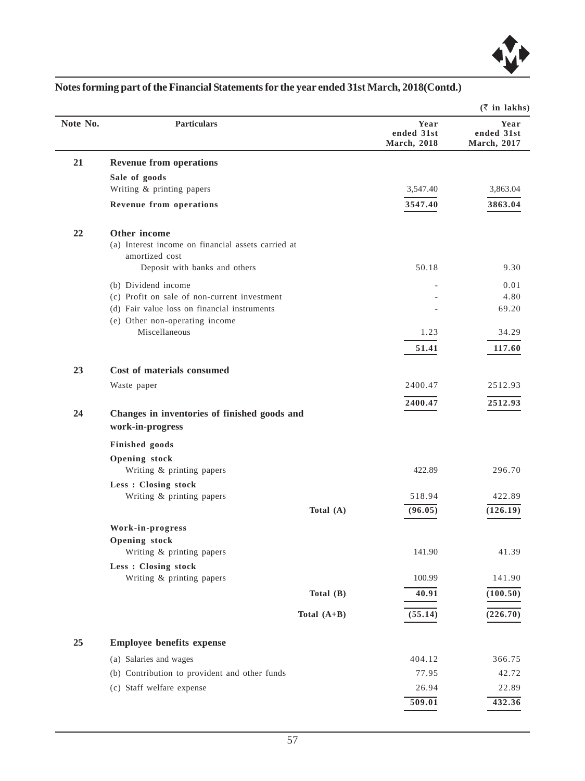

|          |                                                                                      |                                           | $(\bar{z}$ in lakhs)              |
|----------|--------------------------------------------------------------------------------------|-------------------------------------------|-----------------------------------|
| Note No. | <b>Particulars</b>                                                                   | Year<br>ended 31st<br><b>March</b> , 2018 | Year<br>ended 31st<br>March, 2017 |
| 21       | <b>Revenue from operations</b>                                                       |                                           |                                   |
|          | Sale of goods                                                                        |                                           |                                   |
|          | Writing & printing papers                                                            | 3,547.40                                  | 3,863.04                          |
|          | Revenue from operations                                                              | 3547.40                                   | 3863.04                           |
| 22       | Other income<br>(a) Interest income on financial assets carried at<br>amortized cost |                                           |                                   |
|          | Deposit with banks and others                                                        | 50.18                                     | 9.30                              |
|          | (b) Dividend income<br>(c) Profit on sale of non-current investment                  |                                           | 0.01<br>4.80                      |
|          | (d) Fair value loss on financial instruments                                         |                                           | 69.20                             |
|          | (e) Other non-operating income                                                       |                                           |                                   |
|          | Miscellaneous                                                                        | 1.23                                      | 34.29                             |
|          |                                                                                      | 51.41                                     | 117.60                            |
| 23       | Cost of materials consumed                                                           |                                           |                                   |
|          | Waste paper                                                                          | 2400.47                                   | 2512.93                           |
|          |                                                                                      | 2400.47                                   | 2512.93                           |
| 24       | Changes in inventories of finished goods and<br>work-in-progress                     |                                           |                                   |
|          | Finished goods                                                                       |                                           |                                   |
|          | Opening stock<br>Writing & printing papers                                           | 422.89                                    | 296.70                            |
|          | Less : Closing stock<br>Writing & printing papers                                    | 518.94                                    | 422.89                            |
|          | Total $(A)$                                                                          | (96.05)                                   | (126.19)                          |
|          | Work-in-progress                                                                     |                                           |                                   |
|          | Opening stock                                                                        |                                           |                                   |
|          | Writing & printing papers                                                            | 141.90                                    | 41.39                             |
|          | Less : Closing stock                                                                 |                                           |                                   |
|          | Writing & printing papers                                                            | 100.99                                    | 141.90                            |
|          | Total (B)                                                                            | 40.91                                     | (100.50)                          |
|          | Total $(A+B)$                                                                        | (55.14)                                   | (226.70)                          |
| 25       | <b>Employee benefits expense</b>                                                     |                                           |                                   |
|          | (a) Salaries and wages                                                               | 404.12                                    | 366.75                            |
|          | (b) Contribution to provident and other funds                                        | 77.95                                     | 42.72                             |
|          | (c) Staff welfare expense                                                            | 26.94                                     | 22.89                             |
|          |                                                                                      | 509.01                                    | 432.36                            |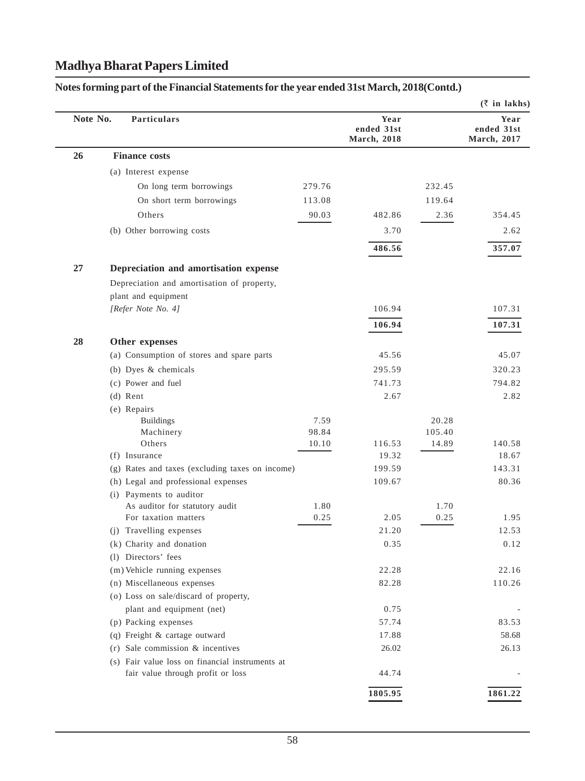# **(**` **in lakhs) Note No.** Particulars **Year** Year **Year** Year *Year* **ended 31st ended 31st March, 2018 March, 2017 26 Finance costs** (a) Interest expense On long term borrowings 279.76 232.45 On short term borrowings 113.08 119.64 Others 90.03 482.86 2.36 354.45 (b) Other borrowing costs 3.70 2.62 **486.56 357.07 27 Depreciation and amortisation expense** Depreciation and amortisation of property, plant and equipment *[Refer Note No. 4]* 106.94 107.31 **106.94 107.31 28 Other expenses** (a) Consumption of stores and spare parts 45.56 45.07 (b) Dyes & chemicals 295.59 320.23 (c) Power and fuel 741.73 794.82 (d) Rent 2.67 2.82 (e) Repairs Buildings 20.28 Machinery 98.84 105.40 Others 10.10 116.53 14.89 140.58 (f) Insurance 19.32  $\overline{19.32}$  18.67 (g) Rates and taxes (excluding taxes on income) 199.59 143.31 (h) Legal and professional expenses 109.67 80.36 (i) Payments to auditor As auditor for statutory audit 1.80 1.70 For taxation matters 0.25 2.05 0.25 1.95 (j) Travelling expenses  $21.20$   $12.53$ (k) Charity and donation  $0.35$  0.12 (l) Directors' fees (m) Vehicle running expenses 22.28 22.16 (n) Miscellaneous expenses 82.28 110.26 (o) Loss on sale/discard of property, plant and equipment (net) 0.75 (p) Packing expenses 57.74 83.53 (q) Freight  $\&$  cartage outward 17.88 58.68 (r) Sale commission  $\&$  incentives 26.02 26.02 26.13 (s) Fair value loss on financial instruments at fair value through profit or loss 44.74 **1805.95 1861.22**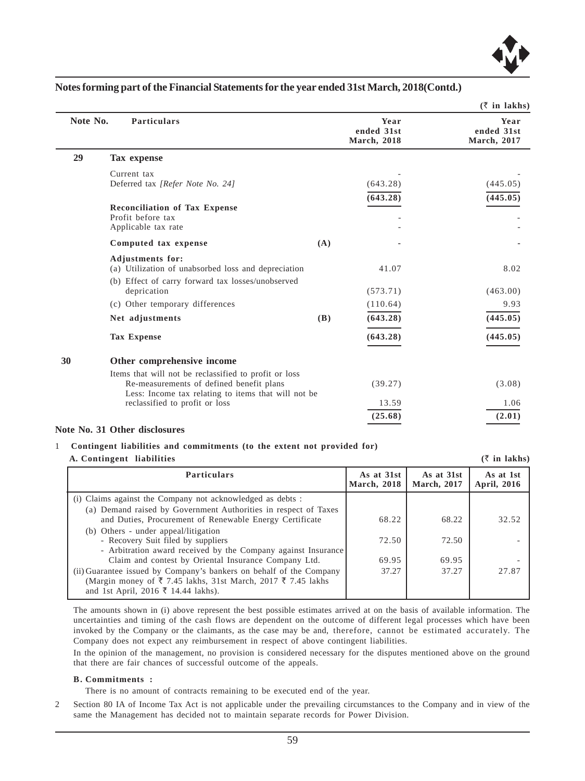

|          |                                                                                                                                                           |     |                                           | $(\bar{z}$ in lakhs)              |
|----------|-----------------------------------------------------------------------------------------------------------------------------------------------------------|-----|-------------------------------------------|-----------------------------------|
| Note No. | <b>Particulars</b>                                                                                                                                        |     | Year<br>ended 31st<br><b>March</b> , 2018 | Year<br>ended 31st<br>March, 2017 |
| 29       | Tax expense                                                                                                                                               |     |                                           |                                   |
|          | Current tax<br>Deferred tax [Refer Note No. 24]                                                                                                           |     | (643.28)                                  | (445.05)                          |
|          | <b>Reconciliation of Tax Expense</b><br>Profit before tax<br>Applicable tax rate                                                                          |     | (643.28)                                  | (445.05)                          |
|          | Computed tax expense                                                                                                                                      | (A) |                                           |                                   |
|          | <b>Adjustments for:</b><br>(a) Utilization of unabsorbed loss and depreciation                                                                            |     | 41.07                                     | 8.02                              |
|          | (b) Effect of carry forward tax losses/unobserved<br>deprication                                                                                          |     | (573.71)                                  | (463.00)                          |
|          | (c) Other temporary differences                                                                                                                           |     | (110.64)                                  | 9.93                              |
|          | Net adjustments                                                                                                                                           | (B) | (643.28)                                  | (445.05)                          |
|          | <b>Tax Expense</b>                                                                                                                                        |     | (643.28)                                  | (445.05)                          |
| 30       | Other comprehensive income                                                                                                                                |     |                                           |                                   |
|          | Items that will not be reclassified to profit or loss<br>Re-measurements of defined benefit plans<br>Less: Income tax relating to items that will not be. |     | (39.27)                                   | (3.08)                            |
|          | reclassified to profit or loss                                                                                                                            |     | 13.59                                     | 1.06                              |
|          |                                                                                                                                                           |     | (25.68)                                   | (2.01)                            |

#### **Note No. 31 Other disclosures**

#### 1 **Contingent liabilities and commitments (to the extent not provided for) A. Contingent liabilities**  $(\bar{\tau}$  in lakhs)

Particulars **Particulars** As at 31st As at 31st As at 31st As at 1st As at 1st As at 1st As at 1st As at 1st As at 1st As at 1st As at  $\frac{1}{2016}$ **March, 2018**  (i) Claims against the Company not acknowledged as debts : (a) Demand raised by Government Authorities in respect of Taxes and Duties, Procurement of Renewable Energy Certificate  $\begin{array}{|l} \hline \text{68.22} \end{array}$  68.22  $\begin{array}{|l} \hline \text{68.23} \end{array}$  32.52 (b) Others - under appeal/litigation - Recovery Suit filed by suppliers 72.50 72.50 72.50 - Arbitration award received by the Company against Insurance Claim and contest by Oriental Insurance Company Ltd. 69.95 69.95 (ii) Guarantee issued by Company's bankers on behalf of the Company  $\vert$  37.27  $\vert$  37.27  $\vert$  27.87 (Margin money of  $\overline{\xi}$  7.45 lakhs, 31st March, 2017  $\overline{\xi}$  7.45 lakhs and 1st April, 2016 ₹ 14.44 lakhs).

The amounts shown in (i) above represent the best possible estimates arrived at on the basis of available information. The uncertainties and timing of the cash flows are dependent on the outcome of different legal processes which have been invoked by the Company or the claimants, as the case may be and, therefore, cannot be estimated accurately. The Company does not expect any reimbursement in respect of above contingent liabilities.

In the opinion of the management, no provision is considered necessary for the disputes mentioned above on the ground that there are fair chances of successful outcome of the appeals.

#### **B. Commitments :**

There is no amount of contracts remaining to be executed end of the year.

2 Section 80 IA of Income Tax Act is not applicable under the prevailing circumstances to the Company and in view of the same the Management has decided not to maintain separate records for Power Division.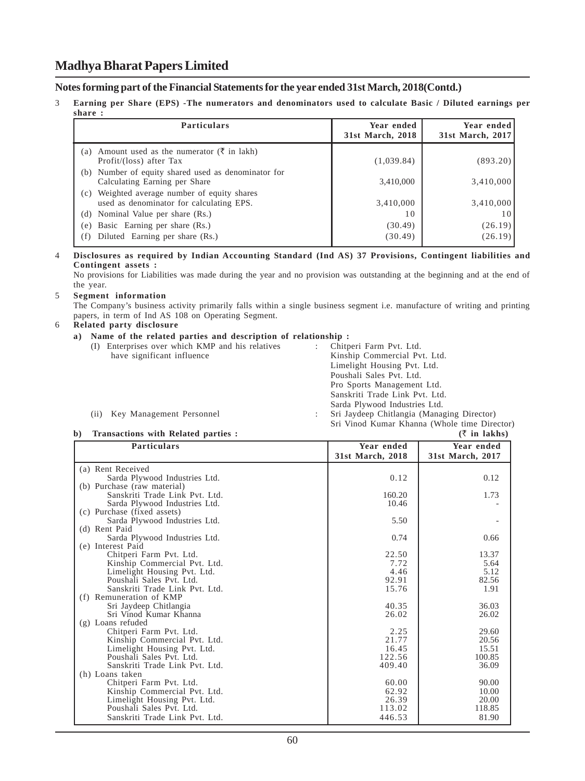#### **Notes forming part of the Financial Statements for the year ended 31st March, 2018(Contd.)**

3 **Earning per Share (EPS) -The numerators and denominators used to calculate Basic / Diluted earnings per share :**

| <b>Particulars</b>                                                                          | Year ended<br>31st March, 2018 | Year ended<br>31st March, 2017 |
|---------------------------------------------------------------------------------------------|--------------------------------|--------------------------------|
| Amount used as the numerator ( $\bar{\tau}$ in lakh)<br>(a)<br>Profit/(loss) after Tax      | (1,039.84)                     | (893.20)                       |
| (b) Number of equity shared used as denominator for<br>Calculating Earning per Share        | 3,410,000                      | 3,410,000                      |
| Weighted average number of equity shares<br>(c)<br>used as denominator for calculating EPS. | 3,410,000                      | 3,410,000                      |
| Nominal Value per share (Rs.)<br>(d)                                                        | 10                             |                                |
| Basic Earning per share (Rs.)<br>(e)                                                        | (30.49)                        | (26.19)                        |
| Diluted Earning per share (Rs.)<br>(f)                                                      | (30.49)                        | (26.19)                        |

#### 4 **Disclosures as required by Indian Accounting Standard (Ind AS) 37 Provisions, Contingent liabilities and Contingent assets :**

No provisions for Liabilities was made during the year and no provision was outstanding at the beginning and at the end of the year.

#### 5 **Segment information**

The Company's business activity primarily falls within a single business segment i.e. manufacture of writing and printing papers, in term of Ind AS 108 on Operating Segment.

#### 6 **Related party disclosure**

#### **a) Name of the related parties and description of relationship :**

| (I)  | Enterprises over which KMP and his relatives | Chitperi Farm Pvt. Ltd.                      |
|------|----------------------------------------------|----------------------------------------------|
|      | have significant influence                   | Kinship Commercial Pvt. Ltd.                 |
|      |                                              | Limelight Housing Pvt. Ltd.                  |
|      |                                              | Poushali Sales Pvt. Ltd.                     |
|      |                                              | Pro Sports Management Ltd.                   |
|      |                                              | Sanskriti Trade Link Pvt. Ltd.               |
|      |                                              | Sarda Plywood Industries Ltd.                |
| (ii) | Key Management Personnel                     | Sri Jaydeep Chitlangia (Managing Director)   |
|      |                                              | Sri Vinod Kumar Khanna (Whole time Director) |

#### **b) Transactions with Related parties : (**` **in lakhs)**

| <b>Particulars</b>             | Year ended       | Year ended       |
|--------------------------------|------------------|------------------|
|                                | 31st March, 2018 | 31st March, 2017 |
| (a) Rent Received              |                  |                  |
| Sarda Plywood Industries Ltd.  | 0.12             | 0.12             |
| (b) Purchase (raw material)    |                  |                  |
| Sanskriti Trade Link Pvt. Ltd. | 160.20           | 1.73             |
| Sarda Plywood Industries Ltd.  | 10.46            |                  |
| (c) Purchase (fixed assets)    |                  |                  |
| Sarda Plywood Industries Ltd.  | 5.50             |                  |
| (d) Rent Paid                  |                  |                  |
| Sarda Plywood Industries Ltd.  | 0.74             | 0.66             |
| (e) Interest Paid              |                  |                  |
| Chitperi Farm Pvt. Ltd.        | 22.50            | 13.37            |
| Kinship Commercial Pvt. Ltd.   | 7.72             | 5.64             |
| Limelight Housing Pvt. Ltd.    | 4.46             | 5.12             |
| Poushali Sales Pvt. Ltd.       | 92.91            | 82.56            |
| Sanskriti Trade Link Pvt. Ltd. | 15.76            | 1.91             |
| (f) Remuneration of KMP        |                  |                  |
| Sri Jaydeep Chitlangia         | 40.35            | 36.03            |
| Sri Vinod Kumar Khanna         | 26.02            | 26.02            |
| (g) Loans refuded              |                  |                  |
| Chitperi Farm Pvt. Ltd.        | 2.25             | 29.60            |
| Kinship Commercial Pvt. Ltd.   | 21.77            | 20.56            |
| Limelight Housing Pvt. Ltd.    | 16.45            | 15.51            |
| Poushali Sales Pvt. Ltd.       | 122.56           | 100.85           |
| Sanskriti Trade Link Pvt. Ltd. | 409.40           | 36.09            |
| (h) Loans taken                |                  |                  |
| Chitperi Farm Pvt. Ltd.        | 60.00            | 90.00            |
| Kinship Commercial Pvt. Ltd.   | 62.92            | 10.00            |
| Limelight Housing Pvt. Ltd.    | 26.39            | 20.00            |
| Poushali Sales Pvt. Ltd.       | 113.02           | 118.85           |
| Sanskriti Trade Link Pvt. Ltd. | 446.53           | 81.90            |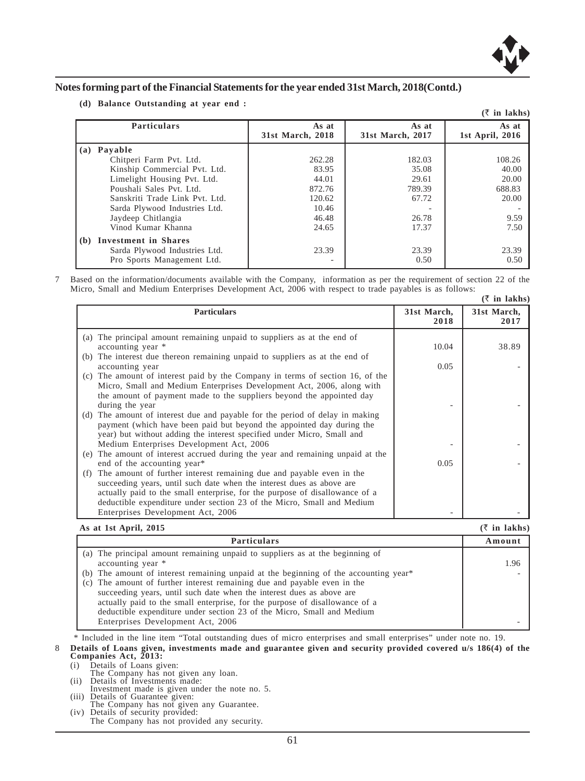

**(d) Balance Outstanding at year end :**

|     |                                |                           |                           | $($ ₹ in lakhs)          |
|-----|--------------------------------|---------------------------|---------------------------|--------------------------|
|     | <b>Particulars</b>             | As at<br>31st March, 2018 | As at<br>31st March, 2017 | As at<br>1st April, 2016 |
| (a) | Pavable                        |                           |                           |                          |
|     | Chitperi Farm Pvt. Ltd.        | 262.28                    | 182.03                    | 108.26                   |
|     | Kinship Commercial Pvt. Ltd.   | 83.95                     | 35.08                     | 40.00                    |
|     | Limelight Housing Pvt. Ltd.    | 44.01                     | 29.61                     | 20.00                    |
|     | Poushali Sales Pvt. Ltd.       | 872.76                    | 789.39                    | 688.83                   |
|     | Sanskriti Trade Link Pvt. Ltd. | 120.62                    | 67.72                     | 20.00                    |
|     | Sarda Plywood Industries Ltd.  | 10.46                     |                           |                          |
|     | Jaydeep Chitlangia             | 46.48                     | 26.78                     | 9.59                     |
|     | Vinod Kumar Khanna             | 24.65                     | 17.37                     | 7.50                     |
|     | (b) Investment in Shares       |                           |                           |                          |
|     | Sarda Plywood Industries Ltd.  | 23.39                     | 23.39                     | 23.39                    |
|     | Pro Sports Management Ltd.     |                           | 0.50                      | 0.50                     |

7 Based on the information/documents available with the Company, information as per the requirement of section 22 of the Micro, Small and Medium Enterprises Development Act, 2006 with respect to trade payables is as follows:  $(\bar{z}$  in lakhs)

|                                                                                                                                                                                                                                                                                                                                                    |                     | (у пі такиз)        |
|----------------------------------------------------------------------------------------------------------------------------------------------------------------------------------------------------------------------------------------------------------------------------------------------------------------------------------------------------|---------------------|---------------------|
| <b>Particulars</b>                                                                                                                                                                                                                                                                                                                                 | 31st March,<br>2018 | 31st March,<br>2017 |
| (a) The principal amount remaining unpaid to suppliers as at the end of<br>accounting year *                                                                                                                                                                                                                                                       | 10.04               | 38.89               |
| (b) The interest due thereon remaining unpaid to suppliers as at the end of<br>accounting year                                                                                                                                                                                                                                                     | 0.05                |                     |
| The amount of interest paid by the Company in terms of section 16, of the<br>(c)<br>Micro, Small and Medium Enterprises Development Act, 2006, along with<br>the amount of payment made to the suppliers beyond the appointed day<br>during the year                                                                                               |                     |                     |
| (d) The amount of interest due and payable for the period of delay in making<br>payment (which have been paid but beyond the appointed day during the<br>year) but without adding the interest specified under Micro, Small and<br>Medium Enterprises Development Act, 2006                                                                        |                     |                     |
| (e) The amount of interest accrued during the year and remaining unpaid at the<br>end of the accounting year*                                                                                                                                                                                                                                      | 0.05                |                     |
| The amount of further interest remaining due and payable even in the<br>(f)<br>succeeding years, until such date when the interest dues as above are<br>actually paid to the small enterprise, for the purpose of disallowance of a<br>deductible expenditure under section 23 of the Micro, Small and Medium<br>Enterprises Development Act, 2006 |                     |                     |

#### **As at 1st April, 2015 (**` **in lakhs)**

| <b>Particulars</b>                                                                   | Amount |
|--------------------------------------------------------------------------------------|--------|
| (a) The principal amount remaining unpaid to suppliers as at the beginning of        |        |
| accounting year *                                                                    | 1.96   |
| (b) The amount of interest remaining unpaid at the beginning of the accounting year* |        |
| (c) The amount of further interest remaining due and payable even in the             |        |
| succeeding years, until such date when the interest dues as above are                |        |
| actually paid to the small enterprise, for the purpose of disallowance of a          |        |
| deductible expenditure under section 23 of the Micro, Small and Medium               |        |
| Enterprises Development Act, 2006                                                    |        |

\* Included in the line item "Total outstanding dues of micro enterprises and small enterprises" under note no. 19.

8 **Details of Loans given, investments made and guarantee given and security provided covered u/s 186(4) of the Companies Act, 2013:**

(i) Details of Loans given:

- The Company has not given any loan. (ii) Details of Investments made:
- 
- Investment made is given under the note no. 5. (iii) Details of Guarantee given:
- The Company has not given any Guarantee. (iv) Details of security provided:
- The Company has not provided any security.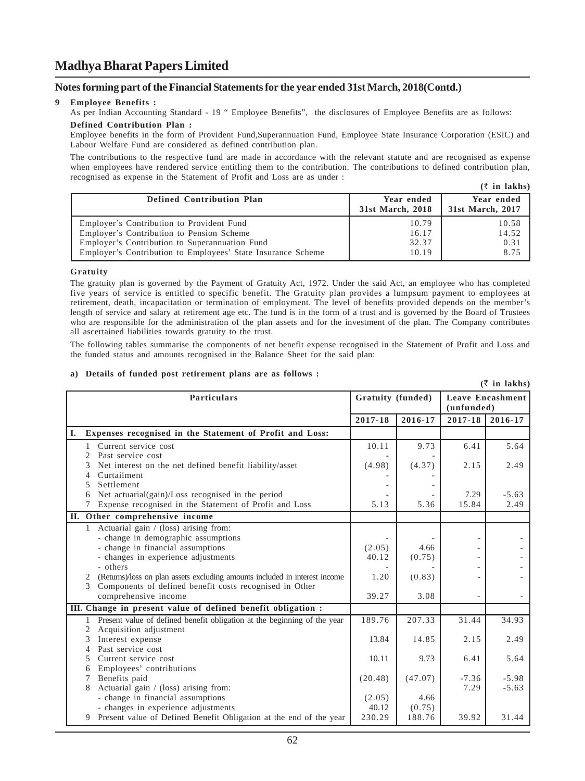#### **Notes forming part of the Financial Statements for the year ended 31st March, 2018(Contd.)**

#### **9 Employee Benefits :**

As per Indian Accounting Standard - 19 " Employee Benefits", the disclosures of Employee Benefits are as follows:

#### **Defined Contribution Plan :**

Employee benefits in the form of Provident Fund,Superannuation Fund, Employee State Insurance Corporation (ESIC) and Labour Welfare Fund are considered as defined contribution plan.

The contributions to the respective fund are made in accordance with the relevant statute and are recognised as expense when employees have rendered service entitling them to the contribution. The contributions to defined contribution plan, recognised as expense in the Statement of Profit and Loss are as under : **(**` **in lakhs)**

|                                                                                                                                                                                                          |                                  | $\cup$ in Iarns                |
|----------------------------------------------------------------------------------------------------------------------------------------------------------------------------------------------------------|----------------------------------|--------------------------------|
| Defined Contribution Plan                                                                                                                                                                                | Year ended<br>31st March, 2018   | Year ended<br>31st March, 2017 |
| Employer's Contribution to Provident Fund<br>Employer's Contribution to Pension Scheme<br>Employer's Contribution to Superannuation Fund<br>Employer's Contribution to Employees' State Insurance Scheme | 10.79<br>16.17<br>32.37<br>10.19 | 10.58<br>14.52<br>0.31<br>8.75 |

#### **Gratuity**

The gratuity plan is governed by the Payment of Gratuity Act, 1972. Under the said Act, an employee who has completed five years of service is entitled to specific benefit. The Gratuity plan provides a lumpsum payment to employees at retirement, death, incapacitation or termination of employment. The level of benefits provided depends on the member's length of service and salary at retirement age etc. The fund is in the form of a trust and is governed by the Board of Trustees who are responsible for the administration of the plan assets and for the investment of the plan. The Company contributes all ascertained liabilities towards gratuity to the trust.

The following tables summarise the components of net benefit expense recognised in the Statement of Profit and Loss and the funded status and amounts recognised in the Balance Sheet for the said plan:

#### **a) Details of funded post retirement plans are as follows :**

|    |                |                                                                             |                   |         |                                       | $(\bar{z}$ in lakhs) |
|----|----------------|-----------------------------------------------------------------------------|-------------------|---------|---------------------------------------|----------------------|
|    |                | <b>Particulars</b>                                                          | Gratuity (funded) |         | <b>Leave Encashment</b><br>(unfunded) |                      |
|    |                |                                                                             | 2017-18           | 2016-17 | 2017-18                               | 2016-17              |
| Ι. |                | Expenses recognised in the Statement of Profit and Loss:                    |                   |         |                                       |                      |
|    | $\mathbf{1}$   | Current service cost                                                        | 10.11             | 9.73    | 6.41                                  | 5.64                 |
|    | $\overline{c}$ | Past service cost                                                           |                   |         |                                       |                      |
|    | 3              | Net interest on the net defined benefit liability/asset                     | (4.98)            | (4.37)  | 2.15                                  | 2.49                 |
|    | 4              | Curtailment                                                                 |                   |         |                                       |                      |
|    | 5              | Settlement                                                                  |                   |         |                                       |                      |
|    | 6              | Net actuarial(gain)/Loss recognised in the period                           |                   |         | 7.29                                  | $-5.63$              |
|    |                | Expense recognised in the Statement of Profit and Loss                      | 5.13              | 5.36    | 15.84                                 | 2.49                 |
|    |                | II. Other comprehensive income                                              |                   |         |                                       |                      |
|    | 1              | Actuarial gain / (loss) arising from:                                       |                   |         |                                       |                      |
|    |                | - change in demographic assumptions                                         |                   |         |                                       |                      |
|    |                | - change in financial assumptions                                           | (2.05)            | 4.66    |                                       |                      |
|    |                | - changes in experience adjustments                                         | 40.12             | (0.75)  |                                       |                      |
|    |                | - others                                                                    |                   |         |                                       |                      |
|    |                | (Returns)/loss on plan assets excluding amounts included in interest income | 1.20              | (0.83)  |                                       |                      |
|    | $\mathcal{F}$  | Components of defined benefit costs recognised in Other                     |                   |         |                                       |                      |
|    |                | comprehensive income                                                        | 39.27             | 3.08    |                                       |                      |
|    |                | III. Change in present value of defined benefit obligation :                |                   |         |                                       |                      |
|    | 1              | Present value of defined benefit obligation at the beginning of the year    | 189.76            | 207.33  | 31.44                                 | 34.93                |
|    | $\overline{2}$ | Acquisition adjustment                                                      |                   |         |                                       |                      |
|    | 3              | Interest expense                                                            | 13.84             | 14.85   | 2.15                                  | 2.49                 |
|    | 4              | Past service cost                                                           |                   |         |                                       |                      |
|    | 5              | Current service cost                                                        | 10.11             | 9.73    | 6.41                                  | 5.64                 |
|    | 6              | Employees' contributions                                                    |                   |         |                                       |                      |
|    | 7              | Benefits paid                                                               | (20.48)           | (47.07) | $-7.36$                               | $-5.98$              |
|    | 8              | Actuarial gain / (loss) arising from:                                       |                   |         | 7.29                                  | $-5.63$              |
|    |                | - change in financial assumptions                                           | (2.05)            | 4.66    |                                       |                      |
|    |                | - changes in experience adjustments                                         | 40.12             | (0.75)  |                                       |                      |
|    |                | 9 Present value of Defined Benefit Obligation at the end of the year        | 230.29            | 188.76  | 39.92                                 | 31.44                |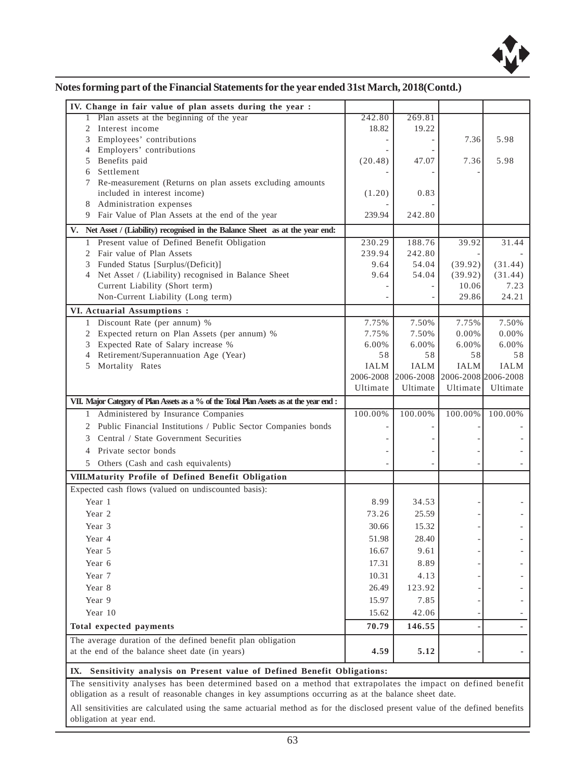

|  | Notes forming part of the Financial Statements for the year ended 31st March, 2018(Contd.) |
|--|--------------------------------------------------------------------------------------------|
|  |                                                                                            |

| Plan assets at the beginning of the year<br>1                                           | 242.80      | 269.81        |                     |                          |
|-----------------------------------------------------------------------------------------|-------------|---------------|---------------------|--------------------------|
| 2 Interest income                                                                       | 18.82       | 19.22         |                     |                          |
| Employees' contributions<br>3                                                           |             |               | 7.36                | 5.98                     |
| 4 Employers' contributions                                                              |             |               |                     |                          |
| 5 Benefits paid                                                                         | (20.48)     | 47.07         | 7.36                | 5.98                     |
| Settlement<br>6                                                                         |             |               |                     |                          |
| 7 Re-measurement (Returns on plan assets excluding amounts                              |             |               |                     |                          |
| included in interest income)                                                            | (1.20)      | 0.83          |                     |                          |
| 8 Administration expenses                                                               |             |               |                     |                          |
| 9 Fair Value of Plan Assets at the end of the year                                      | 239.94      | 242.80        |                     |                          |
| V. Net Asset / (Liability) recognised in the Balance Sheet as at the year end:          |             |               |                     |                          |
| 1 Present value of Defined Benefit Obligation                                           | 230.29      | 188.76        | 39.92               | 31.44                    |
| 2 Fair value of Plan Assets                                                             | 239.94      | 242.80        |                     |                          |
| 3 Funded Status [Surplus/(Deficit)]                                                     | 9.64        | 54.04         | (39.92)             | (31.44)                  |
| 4 Net Asset / (Liability) recognised in Balance Sheet                                   | 9.64        | 54.04         | (39.92)             | (31.44)                  |
| Current Liability (Short term)                                                          |             |               | 10.06               | 7.23                     |
| Non-Current Liability (Long term)                                                       |             |               | 29.86               | 24.21                    |
| VI. Actuarial Assumptions:                                                              |             |               |                     |                          |
| 1 Discount Rate (per annum) %                                                           | 7.75%       | 7.50%         | 7.75%               | 7.50%                    |
| Expected return on Plan Assets (per annum) %<br>2                                       | 7.75%       | 7.50%         | 0.00%               | 0.00%                    |
| 3 Expected Rate of Salary increase %                                                    | 6.00%       | 6.00%         | 6.00%               | 6.00%                    |
| Retirement/Superannuation Age (Year)<br>4                                               | 58          | 58            | 58                  | 58                       |
| 5 Mortality Rates                                                                       | <b>IALM</b> | <b>IALM</b>   | IALM                | IALM                     |
|                                                                                         | 2006-2008   | $2006 - 2008$ | 2006-2008 2006-2008 |                          |
|                                                                                         | Ultimate    | Ultimate      | Ultimate            | Ultimate                 |
| VII. Major Category of Plan Assets as a % of the Total Plan Assets as at the year end : |             |               |                     |                          |
| 1 Administered by Insurance Companies                                                   | 100.00%     | 100.00%       | 100.00%             | 100.00%                  |
| 2 Public Financial Institutions / Public Sector Companies bonds                         |             |               |                     |                          |
| 3 Central / State Government Securities                                                 |             |               |                     |                          |
| Private sector bonds<br>4                                                               |             |               |                     |                          |
|                                                                                         |             |               |                     |                          |
| 5 Others (Cash and cash equivalents)                                                    |             |               |                     |                          |
| VIII. Maturity Profile of Defined Benefit Obligation                                    |             |               |                     |                          |
| Expected cash flows (valued on undiscounted basis):                                     |             |               |                     |                          |
| Year 1                                                                                  | 8.99        | 34.53         |                     |                          |
| Year 2                                                                                  | 73.26       | 25.59         |                     |                          |
| Year 3                                                                                  | 30.66       | 15.32         |                     |                          |
| Year 4                                                                                  |             |               |                     |                          |
|                                                                                         | 51.98       | 28.40         |                     |                          |
| Year 5                                                                                  | 16.67       | 9.61          |                     |                          |
| Year 6                                                                                  | 17.31       | 8.89          |                     |                          |
| Year 7                                                                                  | 10.31       | 4.13          |                     |                          |
| Year 8                                                                                  | 26.49       | 123.92        |                     |                          |
| Year 9                                                                                  | 15.97       | 7.85          |                     |                          |
| Year 10                                                                                 | 15.62       | 42.06         |                     |                          |
| Total expected payments                                                                 | 70.79       | 146.55        |                     |                          |
| The average duration of the defined benefit plan obligation                             |             |               |                     |                          |
| at the end of the balance sheet date (in years)                                         | 4.59        | 5.12          |                     | $\overline{\phantom{a}}$ |
| IX. Sensitivity analysis on Present value of Defined Benefit Obligations:               |             |               |                     |                          |

obligation as a result of reasonable changes in key assumptions occurring as at the balance sheet date.

All sensitivities are calculated using the same actuarial method as for the disclosed present value of the defined benefits obligation at year end.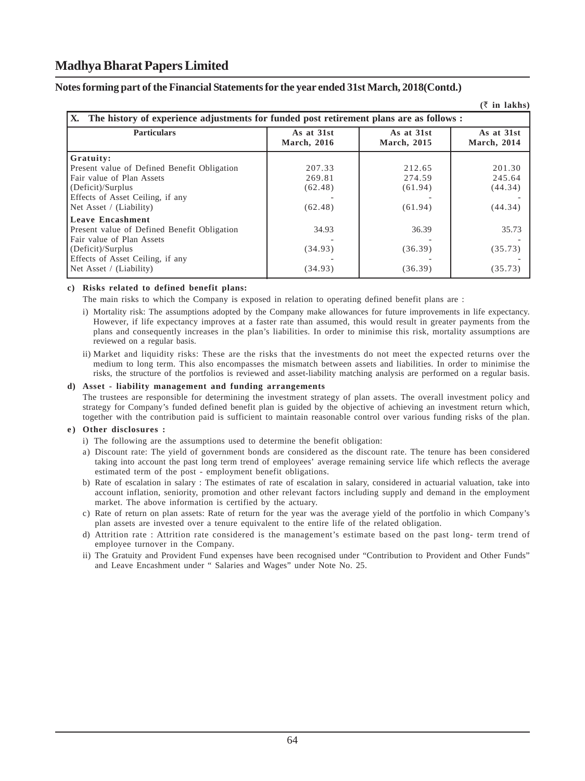#### **Notes forming part of the Financial Statements for the year ended 31st March, 2018(Contd.)**

|                                                                                                |                                  |                           | $(\bar{z}$ in lakhs)              |
|------------------------------------------------------------------------------------------------|----------------------------------|---------------------------|-----------------------------------|
| IX.<br>The history of experience adjustments for funded post retirement plans are as follows : |                                  |                           |                                   |
| <b>Particulars</b>                                                                             | As at 31st<br><b>March, 2016</b> | As at 31st<br>March, 2015 | As at 31st<br><b>March</b> , 2014 |
| Gratuity:                                                                                      |                                  |                           |                                   |
| Present value of Defined Benefit Obligation                                                    | 207.33                           | 212.65                    | 201.30                            |
| Fair value of Plan Assets                                                                      | 269.81                           | 274.59                    | 245.64                            |
| (Deficit)/Surplus                                                                              | (62.48)                          | (61.94)                   | (44.34)                           |
| Effects of Asset Ceiling, if any                                                               |                                  |                           |                                   |
| Net Asset / (Liability)                                                                        | (62.48)                          | (61.94)                   | (44.34)                           |
| <b>Leave Encashment</b>                                                                        |                                  |                           |                                   |
| Present value of Defined Benefit Obligation                                                    | 34.93                            | 36.39                     | 35.73                             |
| Fair value of Plan Assets                                                                      |                                  |                           |                                   |
| (Deficit)/Surplus                                                                              | (34.93)                          | (36.39)                   | (35.73)                           |
| Effects of Asset Ceiling, if any                                                               |                                  |                           |                                   |
| Net Asset / (Liability)                                                                        | (34.93)                          | (36.39)                   | (35.73)                           |

#### **c) Risks related to defined benefit plans:**

The main risks to which the Company is exposed in relation to operating defined benefit plans are :

- i) Mortality risk: The assumptions adopted by the Company make allowances for future improvements in life expectancy. However, if life expectancy improves at a faster rate than assumed, this would result in greater payments from the plans and consequently increases in the plan's liabilities. In order to minimise this risk, mortality assumptions are reviewed on a regular basis.
- ii) Market and liquidity risks: These are the risks that the investments do not meet the expected returns over the medium to long term. This also encompasses the mismatch between assets and liabilities. In order to minimise the risks, the structure of the portfolios is reviewed and asset-liability matching analysis are performed on a regular basis.

#### **d) Asset - liability management and funding arrangements**

The trustees are responsible for determining the investment strategy of plan assets. The overall investment policy and strategy for Company's funded defined benefit plan is guided by the objective of achieving an investment return which, together with the contribution paid is sufficient to maintain reasonable control over various funding risks of the plan.

#### **e) Other disclosures :**

- i) The following are the assumptions used to determine the benefit obligation:
- a) Discount rate: The yield of government bonds are considered as the discount rate. The tenure has been considered taking into account the past long term trend of employees' average remaining service life which reflects the average estimated term of the post - employment benefit obligations.
- b) Rate of escalation in salary : The estimates of rate of escalation in salary, considered in actuarial valuation, take into account inflation, seniority, promotion and other relevant factors including supply and demand in the employment market. The above information is certified by the actuary.
- c) Rate of return on plan assets: Rate of return for the year was the average yield of the portfolio in which Company's plan assets are invested over a tenure equivalent to the entire life of the related obligation.
- d) Attrition rate : Attrition rate considered is the management's estimate based on the past long- term trend of employee turnover in the Company.
- ii) The Gratuity and Provident Fund expenses have been recognised under "Contribution to Provident and Other Funds" and Leave Encashment under " Salaries and Wages" under Note No. 25.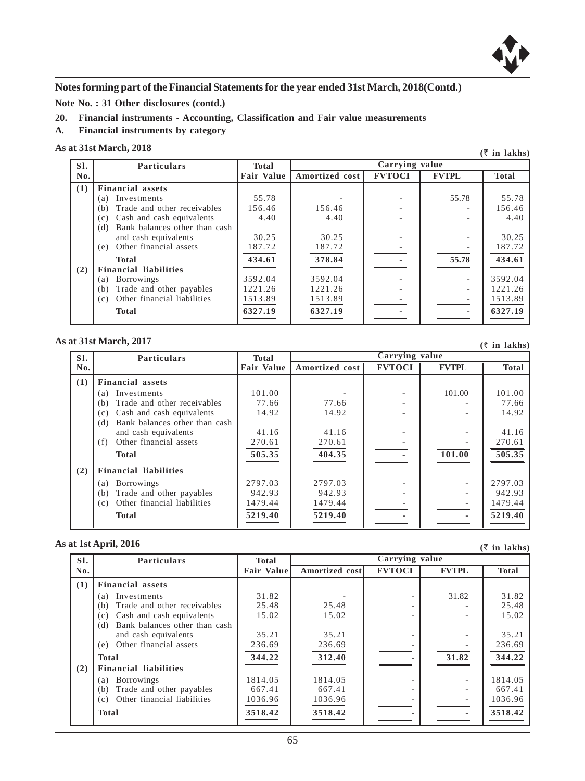

**Note No. : 31 Other disclosures (contd.)**

- **20. Financial instruments Accounting, Classification and Fair value measurements**
- **A. Financial instruments by category**

#### **As at 31st March, 2018**

|     | at 31st March, 2018<br>$(\bar{z}$ in lakhs) |              |                |                |              |              |  |
|-----|---------------------------------------------|--------------|----------------|----------------|--------------|--------------|--|
| SI. | <b>Particulars</b>                          | <b>Total</b> |                | Carrying value |              |              |  |
| No. |                                             | Fair Value I | Amortized cost | <b>FVTOCI</b>  | <b>FVTPL</b> | <b>Total</b> |  |
| (1) | <b>Financial assets</b>                     |              |                |                |              |              |  |
|     | Investments<br>(a)                          | 55.78        |                |                | 55.78        | 55.78        |  |
|     | Trade and other receivables<br>(b)          | 156.46       | 156.46         |                |              | 156.46       |  |
|     | Cash and cash equivalents<br>(c)            | 4.40         | 4.40           |                |              | 4.40         |  |
|     | Bank balances other than cash<br>(d)        |              |                |                |              |              |  |
|     | and cash equivalents                        | 30.25        | 30.25          |                |              | 30.25        |  |
|     | Other financial assets<br>(e)               | 187.72       | 187.72         |                |              | 187.72       |  |
|     | Total                                       | 434.61       | 378.84         |                | 55.78        | 434.61       |  |
| (2) | <b>Financial liabilities</b>                |              |                |                |              |              |  |
|     | <b>Borrowings</b><br>(a)                    | 3592.04      | 3592.04        |                |              | 3592.04      |  |
|     | Trade and other payables<br>(b)             | 1221.26      | 1221.26        |                |              | 1221.26      |  |
|     | Other financial liabilities<br>(c)          | 1513.89      | 1513.89        |                |              | 1513.89      |  |
|     | <b>Total</b>                                | 6327.19      | 6327.19        |                |              | 6327.19      |  |

#### **As at 31st March, 2017**

|     | at 31st March, 2017<br>$(5$ in lakhs) |                   |                |                |              |              |
|-----|---------------------------------------|-------------------|----------------|----------------|--------------|--------------|
| SI. | <b>Particulars</b>                    | <b>Total</b>      |                | Carrying value |              |              |
| No. |                                       | <b>Fair Value</b> | Amortized cost | <b>FVTOCI</b>  | <b>FVTPL</b> | <b>Total</b> |
| (1) | <b>Financial assets</b>               |                   |                |                |              |              |
|     | Investments<br>(a)                    | 101.00            |                |                | 101.00       | 101.00       |
|     | Trade and other receivables<br>(b)    | 77.66             | 77.66          |                |              | 77.66        |
|     | Cash and cash equivalents<br>(c)      | 14.92             | 14.92          |                |              | 14.92        |
|     | Bank balances other than cash<br>(d)  |                   |                |                |              |              |
|     | and cash equivalents                  | 41.16             | 41.16          |                |              | 41.16        |
|     | Other financial assets<br>(f)         | 270.61            | 270.61         |                |              | 270.61       |
|     | <b>Total</b>                          | 505.35            | 404.35         |                | 101.00       | 505.35       |
| (2) | <b>Financial liabilities</b>          |                   |                |                |              |              |
|     | <b>Borrowings</b><br>(a)              | 2797.03           | 2797.03        |                |              | 2797.03      |
|     | Trade and other payables<br>(b)       | 942.93            | 942.93         |                |              | 942.93       |
|     | Other financial liabilities<br>(c)    | 1479.44           | 1479.44        |                |              | 1479.44      |
|     | <b>Total</b>                          | 5219.40           | 5219.40        |                |              | 5219.40      |

#### **As at 1st April, 2016**

|     |                                      |                    |                |                |              | $\sqrt{2}$ in ianns |
|-----|--------------------------------------|--------------------|----------------|----------------|--------------|---------------------|
| SI. | <b>Particulars</b>                   | <b>Total</b>       |                | Carrying value |              |                     |
| No. |                                      | <b>Fair Valuel</b> | Amortized cost | <b>FVTOCI</b>  | <b>FVTPL</b> | <b>Total</b>        |
| (1) | <b>Financial assets</b>              |                    |                |                |              |                     |
|     | Investments<br>(a)                   | 31.82              |                |                | 31.82        | 31.82               |
|     | Trade and other receivables<br>(b)   | 25.48              | 25.48          |                |              | 25.48               |
|     | Cash and cash equivalents<br>(c)     | 15.02              | 15.02          |                |              | 15.02               |
|     | Bank balances other than cash<br>(d) |                    |                |                |              |                     |
|     | and cash equivalents                 | 35.21              | 35.21          |                |              | 35.21               |
|     | Other financial assets<br>(e)        | 236.69             | 236.69         |                |              | 236.69              |
|     | <b>Total</b>                         | 344.22             | 312.40         |                | 31.82        | 344.22              |
| (2) | <b>Financial liabilities</b>         |                    |                |                |              |                     |
|     | <b>Borrowings</b><br>(a)             | 1814.05            | 1814.05        |                |              | 1814.05             |
|     | Trade and other payables<br>(b)      | 667.41             | 667.41         |                |              | 667.41              |
|     | Other financial liabilities<br>(c)   | 1036.96            | 1036.96        |                |              | 1036.96             |
|     | <b>Total</b>                         | 3518.42            | 3518.42        |                |              | 3518.42             |

**(**` **in lakhs)**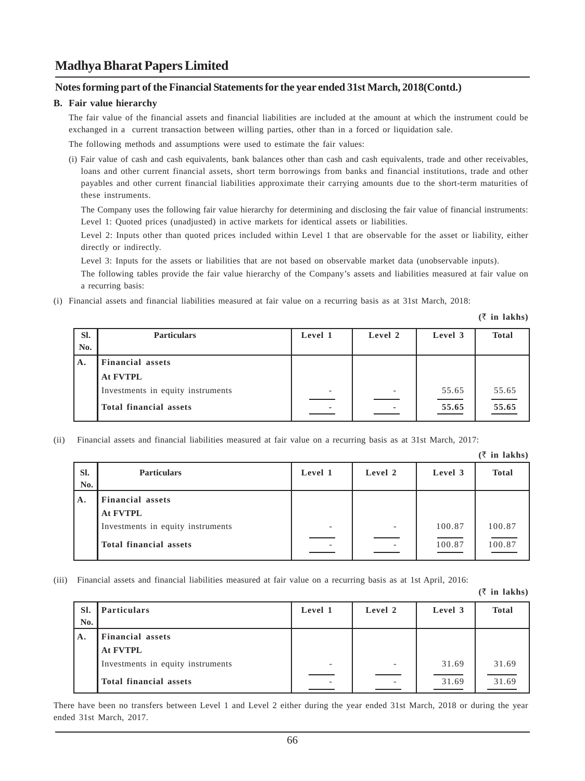#### **Notes forming part of the Financial Statements for the year ended 31st March, 2018(Contd.)**

#### **B. Fair value hierarchy**

The fair value of the financial assets and financial liabilities are included at the amount at which the instrument could be exchanged in a current transaction between willing parties, other than in a forced or liquidation sale.

The following methods and assumptions were used to estimate the fair values:

(i) Fair value of cash and cash equivalents, bank balances other than cash and cash equivalents, trade and other receivables, loans and other current financial assets, short term borrowings from banks and financial institutions, trade and other payables and other current financial liabilities approximate their carrying amounts due to the short-term maturities of these instruments.

The Company uses the following fair value hierarchy for determining and disclosing the fair value of financial instruments: Level 1: Quoted prices (unadjusted) in active markets for identical assets or liabilities.

Level 2: Inputs other than quoted prices included within Level 1 that are observable for the asset or liability, either directly or indirectly.

Level 3: Inputs for the assets or liabilities that are not based on observable market data (unobservable inputs).

The following tables provide the fair value hierarchy of the Company's assets and liabilities measured at fair value on a recurring basis:

(i) Financial assets and financial liabilities measured at fair value on a recurring basis as at 31st March, 2018:

**(**` **in lakhs)**

| SI.<br>No. | <b>Particulars</b>                                          | Level 1                                              | Level 2 | Level 3        | <b>Total</b>               |
|------------|-------------------------------------------------------------|------------------------------------------------------|---------|----------------|----------------------------|
| Α.         | <b>Financial assets</b><br><b>At FVTPL</b>                  |                                                      |         |                |                            |
|            | Investments in equity instruments<br>Total financial assets | $\overline{\phantom{a}}$<br>$\overline{\phantom{a}}$ | ٠       | 55.65<br>55.65 | 55.65<br>$\frac{1}{55.65}$ |

(ii) Financial assets and financial liabilities measured at fair value on a recurring basis as at 31st March, 2017:

**(**` **in lakhs)**

|                |                                                                                                           |         |                          |                  | $( \vee$ in iarns) |
|----------------|-----------------------------------------------------------------------------------------------------------|---------|--------------------------|------------------|--------------------|
| Sl.<br>No.     | <b>Particulars</b>                                                                                        | Level 1 | Level 2                  | Level 3          | <b>Total</b>       |
| $\mathbf{A}$ . | <b>Financial assets</b><br><b>At FVTPL</b><br>Investments in equity instruments<br>Total financial assets |         | $\overline{\phantom{a}}$ | 100.87<br>100.87 | 100.87<br>100.87   |

(iii) Financial assets and financial liabilities measured at fair value on a recurring basis as at 1st April, 2016:

**(**` **in lakhs)**

| SI.<br>No. | <b>Particulars</b>                | Level 1 | Level 2 | Level 3 | <b>Total</b> |
|------------|-----------------------------------|---------|---------|---------|--------------|
| A.         | <b>Financial assets</b>           |         |         |         |              |
|            | <b>At FVTPL</b>                   |         |         |         |              |
|            | Investments in equity instruments | -       | -       | 31.69   | 31.69        |
|            | Total financial assets            |         |         | 31.69   | 31.69        |

There have been no transfers between Level 1 and Level 2 either during the year ended 31st March, 2018 or during the year ended 31st March, 2017.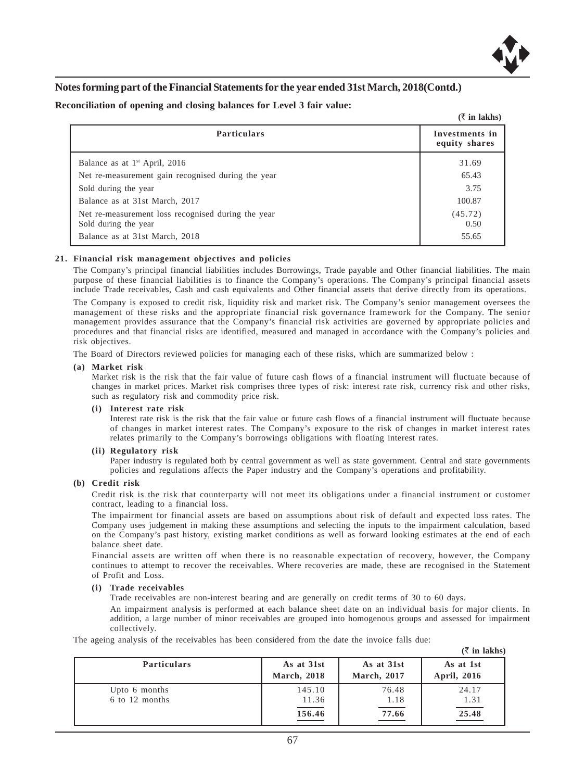

#### **Reconciliation of opening and closing balances for Level 3 fair value:**

|                                                                            | $(\bar{z}$ in lakhs)            |
|----------------------------------------------------------------------------|---------------------------------|
| <b>Particulars</b>                                                         | Investments in<br>equity shares |
| Balance as at $1st$ April, 2016                                            | 31.69                           |
| Net re-measurement gain recognised during the year                         | 65.43                           |
| Sold during the year                                                       | 3.75                            |
| Balance as at 31st March, 2017                                             | 100.87                          |
| Net re-measurement loss recognised during the year<br>Sold during the year | (45.72)<br>0.50                 |
| Balance as at 31st March, 2018                                             | 55.65                           |

#### **21. Financial risk management objectives and policies**

The Company's principal financial liabilities includes Borrowings, Trade payable and Other financial liabilities. The main purpose of these financial liabilities is to finance the Company's operations. The Company's principal financial assets include Trade receivables, Cash and cash equivalents and Other financial assets that derive directly from its operations.

The Company is exposed to credit risk, liquidity risk and market risk. The Company's senior management oversees the management of these risks and the appropriate financial risk governance framework for the Company. The senior management provides assurance that the Company's financial risk activities are governed by appropriate policies and procedures and that financial risks are identified, measured and managed in accordance with the Company's policies and risk objectives.

The Board of Directors reviewed policies for managing each of these risks, which are summarized below :

#### **(a) Market risk**

Market risk is the risk that the fair value of future cash flows of a financial instrument will fluctuate because of changes in market prices. Market risk comprises three types of risk: interest rate risk, currency risk and other risks, such as regulatory risk and commodity price risk.

#### **(i) Interest rate risk**

Interest rate risk is the risk that the fair value or future cash flows of a financial instrument will fluctuate because of changes in market interest rates. The Company's exposure to the risk of changes in market interest rates relates primarily to the Company's borrowings obligations with floating interest rates.

#### **(ii) Regulatory risk**

Paper industry is regulated both by central government as well as state government. Central and state governments policies and regulations affects the Paper industry and the Company's operations and profitability.

#### **(b) Credit risk**

Credit risk is the risk that counterparty will not meet its obligations under a financial instrument or customer contract, leading to a financial loss.

The impairment for financial assets are based on assumptions about risk of default and expected loss rates. The Company uses judgement in making these assumptions and selecting the inputs to the impairment calculation, based on the Company's past history, existing market conditions as well as forward looking estimates at the end of each balance sheet date.

Financial assets are written off when there is no reasonable expectation of recovery, however, the Company continues to attempt to recover the receivables. Where recoveries are made, these are recognised in the Statement of Profit and Loss.

#### **(i) Trade receivables**

Trade receivables are non-interest bearing and are generally on credit terms of 30 to 60 days.

An impairment analysis is performed at each balance sheet date on an individual basis for major clients. In addition, a large number of minor receivables are grouped into homogenous groups and assessed for impairment collectively.

The ageing analysis of the receivables has been considered from the date the invoice falls due:

|                                 |                                            |                           | $(\bar{\tau}$ in lakhs)                    |
|---------------------------------|--------------------------------------------|---------------------------|--------------------------------------------|
| <b>Particulars</b>              | As at 31st<br><b>March</b> , 2018          | As at 31st<br>March, 2017 | As at 1st<br>April, 2016                   |
| Upto 6 months<br>6 to 12 months | 145.10<br>11.36<br>$\frac{156.46}{156.46}$ | 76.48<br>1.18<br>77.66    | 24.17<br>1.31<br>$\hspace{0.1cm}$<br>25.48 |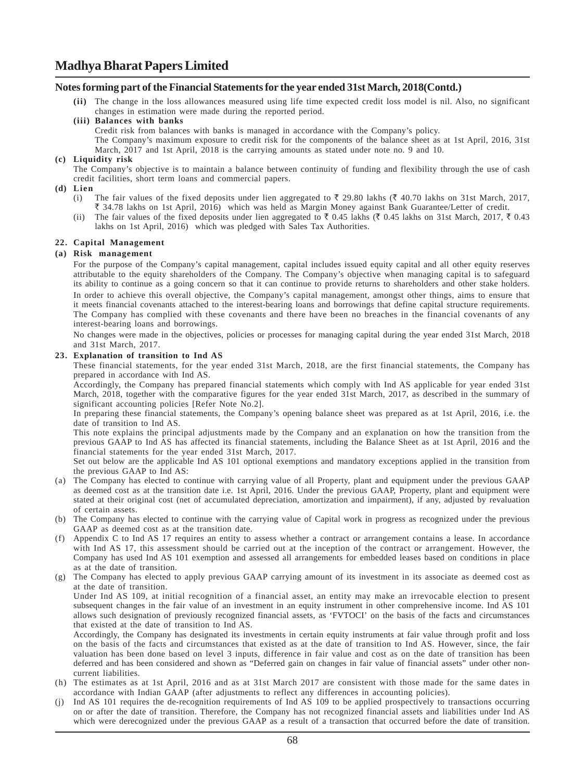#### **Notes forming part of the Financial Statements for the year ended 31st March, 2018(Contd.)**

**(ii)** The change in the loss allowances measured using life time expected credit loss model is nil. Also, no significant changes in estimation were made during the reported period.

#### **(iii) Balances with banks**

Credit risk from balances with banks is managed in accordance with the Company's policy.

The Company's maximum exposure to credit risk for the components of the balance sheet as at 1st April, 2016, 31st March, 2017 and 1st April, 2018 is the carrying amounts as stated under note no. 9 and 10.

#### **(c) Liquidity risk**

The Company's objective is to maintain a balance between continuity of funding and flexibility through the use of cash credit facilities, short term loans and commercial papers.

#### **(d) Lien**

- (i) The fair values of the fixed deposits under lien aggregated to  $\bar{\tau}$  29.80 lakhs ( $\bar{\tau}$  40.70 lakhs on 31st March, 2017,  $\bar{\xi}$  34.78 lakhs on 1st April, 2016) which was held as Margin Money against Bank Guarantee/Letter of credit.
- (ii) The fair values of the fixed deposits under lien aggregated to  $\bar{\tau}$  0.45 lakhs ( $\bar{\tau}$  0.45 lakhs on 31st March, 2017,  $\bar{\tau}$  0.43 lakhs on 1st April, 2016) which was pledged with Sales Tax Authorities.

#### **22. Capital Management**

#### **(a) Risk management**

For the purpose of the Company's capital management, capital includes issued equity capital and all other equity reserves attributable to the equity shareholders of the Company. The Company's objective when managing capital is to safeguard its ability to continue as a going concern so that it can continue to provide returns to shareholders and other stake holders. In order to achieve this overall objective, the Company's capital management, amongst other things, aims to ensure that it meets financial covenants attached to the interest-bearing loans and borrowings that define capital structure requirements. The Company has complied with these covenants and there have been no breaches in the financial covenants of any interest-bearing loans and borrowings.

No changes were made in the objectives, policies or processes for managing capital during the year ended 31st March, 2018 and 31st March, 2017.

#### **23. Explanation of transition to Ind AS**

These financial statements, for the year ended 31st March, 2018, are the first financial statements, the Company has prepared in accordance with Ind AS.

Accordingly, the Company has prepared financial statements which comply with Ind AS applicable for year ended 31st March, 2018, together with the comparative figures for the year ended 31st March, 2017, as described in the summary of significant accounting policies [Refer Note No.2].

In preparing these financial statements, the Company's opening balance sheet was prepared as at 1st April, 2016, i.e. the date of transition to Ind AS.

This note explains the principal adjustments made by the Company and an explanation on how the transition from the previous GAAP to Ind AS has affected its financial statements, including the Balance Sheet as at 1st April, 2016 and the financial statements for the year ended 31st March, 2017.

Set out below are the applicable Ind AS 101 optional exemptions and mandatory exceptions applied in the transition from the previous GAAP to Ind AS:

- (a) The Company has elected to continue with carrying value of all Property, plant and equipment under the previous GAAP as deemed cost as at the transition date i.e. 1st April, 2016. Under the previous GAAP, Property, plant and equipment were stated at their original cost (net of accumulated depreciation, amortization and impairment), if any, adjusted by revaluation of certain assets.
- (b) The Company has elected to continue with the carrying value of Capital work in progress as recognized under the previous GAAP as deemed cost as at the transition date.
- (f) Appendix C to Ind AS 17 requires an entity to assess whether a contract or arrangement contains a lease. In accordance with Ind AS 17, this assessment should be carried out at the inception of the contract or arrangement. However, the Company has used Ind AS 101 exemption and assessed all arrangements for embedded leases based on conditions in place as at the date of transition.
- (g) The Company has elected to apply previous GAAP carrying amount of its investment in its associate as deemed cost as at the date of transition.

Under Ind AS 109, at initial recognition of a financial asset, an entity may make an irrevocable election to present subsequent changes in the fair value of an investment in an equity instrument in other comprehensive income. Ind AS 101 allows such designation of previously recognized financial assets, as 'FVTOCI' on the basis of the facts and circumstances that existed at the date of transition to Ind AS.

Accordingly, the Company has designated its investments in certain equity instruments at fair value through profit and loss on the basis of the facts and circumstances that existed as at the date of transition to Ind AS. However, since, the fair valuation has been done based on level 3 inputs, difference in fair value and cost as on the date of transition has been deferred and has been considered and shown as "Deferred gain on changes in fair value of financial assets" under other noncurrent liabilities.

- (h) The estimates as at 1st April, 2016 and as at 31st March 2017 are consistent with those made for the same dates in accordance with Indian GAAP (after adjustments to reflect any differences in accounting policies).
- (j) Ind AS 101 requires the de-recognition requirements of Ind AS 109 to be applied prospectively to transactions occurring on or after the date of transition. Therefore, the Company has not recognized financial assets and liabilities under Ind AS which were derecognized under the previous GAAP as a result of a transaction that occurred before the date of transition.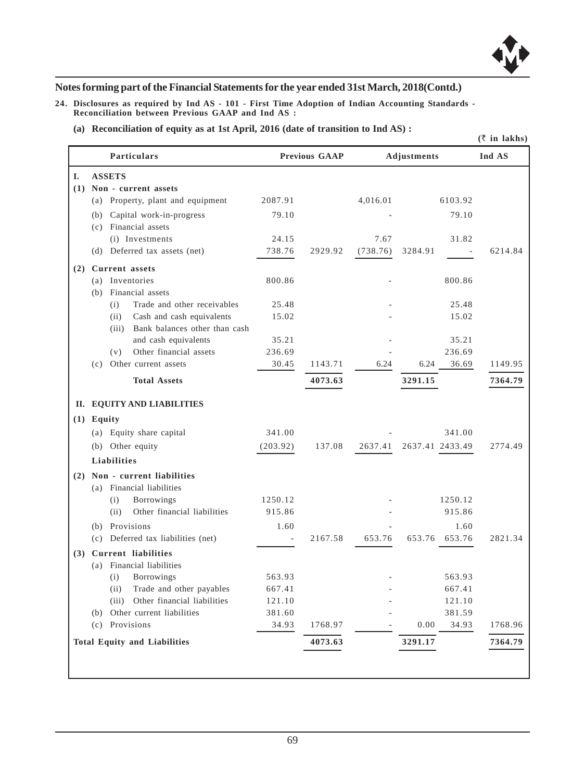

**24. Disclosures as required by Ind AS - 101 - First Time Adoption of Indian Accounting Standards - Reconciliation between Previous GAAP and Ind AS :**

**(a) Reconciliation of equity as at 1st April, 2016 (date of transition to Ind AS) :**

|    |                                                           |                 |                      |          |                    | $(\bar{z}$ in lakhs) |
|----|-----------------------------------------------------------|-----------------|----------------------|----------|--------------------|----------------------|
|    | <b>Particulars</b>                                        |                 | <b>Previous GAAP</b> |          | <b>Adjustments</b> | Ind AS               |
| L. | <b>ASSETS</b>                                             |                 |                      |          |                    |                      |
|    | (1) Non - current assets                                  |                 |                      |          |                    |                      |
|    | (a) Property, plant and equipment                         | 2087.91         |                      | 4,016.01 | 6103.92            |                      |
|    | Capital work-in-progress<br>(b)                           | 79.10           |                      |          | 79.10              |                      |
|    | (c) Financial assets                                      |                 |                      |          |                    |                      |
|    | (i) Investments                                           | 24.15           |                      | 7.67     | 31.82              |                      |
|    | (d) Deferred tax assets (net)                             | 738.76          | 2929.92              | (738.76) | 3284.91            | 6214.84              |
|    | (2) Current assets                                        |                 |                      |          |                    |                      |
|    | (a) Inventories                                           | 800.86          |                      |          | 800.86             |                      |
|    | (b) Financial assets                                      |                 |                      |          |                    |                      |
|    | Trade and other receivables<br>(i)                        | 25.48           |                      |          | 25.48              |                      |
|    | Cash and cash equivalents<br>(ii)                         | 15.02           |                      |          | 15.02              |                      |
|    | (iii) Bank balances other than cash                       |                 |                      |          |                    |                      |
|    | and cash equivalents                                      | 35.21           |                      |          | 35.21              |                      |
|    | Other financial assets<br>(v)<br>(c) Other current assets | 236.69<br>30.45 | 1143.71              | 6.24     | 236.69<br>6.24     | 1149.95              |
|    |                                                           |                 |                      |          | 36.69              |                      |
|    | <b>Total Assets</b>                                       |                 | 4073.63              |          | 3291.15            | 7364.79              |
|    | II. EQUITY AND LIABILITIES                                |                 |                      |          |                    |                      |
|    | $(1)$ Equity                                              |                 |                      |          |                    |                      |
|    | (a) Equity share capital                                  | 341.00          |                      |          | 341.00             |                      |
|    | (b) Other equity                                          | (203.92)        | 137.08               | 2637.41  | 2637.41 2433.49    | 2774.49              |
|    | <b>Liabilities</b>                                        |                 |                      |          |                    |                      |
|    | (2) Non - current liabilities                             |                 |                      |          |                    |                      |
|    | (a) Financial liabilities                                 |                 |                      |          |                    |                      |
|    | Borrowings<br>(i)                                         | 1250.12         |                      |          | 1250.12            |                      |
|    | Other financial liabilities<br>(ii)                       | 915.86          |                      |          | 915.86             |                      |
|    | (b) Provisions                                            | 1.60            |                      |          | 1.60               |                      |
|    | (c) Deferred tax liabilities (net)                        |                 | 2167.58              | 653.76   | 653.76 653.76      | 2821.34              |
|    | (3) Current liabilities                                   |                 |                      |          |                    |                      |
|    | (a) Financial liabilities                                 |                 |                      |          |                    |                      |
|    | Borrowings<br>(i)                                         | 563.93          |                      |          | 563.93             |                      |
|    | Trade and other payables<br>(ii)                          | 667.41          |                      |          | 667.41             |                      |
|    | (iii) Other financial liabilities                         | 121.10          |                      |          | 121.10             |                      |
|    | (b) Other current liabilities                             | 381.60          |                      |          | 381.59             |                      |
|    | (c) Provisions                                            | 34.93           | 1768.97              |          | 0.00<br>34.93      | 1768.96              |
|    | <b>Total Equity and Liabilities</b>                       |                 | 4073.63              |          | 3291.17            | 7364.79              |
|    |                                                           |                 |                      |          |                    |                      |
|    |                                                           |                 |                      |          |                    |                      |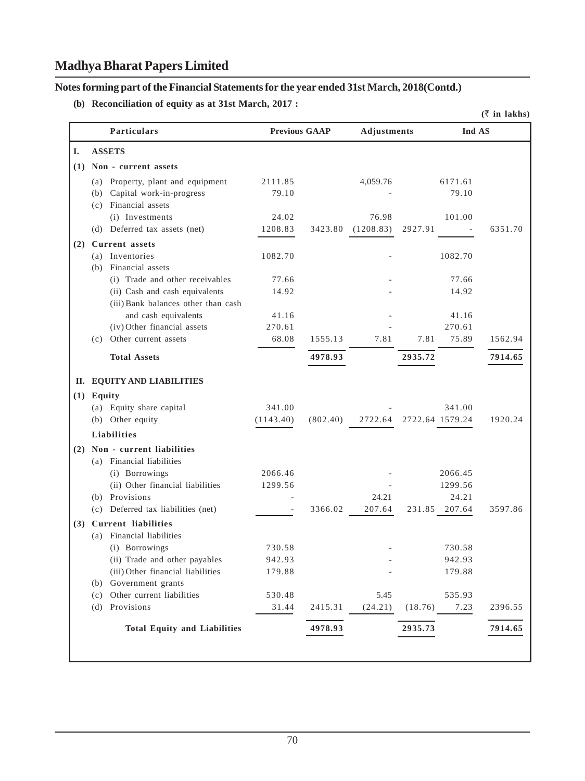**Notes forming part of the Financial Statements for the year ended 31st March, 2018(Contd.)**

**(b) Reconciliation of equity as at 31st March, 2017 :**

|     |                                                                                                          |                          |          |                    |                                     | $(\bar{z}$ in lakhs) |
|-----|----------------------------------------------------------------------------------------------------------|--------------------------|----------|--------------------|-------------------------------------|----------------------|
|     | <b>Particulars</b>                                                                                       | <b>Previous GAAP</b>     |          | <b>Adjustments</b> |                                     | Ind AS               |
| I.  | <b>ASSETS</b>                                                                                            |                          |          |                    |                                     |                      |
|     | (1) Non - current assets                                                                                 |                          |          |                    |                                     |                      |
|     | (a) Property, plant and equipment<br>(b) Capital work-in-progress<br>(c) Financial assets                | 2111.85<br>79.10         |          | 4,059.76           | 6171.61<br>79.10                    |                      |
|     | (i) Investments                                                                                          | 24.02                    |          | 76.98              | 101.00                              |                      |
|     | (d) Deferred tax assets (net)                                                                            | 1208.83                  | 3423.80  | (1208.83)          | 2927.91<br>$\overline{\phantom{a}}$ | 6351.70              |
| (2) | <b>Current</b> assets                                                                                    |                          |          |                    |                                     |                      |
|     | (a) Inventories<br>(b) Financial assets                                                                  | 1082.70                  |          |                    | 1082.70                             |                      |
|     | (i) Trade and other receivables<br>(ii) Cash and cash equivalents<br>(iii) Bank balances other than cash | 77.66<br>14.92           |          |                    | 77.66<br>14.92                      |                      |
|     | and cash equivalents<br>(iv) Other financial assets<br>(c) Other current assets                          | 41.16<br>270.61<br>68.08 | 1555.13  | 7.81               | 41.16<br>270.61<br>7.81<br>75.89    | 1562.94              |
|     |                                                                                                          |                          |          |                    |                                     |                      |
|     | <b>Total Assets</b>                                                                                      |                          | 4978.93  |                    | 2935.72                             | 7914.65              |
|     | II. EQUITY AND LIABILITIES                                                                               |                          |          |                    |                                     |                      |
|     | $(1)$ Equity                                                                                             |                          |          |                    |                                     |                      |
|     | (a) Equity share capital                                                                                 | 341.00                   |          |                    | 341.00                              |                      |
|     | (b) Other equity                                                                                         | (1143.40)                | (802.40) | 2722.64            | 2722.64 1579.24                     | 1920.24              |
|     | <b>Liabilities</b>                                                                                       |                          |          |                    |                                     |                      |
|     | (2) Non - current liabilities<br>(a) Financial liabilities                                               |                          |          |                    |                                     |                      |
|     | (i) Borrowings<br>(ii) Other financial liabilities                                                       | 2066.46<br>1299.56       |          |                    | 2066.45<br>1299.56                  |                      |
|     | (b) Provisions                                                                                           |                          |          | 24.21              | 24.21                               |                      |
|     | (c) Deferred tax liabilities (net)                                                                       |                          | 3366.02  | 207.64             | 231.85 207.64                       | 3597.86              |
| (3) | <b>Current liabilities</b>                                                                               |                          |          |                    |                                     |                      |
|     | (a) Financial liabilities<br>(i) Borrowings                                                              | 730.58                   |          |                    | 730.58                              |                      |
|     | (ii) Trade and other payables                                                                            | 942.93                   |          |                    | 942.93                              |                      |
|     | (iii) Other financial liabilities<br>(b) Government grants                                               | 179.88                   |          |                    | 179.88                              |                      |
|     | (c) Other current liabilities                                                                            | 530.48                   |          | 5.45               | 535.93                              |                      |
|     | (d) Provisions                                                                                           | 31.44                    | 2415.31  | (24.21)            | 7.23<br>(18.76)                     | 2396.55              |
|     | <b>Total Equity and Liabilities</b>                                                                      |                          | 4978.93  |                    | 2935.73                             | 7914.65              |
|     |                                                                                                          |                          |          |                    |                                     |                      |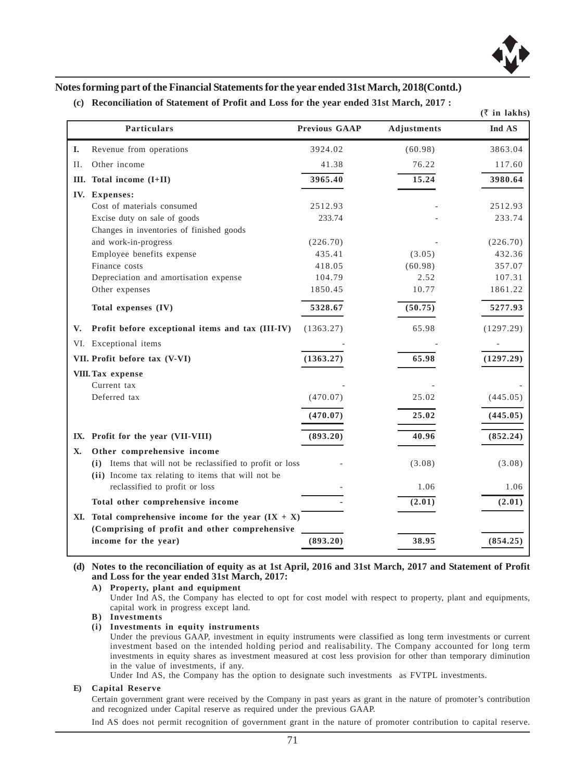

| (c) Reconciliation of Statement of Profit and Loss for the year ended 31st March, 2017 : |  |  |  |  |  |  |
|------------------------------------------------------------------------------------------|--|--|--|--|--|--|
|------------------------------------------------------------------------------------------|--|--|--|--|--|--|

|     |                                                                                                                 |                      |             | $(\bar{z}$ in lakhs) |
|-----|-----------------------------------------------------------------------------------------------------------------|----------------------|-------------|----------------------|
|     | Particulars                                                                                                     | <b>Previous GAAP</b> | Adjustments | Ind AS               |
| I.  | Revenue from operations                                                                                         | 3924.02              | (60.98)     | 3863.04              |
| II. | Other income                                                                                                    | 41.38                | 76.22       | 117.60               |
|     | III. Total income (I+II)                                                                                        | 3965.40              | 15.24       | 3980.64              |
|     | IV. Expenses:                                                                                                   |                      |             |                      |
|     | Cost of materials consumed                                                                                      | 2512.93              |             | 2512.93              |
|     | Excise duty on sale of goods                                                                                    | 233.74               |             | 233.74               |
|     | Changes in inventories of finished goods                                                                        |                      |             |                      |
|     | and work-in-progress                                                                                            | (226.70)             |             | (226.70)             |
|     | Employee benefits expense                                                                                       | 435.41               | (3.05)      | 432.36               |
|     | Finance costs                                                                                                   | 418.05               | (60.98)     | 357.07               |
|     | Depreciation and amortisation expense                                                                           | 104.79               | 2.52        | 107.31               |
|     | Other expenses                                                                                                  | 1850.45              | 10.77       | 1861.22              |
|     | Total expenses (IV)                                                                                             | 5328.67              | (50.75)     | 5277.93              |
| V.  | Profit before exceptional items and tax (III-IV)                                                                | (1363.27)            | 65.98       | (1297.29)            |
|     | VI. Exceptional items                                                                                           |                      |             |                      |
|     | VII. Profit before tax (V-VI)                                                                                   | (1363.27)            | 65.98       | (1297.29)            |
|     | VIII. Tax expense                                                                                               |                      |             |                      |
|     | Current tax                                                                                                     |                      |             |                      |
|     | Deferred tax                                                                                                    | (470.07)             | 25.02       | (445.05)             |
|     |                                                                                                                 | (470.07)             | 25.02       | (445.05)             |
|     | IX. Profit for the year (VII-VIII)                                                                              | (893.20)             | 40.96       | (852.24)             |
| X.  | Other comprehensive income                                                                                      |                      |             |                      |
|     | (i) Items that will not be reclassified to profit or loss<br>(ii) Income tax relating to items that will not be |                      | (3.08)      | (3.08)               |
|     | reclassified to profit or loss                                                                                  |                      | 1.06        | 1.06                 |
|     | Total other comprehensive income                                                                                |                      | (2.01)      | (2.01)               |
|     | XI. Total comprehensive income for the year $(IX + X)$                                                          |                      |             |                      |
|     | (Comprising of profit and other comprehensive                                                                   |                      |             |                      |
|     | income for the year)                                                                                            | (893.20)             | 38.95       | (854.25)             |

**(d) Notes to the reconciliation of equity as at 1st April, 2016 and 31st March, 2017 and Statement of Profit and Loss for the year ended 31st March, 2017:**

**A) Property, plant and equipment**

Under Ind AS, the Company has elected to opt for cost model with respect to property, plant and equipments, capital work in progress except land.

**B) Investments**

**(i) Investments in equity instruments**

Under the previous GAAP, investment in equity instruments were classified as long term investments or current investment based on the intended holding period and realisability. The Company accounted for long term investments in equity shares as investment measured at cost less provision for other than temporary diminution in the value of investments, if any.

Under Ind AS, the Company has the option to designate such investments as FVTPL investments.

#### **E) Capital Reserve**

Certain government grant were received by the Company in past years as grant in the nature of promoter's contribution and recognized under Capital reserve as required under the previous GAAP.

Ind AS does not permit recognition of government grant in the nature of promoter contribution to capital reserve.